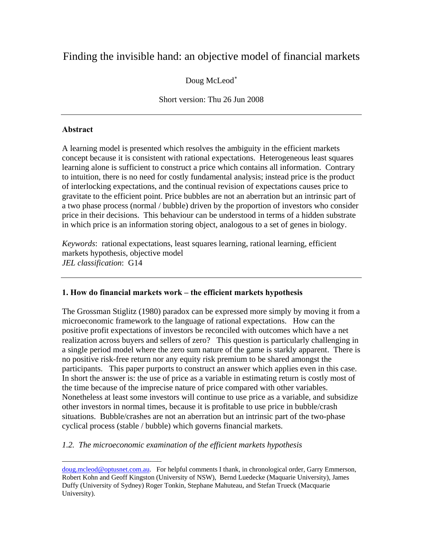# Finding the invisible hand: an objective model of financial markets

# Doug McLeod[∗](#page-0-0)

# Short version: Thu 26 Jun 2008

# **Abstract**

 $\overline{a}$ 

A learning model is presented which resolves the ambiguity in the efficient markets concept because it is consistent with rational expectations. Heterogeneous least squares learning alone is sufficient to construct a price which contains all information. Contrary to intuition, there is no need for costly fundamental analysis; instead price is the product of interlocking expectations, and the continual revision of expectations causes price to gravitate to the efficient point. Price bubbles are not an aberration but an intrinsic part of a two phase process (normal / bubble) driven by the proportion of investors who consider price in their decisions. This behaviour can be understood in terms of a hidden substrate in which price is an information storing object, analogous to a set of genes in biology.

*Keywords*: rational expectations, least squares learning, rational learning, efficient markets hypothesis, objective model *JEL classification*: G14

# **1. How do financial markets work – the efficient markets hypothesis**

The Grossman Stiglitz (1980) paradox can be expressed more simply by moving it from a microeconomic framework to the language of rational expectations. How can the positive profit expectations of investors be reconciled with outcomes which have a net realization across buyers and sellers of zero? This question is particularly challenging in a single period model where the zero sum nature of the game is starkly apparent. There is no positive risk-free return nor any equity risk premium to be shared amongst the participants. This paper purports to construct an answer which applies even in this case. In short the answer is: the use of price as a variable in estimating return is costly most of the time because of the imprecise nature of price compared with other variables. Nonetheless at least some investors will continue to use price as a variable, and subsidize other investors in normal times, because it is profitable to use price in bubble/crash situations. Bubble/crashes are not an aberration but an intrinsic part of the two-phase cyclical process (stable / bubble) which governs financial markets.

*1.2. The microeconomic examination of the efficient markets hypothesis* 

<span id="page-0-0"></span>doug.mcleod@optusnet.com.au. For helpful comments I thank, in chronological order, Garry Emmerson, Robert Kohn and Geoff Kingston (University of NSW), Bernd Luedecke (Maquarie University), James Duffy (University of Sydney) Roger Tonkin, Stephane Mahuteau, and Stefan Trueck (Macquarie University).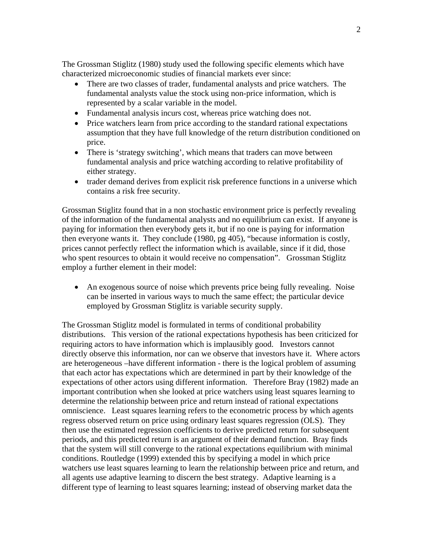The Grossman Stiglitz (1980) study used the following specific elements which have characterized microeconomic studies of financial markets ever since:

- There are two classes of trader, fundamental analysts and price watchers. The fundamental analysts value the stock using non-price information, which is represented by a scalar variable in the model.
- Fundamental analysis incurs cost, whereas price watching does not.
- Price watchers learn from price according to the standard rational expectations assumption that they have full knowledge of the return distribution conditioned on price.
- There is 'strategy switching', which means that traders can move between fundamental analysis and price watching according to relative profitability of either strategy.
- trader demand derives from explicit risk preference functions in a universe which contains a risk free security.

Grossman Stiglitz found that in a non stochastic environment price is perfectly revealing of the information of the fundamental analysts and no equilibrium can exist. If anyone is paying for information then everybody gets it, but if no one is paying for information then everyone wants it. They conclude (1980, pg 405), "because information is costly, prices cannot perfectly reflect the information which is available, since if it did, those who spent resources to obtain it would receive no compensation". Grossman Stiglitz employ a further element in their model:

• An exogenous source of noise which prevents price being fully revealing. Noise can be inserted in various ways to much the same effect; the particular device employed by Grossman Stiglitz is variable security supply.

The Grossman Stiglitz model is formulated in terms of conditional probability distributions. This version of the rational expectations hypothesis has been criticized for requiring actors to have information which is implausibly good. Investors cannot directly observe this information, nor can we observe that investors have it. Where actors are heterogeneous –have different information - there is the logical problem of assuming that each actor has expectations which are determined in part by their knowledge of the expectations of other actors using different information. Therefore Bray (1982) made an important contribution when she looked at price watchers using least squares learning to determine the relationship between price and return instead of rational expectations omniscience. Least squares learning refers to the econometric process by which agents regress observed return on price using ordinary least squares regression (OLS). They then use the estimated regression coefficients to derive predicted return for subsequent periods, and this predicted return is an argument of their demand function. Bray finds that the system will still converge to the rational expectations equilibrium with minimal conditions. Routledge (1999) extended this by specifying a model in which price watchers use least squares learning to learn the relationship between price and return, and all agents use adaptive learning to discern the best strategy. Adaptive learning is a different type of learning to least squares learning; instead of observing market data the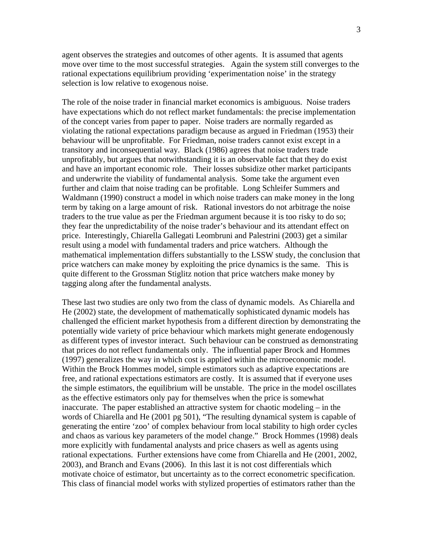agent observes the strategies and outcomes of other agents. It is assumed that agents move over time to the most successful strategies. Again the system still converges to the rational expectations equilibrium providing 'experimentation noise' in the strategy selection is low relative to exogenous noise.

The role of the noise trader in financial market economics is ambiguous. Noise traders have expectations which do not reflect market fundamentals: the precise implementation of the concept varies from paper to paper. Noise traders are normally regarded as violating the rational expectations paradigm because as argued in Friedman (1953) their behaviour will be unprofitable. For Friedman, noise traders cannot exist except in a transitory and inconsequential way. Black (1986) agrees that noise traders trade unprofitably, but argues that notwithstanding it is an observable fact that they do exist and have an important economic role. Their losses subsidize other market participants and underwrite the viability of fundamental analysis. Some take the argument even further and claim that noise trading can be profitable. Long Schleifer Summers and Waldmann (1990) construct a model in which noise traders can make money in the long term by taking on a large amount of risk. Rational investors do not arbitrage the noise traders to the true value as per the Friedman argument because it is too risky to do so; they fear the unpredictability of the noise trader's behaviour and its attendant effect on price. Interestingly, Chiarella Gallegati Leombruni and Palestrini (2003) get a similar result using a model with fundamental traders and price watchers. Although the mathematical implementation differs substantially to the LSSW study, the conclusion that price watchers can make money by exploiting the price dynamics is the same. This is quite different to the Grossman Stiglitz notion that price watchers make money by tagging along after the fundamental analysts.

These last two studies are only two from the class of dynamic models. As Chiarella and He (2002) state, the development of mathematically sophisticated dynamic models has challenged the efficient market hypothesis from a different direction by demonstrating the potentially wide variety of price behaviour which markets might generate endogenously as different types of investor interact. Such behaviour can be construed as demonstrating that prices do not reflect fundamentals only. The influential paper Brock and Hommes (1997) generalizes the way in which cost is applied within the microeconomic model. Within the Brock Hommes model, simple estimators such as adaptive expectations are free, and rational expectations estimators are costly. It is assumed that if everyone uses the simple estimators, the equilibrium will be unstable. The price in the model oscillates as the effective estimators only pay for themselves when the price is somewhat inaccurate. The paper established an attractive system for chaotic modeling – in the words of Chiarella and He (2001 pg 501), "The resulting dynamical system is capable of generating the entire 'zoo' of complex behaviour from local stability to high order cycles and chaos as various key parameters of the model change." Brock Hommes (1998) deals more explicitly with fundamental analysts and price chasers as well as agents using rational expectations. Further extensions have come from Chiarella and He (2001, 2002, 2003), and Branch and Evans (2006). In this last it is not cost differentials which motivate choice of estimator, but uncertainty as to the correct econometric specification. This class of financial model works with stylized properties of estimators rather than the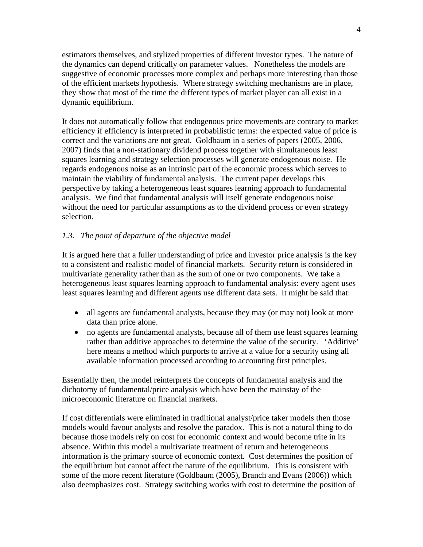estimators themselves, and stylized properties of different investor types. The nature of the dynamics can depend critically on parameter values. Nonetheless the models are suggestive of economic processes more complex and perhaps more interesting than those of the efficient markets hypothesis. Where strategy switching mechanisms are in place, they show that most of the time the different types of market player can all exist in a dynamic equilibrium.

It does not automatically follow that endogenous price movements are contrary to market efficiency if efficiency is interpreted in probabilistic terms: the expected value of price is correct and the variations are not great. Goldbaum in a series of papers (2005, 2006, 2007) finds that a non-stationary dividend process together with simultaneous least squares learning and strategy selection processes will generate endogenous noise. He regards endogenous noise as an intrinsic part of the economic process which serves to maintain the viability of fundamental analysis. The current paper develops this perspective by taking a heterogeneous least squares learning approach to fundamental analysis. We find that fundamental analysis will itself generate endogenous noise without the need for particular assumptions as to the dividend process or even strategy selection.

# *1.3. The point of departure of the objective model*

It is argued here that a fuller understanding of price and investor price analysis is the key to a consistent and realistic model of financial markets. Security return is considered in multivariate generality rather than as the sum of one or two components. We take a heterogeneous least squares learning approach to fundamental analysis: every agent uses least squares learning and different agents use different data sets. It might be said that:

- all agents are fundamental analysts, because they may (or may not) look at more data than price alone.
- no agents are fundamental analysts, because all of them use least squares learning rather than additive approaches to determine the value of the security. 'Additive' here means a method which purports to arrive at a value for a security using all available information processed according to accounting first principles.

Essentially then, the model reinterprets the concepts of fundamental analysis and the dichotomy of fundamental/price analysis which have been the mainstay of the microeconomic literature on financial markets.

If cost differentials were eliminated in traditional analyst/price taker models then those models would favour analysts and resolve the paradox. This is not a natural thing to do because those models rely on cost for economic context and would become trite in its absence. Within this model a multivariate treatment of return and heterogeneous information is the primary source of economic context. Cost determines the position of the equilibrium but cannot affect the nature of the equilibrium. This is consistent with some of the more recent literature (Goldbaum (2005), Branch and Evans (2006)) which also deemphasizes cost. Strategy switching works with cost to determine the position of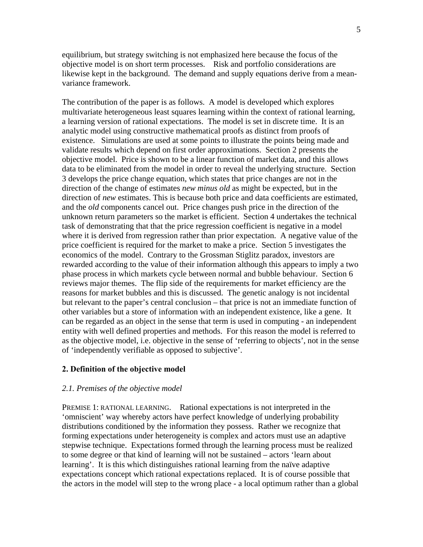equilibrium, but strategy switching is not emphasized here because the focus of the objective model is on short term processes. Risk and portfolio considerations are likewise kept in the background. The demand and supply equations derive from a meanvariance framework.

The contribution of the paper is as follows. A model is developed which explores multivariate heterogeneous least squares learning within the context of rational learning, a learning version of rational expectations. The model is set in discrete time. It is an analytic model using constructive mathematical proofs as distinct from proofs of existence. Simulations are used at some points to illustrate the points being made and validate results which depend on first order approximations. Section 2 presents the objective model. Price is shown to be a linear function of market data, and this allows data to be eliminated from the model in order to reveal the underlying structure. Section 3 develops the price change equation, which states that price changes are not in the direction of the change of estimates *new minus old* as might be expected, but in the direction of *new* estimates. This is because both price and data coefficients are estimated, and the *old* components cancel out. Price changes push price in the direction of the unknown return parameters so the market is efficient. Section 4 undertakes the technical task of demonstrating that that the price regression coefficient is negative in a model where it is derived from regression rather than prior expectation. A negative value of the price coefficient is required for the market to make a price. Section 5 investigates the economics of the model. Contrary to the Grossman Stiglitz paradox, investors are rewarded according to the value of their information although this appears to imply a two phase process in which markets cycle between normal and bubble behaviour. Section 6 reviews major themes. The flip side of the requirements for market efficiency are the reasons for market bubbles and this is discussed. The genetic analogy is not incidental but relevant to the paper's central conclusion – that price is not an immediate function of other variables but a store of information with an independent existence, like a gene. It can be regarded as an object in the sense that term is used in computing - an independent entity with well defined properties and methods. For this reason the model is referred to as the objective model, i.e. objective in the sense of 'referring to objects', not in the sense of 'independently verifiable as opposed to subjective'.

### **2. Definition of the objective model**

#### *2.1. Premises of the objective model*

PREMISE 1: RATIONAL LEARNING. Rational expectations is not interpreted in the 'omniscient' way whereby actors have perfect knowledge of underlying probability distributions conditioned by the information they possess. Rather we recognize that forming expectations under heterogeneity is complex and actors must use an adaptive stepwise technique. Expectations formed through the learning process must be realized to some degree or that kind of learning will not be sustained – actors 'learn about learning'. It is this which distinguishes rational learning from the naïve adaptive expectations concept which rational expectations replaced. It is of course possible that the actors in the model will step to the wrong place - a local optimum rather than a global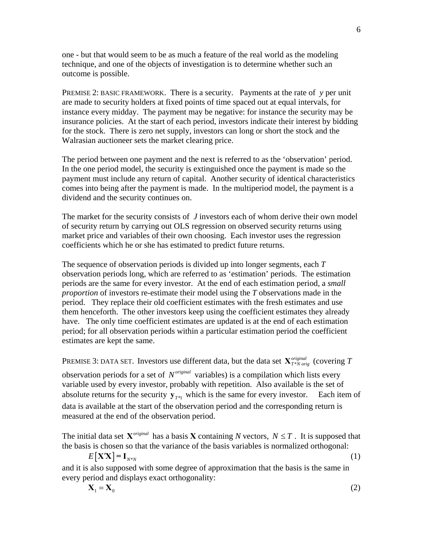one - but that would seem to be as much a feature of the real world as the modeling technique, and one of the objects of investigation is to determine whether such an outcome is possible.

PREMISE 2: BASIC FRAMEWORK. There is a security. Payments at the rate of *y* per unit are made to security holders at fixed points of time spaced out at equal intervals, for instance every midday. The payment may be negative: for instance the security may be insurance policies. At the start of each period, investors indicate their interest by bidding for the stock. There is zero net supply, investors can long or short the stock and the Walrasian auctioneer sets the market clearing price.

The period between one payment and the next is referred to as the 'observation' period. In the one period model, the security is extinguished once the payment is made so the payment must include any return of capital. Another security of identical characteristics comes into being after the payment is made. In the multiperiod model, the payment is a dividend and the security continues on.

The market for the security consists of *J* investors each of whom derive their own model of security return by carrying out OLS regression on observed security returns using market price and variables of their own choosing. Each investor uses the regression coefficients which he or she has estimated to predict future returns.

The sequence of observation periods is divided up into longer segments, each *T* observation periods long, which are referred to as 'estimation' periods. The estimation periods are the same for every investor. At the end of each estimation period, a *small proportion* of investors re-estimate their model using the *T* observations made in the period. They replace their old coefficient estimates with the fresh estimates and use them henceforth. The other investors keep using the coefficient estimates they already have. The only time coefficient estimates are updated is at the end of each estimation period; for all observation periods within a particular estimation period the coefficient estimates are kept the same.

PREMISE 3: DATA SET. Investors use different data, but the data set  $\mathbf{X}_{T*N\text{ origin}}^{original}$  (covering *T* 

observation periods for a set of  $N^{original}$  variables) is a compilation which lists every variable used by every investor, probably with repetition. Also available is the set of absolute returns for the security  $y_{T^{*1}}$  which is the same for every investor. Each item of data is available at the start of the observation period and the corresponding return is measured at the end of the observation period.

The initial data set  $X^{original}$  has a basis X containing *N* vectors,  $N \leq T$ . It is supposed that the basis is chosen so that the variance of the basis variables is normalized orthogonal:

$$
E[\mathbf{X}'\mathbf{X}] = \mathbf{I}_{N^*N} \tag{1}
$$

<span id="page-5-0"></span>and it is also supposed with some degree of approximation that the basis is the same in every period and displays exact orthogonality:

$$
\mathbf{X}_1 = \mathbf{X}_0 \tag{2}
$$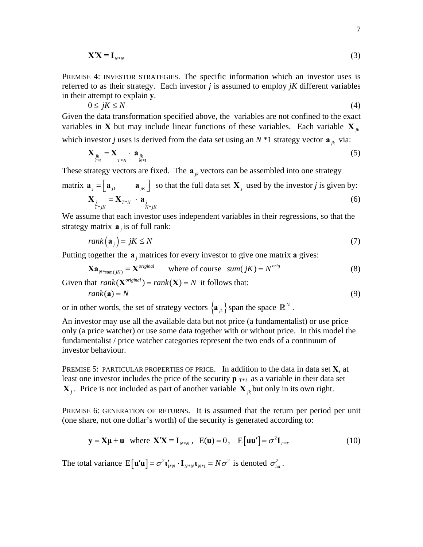$$
\mathbf{X}'\mathbf{X} = \mathbf{I}_{N^*N} \tag{3}
$$

<span id="page-6-2"></span>PREMISE 4: INVESTOR STRATEGIES. The specific information which an investor uses is referred to as their strategy. Each investor *j* is assumed to employ *jK* different variables in their attempt to explain **y**.

$$
0 \le jK \le N \tag{4}
$$

Given the data transformation specified above, the variables are not confined to the exact variables in **X** but may include linear functions of these variables. Each variable  $\mathbf{X}_{ik}$ which investor *j* uses is derived from the data set using an  $N$ \*1 strategy vector  $\mathbf{a}_{jk}$  via:

$$
\mathbf{X}_{\substack{j_k \\ T^*1}} = \mathbf{X}_{\substack{j_k \\ T^*N}} \cdot \mathbf{a}_{\substack{j_k \\ N^*1}} \tag{5}
$$

These strategy vectors are fixed. The  $a_{ik}$  vectors can be assembled into one strategy

<span id="page-6-1"></span>matrix 
$$
\mathbf{a}_{j} = [\mathbf{a}_{j1} \quad \mathbf{a}_{jk}]
$$
 so that the full data set  $\mathbf{X}_{j}$  used by the investor *j* is given by:  
\n
$$
\mathbf{X}_{j} = \mathbf{X}_{T^*N} \cdot \mathbf{a}_{j} \tag{6}
$$

We assume that each investor uses independent variables in their regressions, so that the strategy matrix  $\mathbf{a}$  is of full rank:

$$
rank(\mathbf{a}_j) = jK \le N \tag{7}
$$

Putting together the  $a_j$  matrices for every investor to give one matrix  $a$  gives:

$$
\mathbf{X}\mathbf{a}_{N^*sum(jK)} = \mathbf{X}^{original} \qquad \text{where of course} \quad sum(jK) = N^{orig} \tag{8}
$$

Given that  $rank(X^{original}) = rank(X) = N$  it follows that:  $rank(\mathbf{a}) = N$  (9)

<span id="page-6-3"></span>or in other words, the set of strategy vectors  $\{a_{jk}\}\$ span the space  $\mathbb{R}^N$ .

An investor may use all the available data but not price (a fundamentalist) or use price only (a price watcher) or use some data together with or without price. In this model the fundamentalist / price watcher categories represent the two ends of a continuum of investor behaviour.

PREMISE 5: PARTICULAR PROPERTIES OF PRICE. In addition to the data in data set **X**, at least one investor includes the price of the security  $\mathbf{p}_{T^*1}$  as a variable in their data set  $\mathbf{X}_i$ . Price is not included as part of another variable  $\mathbf{X}_k$  but only in its own right.

PREMISE 6: GENERATION OF RETURNS.It is assumed that the return per period per unit (one share, not one dollar's worth) of the security is generated according to:

$$
\mathbf{y} = \mathbf{X}\mathbf{\mu} + \mathbf{u} \quad \text{where } \mathbf{X}'\mathbf{X} = \mathbf{I}_{N^*N}, \quad \mathbf{E}(\mathbf{u}) = 0, \quad \mathbf{E}[\mathbf{u}\mathbf{u}'] = \sigma^2 \mathbf{I}_{T^*T} \tag{10}
$$

<span id="page-6-0"></span>The total variance  $E[\mathbf{u}'\mathbf{u}] = \sigma^2 \mathbf{u}'_{1*N} \cdot \mathbf{I}_{N*N} \mathbf{u}_{N*N} = N\sigma^2$  is denoted  $\sigma^2_{tot}$ .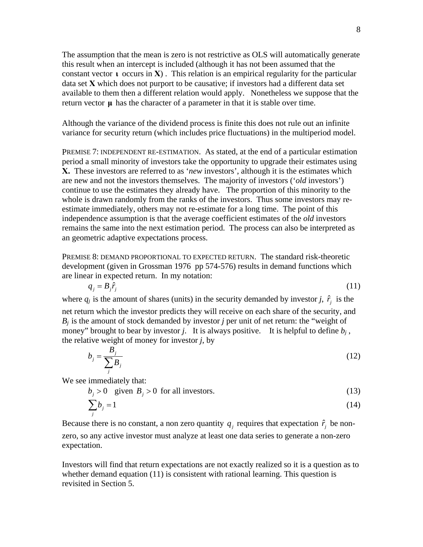The assumption that the mean is zero is not restrictive as OLS will automatically generate this result when an intercept is included (although it has not been assumed that the constant vector **ι** occurs in **X**) . This relation is an empirical regularity for the particular data set **X** which does not purport to be causative; if investors had a different data set available to them then a different relation would apply. Nonetheless we suppose that the return vector  $\mu$  has the character of a parameter in that it is stable over time.

Although the variance of the dividend process is finite this does not rule out an infinite variance for security return (which includes price fluctuations) in the multiperiod model.

PREMISE 7: INDEPENDENT RE-ESTIMATION. As stated, at the end of a particular estimation period a small minority of investors take the opportunity to upgrade their estimates using **X.** These investors are referred to as '*new* investors', although it is the estimates which are new and not the investors themselves. The majority of investors ('*old* investors') continue to use the estimates they already have. The proportion of this minority to the whole is drawn randomly from the ranks of the investors. Thus some investors may reestimate immediately, others may not re-estimate for a long time. The point of this independence assumption is that the average coefficient estimates of the *old* investors remains the same into the next estimation period. The process can also be interpreted as an geometric adaptive expectations process.

PREMISE 8: DEMAND PROPORTIONAL TO EXPECTED RETURN.The standard risk-theoretic development (given in Grossman 1976 pp 574-576) results in demand functions which are linear in expected return. In my notation:

$$
q_j = B_j \hat{r}_j \tag{11}
$$

<span id="page-7-0"></span>where  $q_j$  is the amount of shares (units) in the security demanded by investor *j*,  $\hat{r}_j$  is the net return which the investor predicts they will receive on each share of the security, and  $B_i$  is the amount of stock demanded by investor *j* per unit of net return: the "weight of money" brought to bear by investor *j*. It is always positive. It is helpful to define  $b_i$ , the relative weight of money for investor *j*, by

$$
b_j = \frac{B_j}{\sum_j B_j} \tag{12}
$$

<span id="page-7-1"></span>We see immediately that:

 $b_i > 0$  given  $B_i > 0$  for all investors. (13)

$$
\sum_{j} b_j = 1 \tag{14}
$$

Because there is no constant, a non zero quantity  $q_j$  requires that expectation  $\hat{r}_j$  be nonzero, so any active investor must analyze at least one data series to generate a non-zero expectation.

Investors will find that return expectations are not exactly realized so it is a question as to whether demand equation [\(11\)](#page-7-0) is consistent with rational learning. This question is revisited in Section 5.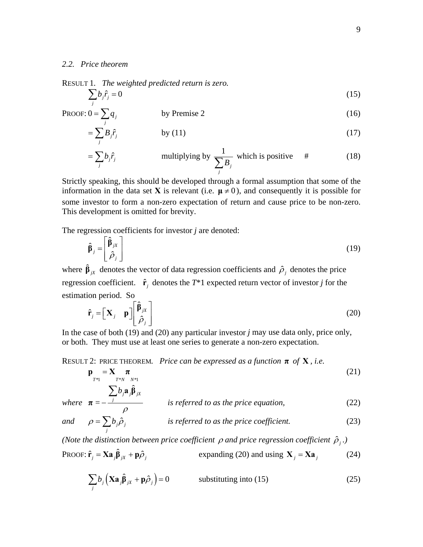#### *2.2. Price theorem*

 $\hat{r}_j$ 

<span id="page-8-2"></span>RESULT 1*. The weighted predicted return is zero.* 

$$
\sum_{j} b_j \hat{r}_j = 0 \tag{15}
$$

<span id="page-8-7"></span>PROOF: 
$$
0 = \sum_{j} q_j
$$
 by Premise 2 (16)

$$
=\sum_{j} B_{j}\hat{r}_{j} \qquad \qquad \text{by (11)}
$$

$$
= \sum_{j} b_{j} \hat{r}_{j} \qquad \qquad \text{multiplying by } \frac{1}{\sum_{j} B_{j}} \text{ which is positive } \# \qquad (18)
$$

Strictly speaking, this should be developed through a formal assumption that some of the information in the data set **X** is relevant (i.e.  $\mu \neq 0$ ), and consequently it is possible for some investor to form a non-zero expectation of return and cause price to be non-zero. This development is omitted for brevity.

<span id="page-8-0"></span>The regression coefficients for investor *j* are denoted:

$$
\hat{\beta}_j = \begin{bmatrix} \hat{\beta}_{jX} \\ \hat{\rho}_j \end{bmatrix} \tag{19}
$$

where  $\hat{\beta}_{jX}$  denotes the vector of data regression coefficients and  $\hat{\rho}_j$  denotes the price regression coefficient.  $\hat{\mathbf{r}}_i$  denotes the  $T^*1$  expected return vector of investor *j* for the estimation period. So

$$
\hat{\mathbf{r}}_j = \begin{bmatrix} \mathbf{X}_j & \mathbf{p} \end{bmatrix} \begin{bmatrix} \hat{\beta}_{jX} \\ \hat{\rho}_j \end{bmatrix}
$$
 (20)

<span id="page-8-1"></span>In the case of both [\(19\)](#page-8-0) and [\(20\)](#page-8-1) any particular investor *j* may use data only, price only, or both. They must use at least one series to generate a non-zero expectation.

### <span id="page-8-3"></span>RESULT 2: PRICE THEOREM*. Price can be expressed as a function* **π** *of* **X** *, i.e.*

$$
\mathbf{p}_{T^*1} = \mathbf{X}_{T^*N} \boldsymbol{\pi}_{N^*1}
$$
 (21)

<span id="page-8-6"></span>where 
$$
\boldsymbol{\pi} = -\frac{\sum_{j} b_{j} \hat{\mathbf{a}}_{j} \hat{\boldsymbol{\beta}}_{jx}}{\rho}
$$
 is referred to as the price equation, (22)

<span id="page-8-4"></span>and 
$$
\rho = \sum_{j} b_{j} \hat{\rho}_{j}
$$
 is referred to as the price coefficient. (23)

<span id="page-8-5"></span>*(Note the distinction between price coefficient*  $\rho$  *and price regression coefficient*  $\hat{\rho}_i$ *.)* 

PROOF: 
$$
\hat{\mathbf{r}}_j = \mathbf{X}\mathbf{a}_j \hat{\mathbf{\beta}}_{jX} + \mathbf{p}\hat{\rho}_j
$$
 expanding (20) and using  $\mathbf{X}_j = \mathbf{X}\mathbf{a}_j$  (24)

$$
\sum_{j} b_j \left( \mathbf{X} \mathbf{a}_j \hat{\mathbf{\beta}}_{jX} + \mathbf{p} \hat{\rho}_j \right) = 0 \qquad \text{substituting into (15)}
$$
 (25)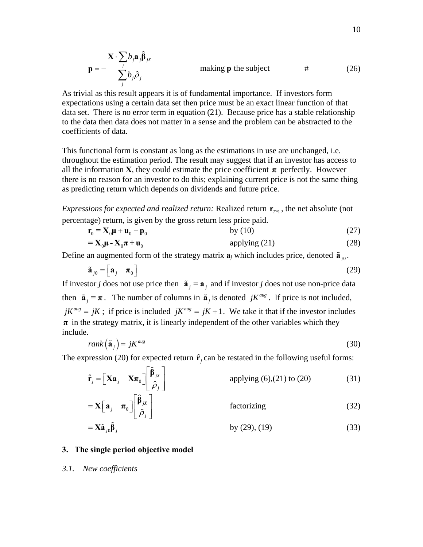$$
\mathbf{p} = -\frac{\mathbf{X} \cdot \sum_{j} b_{j} \hat{\mathbf{p}}_{jx}}{\sum_{j} b_{j} \hat{\rho}_{j}}
$$
 making **p** the subject # (26)

As trivial as this result appears it is of fundamental importance. If investors form expectations using a certain data set then price must be an exact linear function of that data set. There is no error term in equation [\(21\)](#page-8-3). Because price has a stable relationship to the data then data does not matter in a sense and the problem can be abstracted to the coefficients of data.

This functional form is constant as long as the estimations in use are unchanged, i.e. throughout the estimation period. The result may suggest that if an investor has access to all the information **X**, they could estimate the price coefficient  $\pi$  perfectly. However there is no reason for an investor to do this; explaining current price is not the same thing as predicting return which depends on dividends and future price.

*Expressions for expected and realized return:* Realized return  $\mathbf{r}_{\tau_{\ast1}}$ , the net absolute (not percentage) return, is given by the gross return less price paid.

$$
\mathbf{r}_0 = \mathbf{X}_0 \mathbf{\mu} + \mathbf{u}_0 - \mathbf{p}_0
$$
 by (10)  
=  $\mathbf{X}_0 \mathbf{\mu} - \mathbf{X}_0 \boldsymbol{\pi} + \mathbf{u}_0$  (27)  
applying (21) (28)

<span id="page-9-1"></span><span id="page-9-0"></span>Define an augmented form of the strategy matrix  $\mathbf{a}_i$  which includes price, denoted  $\tilde{\mathbf{a}}_{i0}$ .

$$
\tilde{\mathbf{a}}_{j0} = \begin{bmatrix} \mathbf{a}_j & \boldsymbol{\pi}_0 \end{bmatrix} \tag{29}
$$

If investor *j* does not use price then  $\tilde{a}_i = a_i$  and if investor *j* does not use non-price data then  $\tilde{a}_i = \pi$ . The number of columns in  $\tilde{a}_i$  is denoted *jK*<sup>*aug*</sup>. If price is not included,  $iK^{aug} = iK$ ; if price is included  $iK^{aug} = iK + 1$ . We take it that if the investor includes  $\pi$  in the strategy matrix, it is linearly independent of the other variables which they include.

$$
rank\left(\tilde{\mathbf{a}}_{j}\right) = jK^{aug} \tag{30}
$$

The expression [\(20\)](#page-8-1) for expected return  $\hat{\mathbf{r}}_i$  can be restated in the following useful forms:

| $\hat{\mathbf{r}}_j = \begin{bmatrix} \mathbf{X} \mathbf{a}_j & \mathbf{X} \boldsymbol{\pi}_0 \end{bmatrix} \begin{bmatrix} \hat{\beta}_{jX} \\ \hat{\beta}_j \end{bmatrix}$ | applying $(6)$ , $(21)$ to $(20)$ | (31) |
|------------------------------------------------------------------------------------------------------------------------------------------------------------------------------|-----------------------------------|------|
| $= \mathbf{X} \begin{bmatrix} \mathbf{a}_j & \boldsymbol{\pi}_0 \end{bmatrix} \begin{bmatrix} \hat{\beta}_{jX} \\ \hat{\rho}_j \end{bmatrix}.$                               | factorizing                       | (32) |
| $= \mathbf{X} \tilde{\mathbf{a}}_{j0} \hat{\mathbf{\beta}}_{j}$                                                                                                              | by $(29)$ , $(19)$                | (33) |

### <span id="page-9-2"></span>**3. The single period objective model**

*3.1. New coefficients*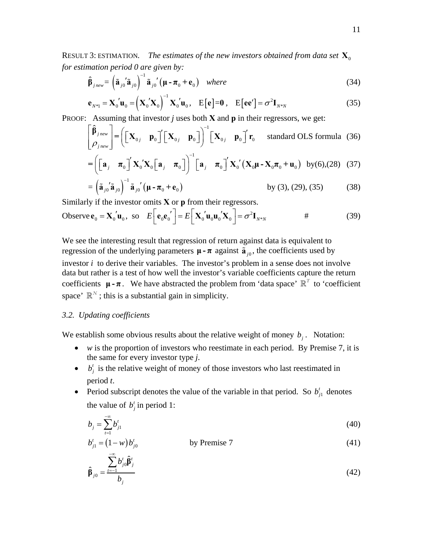<span id="page-10-4"></span>RESULT 3: ESTIMATION. The estimates of the new investors obtained from data set  $\mathbf{X}_0$ *for estimation period 0 are given by:*

$$
\hat{\beta}_{j_{new}} = \left(\tilde{\mathbf{a}}_{j0}^{'}\tilde{\mathbf{a}}_{j0}\right)^{-1}\tilde{\mathbf{a}}_{j0}^{'}\left(\mu - \pi_0 + \mathbf{e}_0\right) \quad where \tag{34}
$$

$$
\mathbf{e}_{N^*1} = \mathbf{X}_0' \mathbf{u}_0 = \left(\mathbf{X}_0' \mathbf{X}_0\right)^{-1} \mathbf{X}_0' \mathbf{u}_0, \quad \mathbf{E}[\mathbf{e}] = \mathbf{0}, \quad \mathbf{E}[\mathbf{e}\mathbf{e}'] = \sigma^2 \mathbf{I}_{N^*N}
$$
(35)

<span id="page-10-0"></span>PROOF:Assuming that investor *j* uses both **X** and **p** in their regressors, we get:

$$
\begin{bmatrix} \hat{\boldsymbol{\beta}}_{j_{\text{new}}} \\ \boldsymbol{\rho}_{j_{\text{new}}} \end{bmatrix} = \left( \begin{bmatrix} \mathbf{X}_{0j} & \mathbf{p}_{0} \end{bmatrix}^{\prime} \begin{bmatrix} \mathbf{X}_{0j} & \mathbf{p}_{0} \end{bmatrix} \right)^{-1} \begin{bmatrix} \mathbf{X}_{0j} & \mathbf{p}_{0} \end{bmatrix}^{\prime} \mathbf{r}_{0} \quad \text{standard OLS formula (36)}
$$

$$
= \left( \begin{bmatrix} \mathbf{a}_{j} & \boldsymbol{\pi}_{0} \end{bmatrix}^{\prime} \mathbf{X}_{0}^{\prime} \mathbf{X}_{0} \begin{bmatrix} \mathbf{a}_{j} & \boldsymbol{\pi}_{0} \end{bmatrix} \right)^{-1} \begin{bmatrix} \mathbf{a}_{j} & \boldsymbol{\pi}_{0} \end{bmatrix}^{\prime} \mathbf{X}_{0}^{\prime} \left( \mathbf{X}_{0} \boldsymbol{\mu} - \mathbf{X}_{0} \boldsymbol{\pi}_{0} + \mathbf{u}_{0} \right) \text{ by (6),(28)} (37)
$$

$$
= \left(\tilde{\mathbf{a}}_{j0}^{\prime\prime}\tilde{\mathbf{a}}_{j0}\right)^{-1}\tilde{\mathbf{a}}_{j0}^{\prime\prime}\left(\mu - \pi_0 + \mathbf{e}_0\right) \qquad \qquad \text{by (3), (29), (35)} \qquad (38)
$$

Similarly if the investor omits **X** or **p** from their regressors.

Observe 
$$
\mathbf{e}_0 = \mathbf{X}_0' \mathbf{u}_0
$$
, so  $E\left[\mathbf{e}_0 \mathbf{e}_0'\right] = E\left[\mathbf{X}_0' \mathbf{u}_0 \mathbf{u}_0' \mathbf{X}_0\right] = \sigma^2 \mathbf{I}_{N^*N}$  (39)

We see the interesting result that regression of return against data is equivalent to regression of the underlying parameters  $\mu - \pi$  against  $\tilde{a}_{i0}$ , the coefficients used by investor *i* to derive their variables. The investor's problem in a sense does not involve data but rather is a test of how well the investor's variable coefficients capture the return coefficients  $\mu$ - $\pi$ . We have abstracted the problem from 'data space'  $\mathbb{R}^T$  to 'coefficient space'  $\mathbb{R}^N$ ; this is a substantial gain in simplicity.

### *3.2. Updating coefficients*

We establish some obvious results about the relative weight of money  $b_i$ . Notation:

- *w* is the proportion of investors who reestimate in each period. By Premise 7, it is the same for every investor type *j*.
- $\bullet$  *b*<sup>*j*</sup> is the relative weight of money of those investors who last reestimated in period *t*.
- <span id="page-10-1"></span>• Period subscript denotes the value of the variable in that period. So  $b_{j1}^t$  denotes the value of  $b_j^t$  in period 1:

$$
b_j = \sum_{t=1}^{-\infty} b_{j1}^t
$$
 (40)

<span id="page-10-3"></span><span id="page-10-2"></span>
$$
b'_{j1} = (1 - w)b'_{j0} \qquad \qquad \text{by Premise 7} \tag{41}
$$

$$
\hat{\beta}_{j0} = \frac{\sum_{t=1}^{-\infty} b_{j0}^t \hat{\beta}_j^t}{b_j}
$$
\n(42)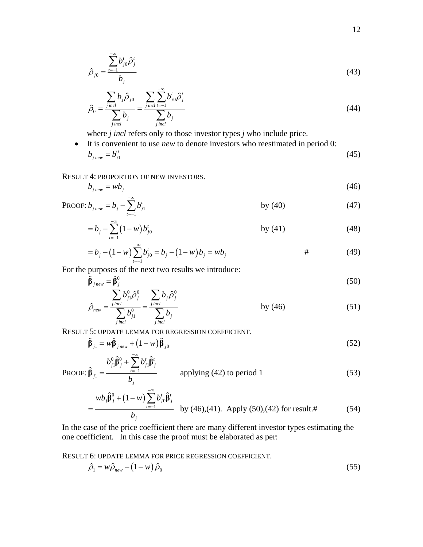<span id="page-11-5"></span>
$$
\hat{\rho}_{j0} = \frac{\sum_{t=1}^{-\infty} b_{j0}^t \hat{\rho}_j^t}{b_j}
$$
\n(43)

<span id="page-11-2"></span>
$$
\hat{\rho}_0 = \frac{\sum_{j \text{ incl}} b_j \hat{\rho}_{j0}}{\sum_{j \text{ incl}} b_j} = \frac{\sum_{j \text{ incl}} \sum_{t=-1}^{-\infty} b_{j0}^t \hat{\rho}_j^t}{\sum_{j \text{ incl}} b_j}
$$
(44)

where *j incl* refers only to those investor types *j* who include price.

• It is convenient to use *new* to denote investors who reestimated in period 0:  $b_{j_{new}} = b_{j_1}^0$  (45)

<span id="page-11-0"></span>RESULT 4: PROPORTION OF NEW INVESTORS.

$$
b_{j_{new}} = w b_j \tag{46}
$$

PROOF: 
$$
b_{j_{new}} = b_j - \sum_{t=1}^{-\infty} b_{j1}^t
$$
 by (40) (47)

$$
= b_j - \sum_{t=1}^{\infty} (1 - w) b_{j0}^t \qquad \qquad \text{by (41)}
$$
 (48)

$$
= b_j - (1 - w) \sum_{t=1}^{-\infty} b'_{j0} = b_j - (1 - w) b_j = w b_j
$$
 # (49)

<span id="page-11-3"></span><span id="page-11-1"></span>For the purposes of the next two results we introduce:

$$
\hat{\beta}_{j\text{ new}} = \hat{\beta}_{j}^{0}
$$
\n
$$
\sum b_{i1}^{0} \hat{\rho}_{i}^{0} \qquad \sum b_{i} \hat{\rho}_{i}^{0}
$$
\n(50)

$$
\hat{\rho}_{new} = \frac{\sum_{j} b_{j1}^0 \hat{\rho}_j^0}{\sum_{j} b_{j1}^0} = \frac{\sum_{j} b_j \hat{\rho}_j^0}{\sum_{j} b_j}
$$
 by (46) (51)

<span id="page-11-6"></span>RESULT 5: UPDATE LEMMA FOR REGRESSION COEFFICIENT.

$$
\hat{\beta}_{j1} = w\hat{\beta}_{jnew} + (1 - w)\hat{\beta}_{j0}
$$
\n
$$
(52)
$$

PROOF: 
$$
\hat{\beta}_{j1} = \frac{b_{j1}^0 \hat{\beta}_j^0 + \sum_{t=1}^t b_{j1}^t \hat{\beta}_j^t}{b_j}
$$
 applying (42) to period 1 (53)

$$
= \frac{wb_j \hat{\beta}_j^0 + (1 - w) \sum_{t=-1}^{-\infty} b_{j0}^t \hat{\beta}_j^t}{b_j} \quad \text{by (46),(41). Apply (50),(42) for result.#} \tag{54}
$$

In the case of the price coefficient there are many different investor types estimating the one coefficient. In this case the proof must be elaborated as per:

<span id="page-11-4"></span>RESULT 6: UPDATE LEMMA FOR PRICE REGRESSION COEFFICIENT.

$$
\hat{\rho}_1 = w \hat{\rho}_{new} + (1 - w) \hat{\rho}_0 \tag{55}
$$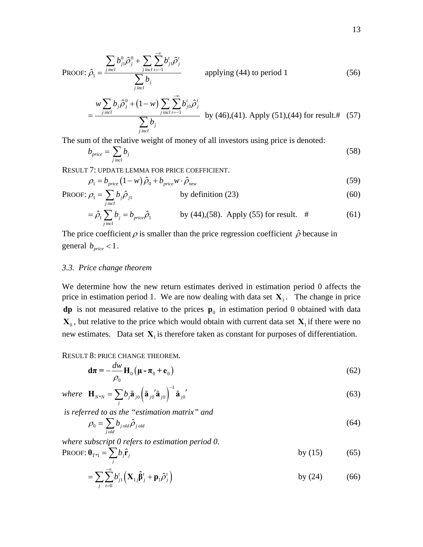PROOF: 
$$
\hat{\rho}_1 = \frac{\sum_{j} b_{j1}^0 \hat{\rho}_j^0 + \sum_{j} \sum_{i=1}^{\infty} b_{j1}^t \hat{\rho}_j^t}{\sum_{j} b_j}
$$
 applying (44) to period 1 (56)

$$
= \frac{w \sum_{j\text{ incl}} b_j \hat{\rho}_j^0 + (1 - w) \sum_{j\text{ incl}} \sum_{t=-1}^{\infty} b_{j0}^t \hat{\rho}_j^t}{\sum_{j\text{ incl}} b_j} \quad \text{by (46),(41). Apply (51),(44) for result.#} \quad (57)
$$

<span id="page-12-0"></span>The sum of the relative weight of money of all investors using price is denoted:

$$
b_{price} = \sum_{j\,incl} b_j \tag{58}
$$

<span id="page-12-4"></span>RESULT 7: UPDATE LEMMA FOR PRICE COEFFICIENT.

$$
\rho_1 = b_{price} \left( 1 - w \right) \hat{\rho}_0 + b_{price} w \cdot \hat{\rho}_{new} \tag{59}
$$

<span id="page-12-1"></span>PROOF: 
$$
\rho_1 = \sum_{j \text{ incl}} b_j \hat{\rho}_{j1}
$$
 by definition (23) (60)

$$
= \hat{\rho}_1 \sum_{\text{j} \text{ incl}} b_j = b_{\text{price}} \hat{\rho}_1 \qquad \qquad \text{by (44),(58). Apply (55) for result. } \# \tag{61}
$$

<span id="page-12-5"></span>The price coefficient  $\rho$  is smaller than the price regression coefficient  $\hat{\rho}$  because in general  $b_{price} < 1$ .

#### *3.3. Price change theorem*

We determine how the new return estimates derived in estimation period 0 affects the price in estimation period 1. We are now dealing with data set  $X_1$ . The change in price **dp** is not measured relative to the prices  $\mathbf{p}_0$  in estimation period 0 obtained with data  $\mathbf{X}_0$ , but relative to the price which would obtain with current data set  $\mathbf{X}_1$  if there were no new estimates. Data set  $X_1$  is therefore taken as constant for purposes of differentiation.

#### <span id="page-12-3"></span>RESULT 8: PRICE CHANGE THEOREM*.*

$$
\mathbf{d}\boldsymbol{\pi} = -\frac{d\boldsymbol{w}}{\rho_0} \mathbf{H}_0 \left( \boldsymbol{\mu} - \boldsymbol{\pi}_0 + \mathbf{e}_0 \right)
$$
 (62)

<span id="page-12-2"></span>where 
$$
\mathbf{H}_{N^*N} = \sum_j b_j \tilde{\mathbf{a}}_{j0} \left( \tilde{\mathbf{a}}_{j0} \mathbf{\dot{a}}_{j0} \right)^{-1} \tilde{\mathbf{a}}_{j0} \tag{63}
$$

 *is referred to as the "estimation matrix" and* 

$$
\rho_0 = \sum_{j \, old} b_{j \, old} \hat{\rho}_{j \, old} \tag{64}
$$

*where subscript 0 refers to estimation period 0.*   $\mathbf{p}_{\mathbf{p}\alpha\alpha\mathbf{F}}$ :  $\mathbf{0} = \mathbf{\nabla} h \hat{\mathbf{r}}$ 

PROOF: 
$$
\mathbf{0}_{T^{*1}} = \sum_{j} b_j \hat{\mathbf{r}}_j
$$
 by (15) (65)

$$
= \sum_{j} \sum_{t=0}^{-\infty} b'_{j1} \left( \mathbf{X}_{1j} \hat{\boldsymbol{\beta}}'_{j} + \mathbf{p}_{1} \hat{\boldsymbol{\rho}}'_{j} \right) \qquad \qquad \text{by (24)} \qquad (66)
$$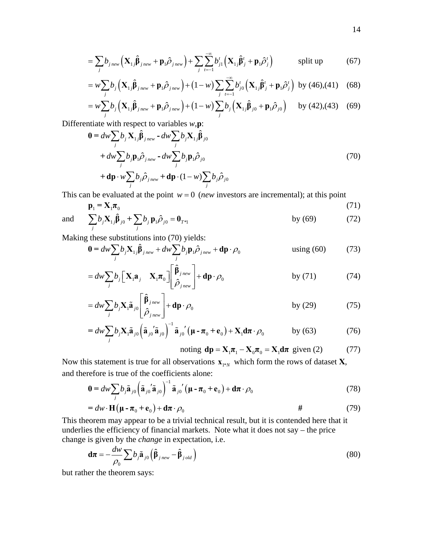$$
= \sum_{j} b_{j\text{ new}} \left( \mathbf{X}_{1j} \hat{\boldsymbol{\beta}}_{j\text{ new}} + \mathbf{p}_{1} \hat{\boldsymbol{\beta}}_{j\text{ new}} \right) + \sum_{j} \sum_{t=-1}^{-\infty} b_{j1}^{t} \left( \mathbf{X}_{1j} \hat{\boldsymbol{\beta}}_{j}^{t} + \mathbf{p}_{1} \hat{\boldsymbol{\beta}}_{j}^{t} \right) \qquad \text{split up} \tag{67}
$$

$$
= w \sum_{j} b_{j} \left( \mathbf{X}_{1j} \hat{\boldsymbol{\beta}}_{j_{\text{new}}} + \mathbf{p}_{1} \hat{\boldsymbol{\beta}}_{j_{\text{new}}} \right) + (1 - w) \sum_{j} \sum_{t=1}^{\infty} b_{j0}^{t} \left( \mathbf{X}_{1j} \hat{\boldsymbol{\beta}}_{j}^{t} + \mathbf{p}_{1} \hat{\boldsymbol{\beta}}_{j}^{t} \right) \text{ by (46),(41) (68)}
$$

$$
= w \sum_{j} b_{j} \left( \mathbf{X}_{1j} \hat{\boldsymbol{\beta}}_{j_{\text{new}}} + \mathbf{p}_{1} \hat{\boldsymbol{\rho}}_{j_{\text{new}}} \right) + (1 - w) \sum_{j} b_{j} \left( \mathbf{X}_{1j} \hat{\boldsymbol{\beta}}_{j0} + \mathbf{p}_{1} \hat{\boldsymbol{\rho}}_{j0} \right) \text{ by (42),(43) (69)}
$$

<span id="page-13-1"></span><span id="page-13-0"></span>Differentiate with respect to variables *w*,**p**:

$$
\mathbf{0} = dw \sum_{j} b_{j} \mathbf{X}_{1j} \hat{\boldsymbol{\beta}}_{jnew} - dw \sum_{j} b_{j} \mathbf{X}_{1j} \hat{\boldsymbol{\beta}}_{j0} \n+ dw \sum_{j} b_{j} \mathbf{p}_{1} \hat{\boldsymbol{\rho}}_{jnew} - dw \sum_{j} b_{j} \mathbf{p}_{1} \hat{\boldsymbol{\rho}}_{j0} \n+ dp \cdot w \sum_{j} b_{j} \hat{\boldsymbol{\rho}}_{jnew} + dp \cdot (1 - w) \sum_{j} b_{j} \hat{\boldsymbol{\rho}}_{j0}
$$
\n(70)

<span id="page-13-2"></span>This can be evaluated at the point  $w = 0$  (*new* investors are incremental); at this point

$$
\mathbf{p}_1 = \mathbf{X}_1 \boldsymbol{\pi}_0 \tag{71}
$$

and 
$$
\sum_{j} b_j \mathbf{X}_{1j} \hat{\boldsymbol{\beta}}_{j0} + \sum_{j} b_j \mathbf{p}_1 \hat{\boldsymbol{\beta}}_{j0} = \mathbf{0}_{T^{*}1}
$$
 by (69) (72)

Making these substitutions into [\(70\)](#page-13-1) yields:

$$
\mathbf{0} = dw \sum_{j} b_{j} \mathbf{X}_{1j} \hat{\boldsymbol{\beta}}_{j\text{ new}} + dw \sum_{j} b_{j} \mathbf{p}_{1} \hat{\boldsymbol{\rho}}_{j\text{ new}} + d\mathbf{p} \cdot \boldsymbol{\rho}_{0} \qquad \text{using (60)} \qquad (73)
$$

$$
=dw\sum_{j}b_{j}\left[\mathbf{X}_{1}\mathbf{a}_{j}\mathbf{X}_{1}\boldsymbol{\pi}_{0}\right]\left[\hat{\boldsymbol{\beta}}_{j\text{ new}}\right]+d\mathbf{p}\cdot\rho_{0} \qquad \qquad \text{by (71)} \qquad (74)
$$

$$
=dw\sum_{j}b_{j}\mathbf{X}_{i}\tilde{\mathbf{a}}_{j0}\left[\begin{array}{c} \hat{\boldsymbol{\beta}}_{j\,new} \\ \hat{\boldsymbol{\rho}}_{j\,new}\end{array}\right]+d\mathbf{p}\cdot\rho_{0} \qquad \qquad \text{by (29)} \qquad (75)
$$

$$
=dw\sum_{j}b_{j}\mathbf{X}_{1}\tilde{\mathbf{a}}_{j0}\left(\tilde{\mathbf{a}}_{j0}^{'}\tilde{\mathbf{a}}_{j0}\right)^{-1}\tilde{\mathbf{a}}_{j0}^{'}\left(\boldsymbol{\mu}-\boldsymbol{\pi}_{0}+\mathbf{e}_{0}\right)+\mathbf{X}_{1}\mathbf{d}\boldsymbol{\pi}\cdot\rho_{0} \qquad \text{by (63)}
$$
 (76)

$$
noting \textbf{ dp} = \mathbf{X}_1 \boldsymbol{\pi}_1 - \mathbf{X}_0 \boldsymbol{\pi}_0 = \mathbf{X}_1 \mathbf{d} \boldsymbol{\pi} \text{ given (2)} \tag{77}
$$

<span id="page-13-3"></span>Now this statement is true for all observations  $\mathbf{x}_{\text{max}}$  which form the rows of dataset **X**, and therefore is true of the coefficients alone:

$$
\mathbf{0} = d\omega \sum_{j} b_{j} \tilde{\mathbf{a}}_{j0} \left( \tilde{\mathbf{a}}_{j0} \tilde{\mathbf{a}}_{j0} \right)^{-1} \tilde{\mathbf{a}}_{j0} \left( \mu - \pi_{0} + \mathbf{e}_{0} \right) + \mathbf{d}\pi \cdot \rho_{0}
$$
(78)

$$
=dw \cdot \mathbf{H}(\mathbf{\mu} - \mathbf{\pi}_0 + \mathbf{e}_0) + d\mathbf{\pi} \cdot \rho_0
$$

This theorem may appear to be a trivial technical result, but it is contended here that it underlies the efficiency of financial markets. Note what it does not say – the price change is given by the *change* in expectation, i.e.

$$
\mathbf{d}\boldsymbol{\pi} = -\frac{dw}{\rho_0} \sum b_j \tilde{\mathbf{a}}_{j0} \left( \hat{\boldsymbol{\beta}}_{j\text{ new}} - \hat{\boldsymbol{\beta}}_{j\text{ old}} \right)
$$
(80)

but rather the theorem says: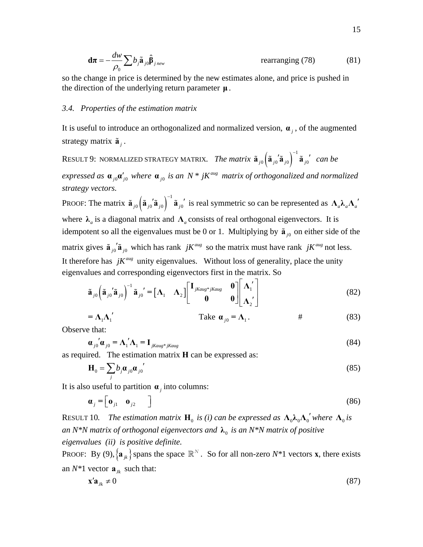$$
\mathbf{d}\boldsymbol{\pi} = -\frac{dw}{\rho_0} \sum b_j \tilde{\mathbf{a}}_{j0} \hat{\boldsymbol{\beta}}_{j_{new}}
$$
 rearranging (78) (81)

so the change in price is determined by the new estimates alone, and price is pushed in the direction of the underlying return parameter **μ** .

#### *3.4. Properties of the estimation matrix*

It is useful to introduce an orthogonalized and normalized version,  $\alpha_i$ , of the augmented strategy matrix  $\tilde{a}$ , .

Result 9: normalized strategy matrix. *The matrix*  $\tilde{\bf a}_{j0}\Big(\tilde{\bf a}_{j0}^{'}\tilde{\bf a}_{j0} \Big)^{-1}\tilde{\bf a}_{j0}$  $\tilde{a}_{i0}$  $\left(\tilde{a}_{i0}$ ' $\tilde{a}_{i0}\right)^{-1}$  $\tilde{a}_{i0}$ ' can be *expressed as*  $\mathbf{a}_{i0} \mathbf{a}'_{i0}$  where  $\mathbf{a}_{i0}$  *is an*  $N^*$  *jK*<sup>*aug*</sup> *matrix of orthogonalized and normalized strategy vectors.* 

PROOF: The matrix  $\tilde{\mathbf{a}}_{j0} \left( \tilde{\mathbf{a}}_{j0} \tilde{\mathbf{a}}_{j0} \right)^{-1} \tilde{\mathbf{a}}_{j0}$  $\tilde{\mathbf{a}}_{j0}$   $\left(\tilde{\mathbf{a}}_{j0} \cdot \tilde{\mathbf{a}}_{j0}\right)^{-1}$   $\tilde{\mathbf{a}}_{j0}$  is real symmetric so can be represented as  $\Lambda_a \lambda_a \Lambda_a$ where  $\lambda_a$  is a diagonal matrix and  $\Lambda_a$  consists of real orthogonal eigenvectors. It is idempotent so all the eigenvalues must be 0 or 1. Multiplying by  $\tilde{a}_{i0}$  on either side of the matrix gives  $\tilde{a}_{i0}$ ' $\tilde{a}_{i0}$  which has rank *jK*<sup>*aug*</sup> so the matrix must have rank *jK*<sup>*aug*</sup> not less. It therefore has  $jK^{aug}$  unity eigenvalues. Without loss of generality, place the unity eigenvalues and corresponding eigenvectors first in the matrix. So

$$
\tilde{\mathbf{a}}_{j0} \left( \tilde{\mathbf{a}}_{j0} \tilde{\mathbf{a}}_{j0} \right)^{-1} \tilde{\mathbf{a}}_{j0} \tilde{\mathbf{a}} = \begin{bmatrix} \mathbf{\Lambda}_1 & \mathbf{\Lambda}_2 \end{bmatrix} \begin{bmatrix} \mathbf{I}_{jkaug*jkaug} & \mathbf{0} \\ \mathbf{0} & \mathbf{0} \end{bmatrix} \begin{bmatrix} \mathbf{\Lambda}_1' \\ \mathbf{\Lambda}_2' \end{bmatrix} \tag{82}
$$

$$
= \Lambda_1 \Lambda_1' \qquad \qquad \text{Take } \alpha_{j0} = \Lambda_1. \qquad \qquad \# \qquad (83)
$$

Observe that:

$$
\boldsymbol{\alpha}_{j0}^{'}\boldsymbol{\alpha}_{j0} = \boldsymbol{\Lambda}_1^{'}\boldsymbol{\Lambda}_1 = \mathbf{I}_{jkaug*jkaug}
$$
\n(84)

<span id="page-14-0"></span>as required. The estimation matrix **H** can be expressed as:

$$
\mathbf{H}_0 = \sum_j b_j \boldsymbol{\alpha}_{j0} \boldsymbol{\alpha}_{j0}' \tag{85}
$$

<span id="page-14-1"></span>It is also useful to partition  $\alpha$  *j* into columns:

$$
\boldsymbol{\alpha}_j = \begin{bmatrix} \boldsymbol{\sigma}_{j1} & \boldsymbol{\sigma}_{j2} \end{bmatrix} \tag{86}
$$

RESULT 10. The estimation matrix  $\mathbf{H}_0$  is (i) can be expressed as  $\Lambda_0 \lambda_0 \Lambda_0'$  where  $\Lambda_0$  is *an N\*N matrix of orthogonal eigenvectors and*  $\lambda_0$  *is an N\*N matrix of positive eigenvalues (ii) is positive definite.* 

PROOF: By [\(9\),](#page-6-3)  $\{a_{ik}\}$  spans the space  $\mathbb{R}^N$ . So for all non-zero  $N^*1$  vectors **x**, there exists an  $N^*1$  vector  $\mathbf{a}_k$  such that:

$$
\mathbf{x}'\mathbf{a}_{jk} \neq 0 \tag{87}
$$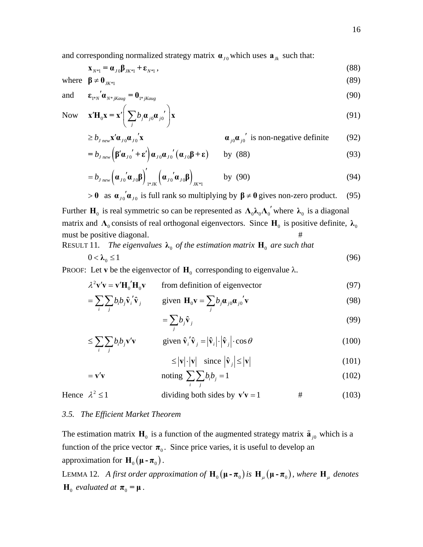$$
\mathbf{x}_{N^{*1}} = \mathbf{a}_{J0} \mathbf{\beta}_{J K^{*1}} + \mathbf{\varepsilon}_{N^{*1}}\,,\tag{88}
$$

<span id="page-15-1"></span><span id="page-15-0"></span>where  $\beta \neq 0$ <sub>*K\*1</sub>* (89)</sub>

and 
$$
\mathbf{\varepsilon}_{1^*N}^{'}\mathbf{\alpha}_{N^*jKaug} = \mathbf{0}_{1^*jKaug}
$$
 (90)

Now 
$$
\mathbf{x}'\mathbf{H}_0\mathbf{x} = \mathbf{x}' \bigg( \sum_j b_j \boldsymbol{\alpha}_{j0} \boldsymbol{\alpha}_{j0}' \bigg) \mathbf{x}
$$
 (91)

$$
\geq b_{j_{new}} \mathbf{x}' \mathbf{\alpha}_{j0} \mathbf{\alpha}_{j0}' \mathbf{x} \qquad \qquad \mathbf{\alpha}_{j0} \mathbf{\alpha}_{j0}' \text{ is non-negative definite} \qquad (92)
$$

$$
=b_{j_{new}}\left(\beta'\alpha_{j0}^{\prime}+\epsilon'\right)\alpha_{j0}\alpha_{j0}^{\prime}(\alpha_{j0}\beta+\epsilon)\qquad\text{by}\quad(88)
$$
\n(93)

$$
=b_{J_{\text{new}}}(\boldsymbol{\alpha}_{J0}^{'}\boldsymbol{\alpha}_{J0}\boldsymbol{\beta})'_{I^{*}JK}(\boldsymbol{\alpha}_{J0}^{'}\boldsymbol{\alpha}_{J0}\boldsymbol{\beta})_{JK^{*}I} \qquad \text{by (90)}
$$
\n(94)

$$
> 0
$$
 as  $\mathbf{a}_{j0} \mathbf{a}_{j0}$  is full rank so multiplying by  $\beta \neq 0$  gives non-zero product. (95)

Further **H**<sub>0</sub> is real symmetric so can be represented as  $\Lambda_0 \lambda_0 \Lambda_0'$  where  $\lambda_0$  is a diagonal matrix and  $\Lambda_0$  consists of real orthogonal eigenvectors. Since  $H_0$  is positive definite,  $\lambda_0$ must be positive diagonal. #

RESULT 11. The eigenvalues  $\lambda_0$  of the estimation matrix  $\mathbf{H}_0$  are such that

$$
0 < \lambda_0 \le 1 \tag{96}
$$

PROOF: Let **v** be the eigenvector of  $H_0$  corresponding to eigenvalue  $\lambda$ .

 $\lambda^2 \mathbf{v}' \mathbf{v} = \mathbf{v}' \mathbf{H}_0' \mathbf{H}_0 \mathbf{v}$ from definition of eigenvector (97)

$$
= \sum_{i} \sum_{j} b_{i} b_{j} \hat{\mathbf{v}}_{i}^{\prime} \hat{\mathbf{v}}_{j} \qquad \text{given } \mathbf{H}_{0} \mathbf{v} = \sum_{j} b_{j} \mathbf{\alpha}_{j0} \mathbf{\alpha}_{j0}^{\prime} \mathbf{v}
$$
 (98)

$$
=\sum_{j}b_{j}\hat{\mathbf{v}}_{j}\tag{99}
$$

$$
\leq \sum_{i} \sum_{j} b_{i} b_{j} \mathbf{v}' \mathbf{v} \qquad \text{given } \hat{\mathbf{v}}_{i}' \hat{\mathbf{v}}_{j} = |\hat{\mathbf{v}}_{i}| \cdot |\hat{\mathbf{v}}_{j}| \cdot \cos \theta \qquad (100)
$$

$$
\leq |\mathbf{v}| \cdot |\mathbf{v}| \quad \text{since } |\hat{\mathbf{v}}_j| \leq |\mathbf{v}| \tag{101}
$$

$$
= \mathbf{v}'\mathbf{v} \qquad \text{noting } \sum_{i} \sum_{j} b_{i}b_{j} = 1 \qquad (102)
$$

Hence  $\lambda^2 \le 1$  dividing both sides by  $\mathbf{v}'\mathbf{v} = 1$  # (103)

#### *3.5. The Efficient Market Theorem*

The estimation matrix  $H_0$  is a function of the augmented strategy matrix  $\tilde{a}_{i0}$  which is a function of the price vector  $\pi_0$ . Since price varies, it is useful to develop an approximation for  $H_0(\mu - \pi_0)$ .

LEMMA 12. A first order approximation of  $\mathbf{H}_{0}(\mathbf{\mu}-\boldsymbol{\pi}_{0})$  is  $\mathbf{H}_{\mu}(\mathbf{\mu}-\boldsymbol{\pi}_{0})$ , where  $\mathbf{H}_{\mu}$  denotes  $\mathbf{H}_0$  *evaluated at*  $\boldsymbol{\pi}_0 = \boldsymbol{\mu}$ .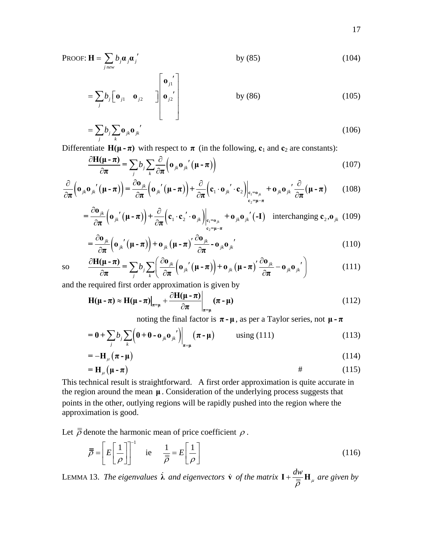PROOF: 
$$
\mathbf{H} = \sum_{j_{new}} b_j \boldsymbol{\alpha}_j \boldsymbol{\alpha}_j'
$$
 by (85) (104)

$$
= \sum_{j} b_{j} \begin{bmatrix} \mathbf{0}_{j1} & \mathbf{0}_{j2} \end{bmatrix} \begin{bmatrix} \mathbf{0}_{j1}^{\prime} \\ \mathbf{0}_{j2}^{\prime} \end{bmatrix}
$$
 by (86) (105)

$$
=\sum_{j}b_{j}\sum_{k}\mathbf{0}_{jk}\mathbf{0}_{jk}'
$$
 (106)

Differentiate  $H(\mu - \pi)$  with respect to  $\pi$  (in the following,  $c_1$  and  $c_2$  are constants):

$$
\frac{\partial \mathbf{H}(\mathbf{\mu} - \boldsymbol{\pi})}{\partial \boldsymbol{\pi}} = \sum_{j} b_{j} \sum_{k} \frac{\partial}{\partial \boldsymbol{\pi}} \Big( \mathbf{o}_{jk} \mathbf{o}_{jk}{}'(\mathbf{\mu} - \boldsymbol{\pi}) \Big)
$$
(107)

$$
\frac{\partial}{\partial \pi} \left( \mathbf{o}_{jk} \mathbf{o}_{jk}{}'(\mathbf{\mu} - \pi) \right) = \frac{\partial \mathbf{o}_{jk}}{\partial \pi} \left( \mathbf{o}_{jk}{}'(\mathbf{\mu} - \pi) \right) + \frac{\partial}{\partial \pi} \left( \mathbf{c}_1 \cdot \mathbf{o}_{jk}{}' \cdot \mathbf{c}_2 \right) \Big|_{\mathbf{c}_1 = \mathbf{o}_{jk}} + \mathbf{o}_{jk} \mathbf{o}_{jk}{}' \frac{\partial}{\partial \pi} (\mathbf{\mu} - \pi) \tag{108}
$$

$$
= \frac{\partial \mathbf{o}_{jk}}{\partial \pi} \Big(\mathbf{o}_{jk}{}'(\mathbf{\mu} - \pi)\Big) + \frac{\partial}{\partial \pi} \Big(\mathbf{c}_1 \cdot \mathbf{c}_2{}' \cdot \mathbf{o}_{jk}\Big)\Big|_{\substack{\mathbf{c}_1 = \mathbf{o}_{jk} \\ \mathbf{c}_2 = \mathbf{\mu} - \pi}} + \mathbf{o}_{jk} \mathbf{o}_{jk}{}'(\mathbf{-I}) \quad \text{interchanging } \mathbf{c}_2, \mathbf{o}_{jk} \tag{109}
$$

$$
= \frac{\partial \mathbf{o}_{jk}}{\partial \pi} \Big(\mathbf{o}_{jk}{}'(\mathbf{\mu} - \pi)\Big) + \mathbf{o}_{jk} (\mathbf{\mu} - \pi)' \frac{\partial \mathbf{o}_{jk}}{\partial \pi} - \mathbf{o}_{jk} \mathbf{o}_{jk}'
$$
(110)

<span id="page-16-0"></span>
$$
\text{so} \qquad \frac{\partial \mathbf{H}(\mathbf{\mu} - \boldsymbol{\pi})}{\partial \boldsymbol{\pi}} = \sum_{j} b_{j} \sum_{k} \left( \frac{\partial \mathbf{o}_{jk}}{\partial \boldsymbol{\pi}} \left( \mathbf{o}_{jk}{}'(\mathbf{\mu} - \boldsymbol{\pi}) \right) + \mathbf{o}_{jk} \left( \mathbf{\mu} - \boldsymbol{\pi} \right) \frac{\partial \mathbf{o}_{jk}}{\partial \boldsymbol{\pi}} - \mathbf{o}_{jk} \mathbf{o}_{jk}{}' \right) \tag{111}
$$

and the required first order approximation is given by

$$
\mathbf{H}(\mathbf{\mu} - \boldsymbol{\pi}) \approx \mathbf{H}(\mathbf{\mu} - \boldsymbol{\pi})\Big|_{\boldsymbol{\pi} = \mathbf{\mu}} + \frac{\partial \mathbf{H}(\mathbf{\mu} - \boldsymbol{\pi})}{\partial \boldsymbol{\pi}}\Big|_{\boldsymbol{\pi} = \mathbf{\mu}} (\boldsymbol{\pi} - \mathbf{\mu})
$$
(112)

noting the final factor is  $\pi - \mu$ , as per a Taylor series, not  $\mu - \pi$ 

$$
= \mathbf{0} + \sum_{j} b_j \sum_{k} \left( \mathbf{0} + \mathbf{0} - \mathbf{o}_{jk} \mathbf{o}_{jk} \right) \Big|_{\pi = \mu} \left( \pi - \mu \right) \quad \text{using (111)} \tag{113}
$$

$$
= -\mathbf{H}_{\mu} \left( \boldsymbol{\pi} \cdot \boldsymbol{\mu} \right) \tag{114}
$$

$$
=H_{\mu}\left(\mu-\pi\right) \tag{115}
$$

This technical result is straightforward. A first order approximation is quite accurate in the region around the mean **μ** . Consideration of the underlying process suggests that points in the other, outlying regions will be rapidly pushed into the region where the approximation is good.

Let  $\bar{\bar{\rho}}$  denote the harmonic mean of price coefficient  $\rho$ .

$$
\overline{\overline{\rho}} = \left[ E \left[ \frac{1}{\rho} \right] \right]^{-1} \quad \text{ie} \quad \frac{1}{\overline{\overline{\rho}}} = E \left[ \frac{1}{\rho} \right] \tag{116}
$$

LEMMA 13. The eigenvalues  $\dot{\lambda}$  and eigenvectors  $\dot{v}$  of the matrix  $I + \frac{dw}{dt}$  $\bar{\bar{\rho}}$   $^{-\mu}$  $\mathbf{I} + \frac{aw}{\equiv} \mathbf{H}_u$  are given by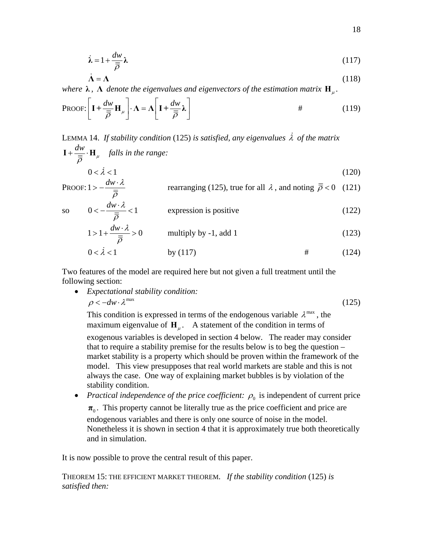$$
\dot{\lambda} = 1 + \frac{dw}{\overline{\rho}} \lambda \tag{117}
$$

$$
\dot{\Lambda} = \Lambda \tag{118}
$$

<span id="page-17-1"></span>*where*  $\lambda$ ,  $\Lambda$  *denote the eigenvalues and eigenvectors of the estimation matrix*  $\mathbf{H}_{\mu}$ .

PROOF: 
$$
\left[\mathbf{I} + \frac{dw}{\overline{\rho}} \mathbf{H}_{\mu}\right] \cdot \mathbf{\Lambda} = \mathbf{\Lambda} \left[\mathbf{I} + \frac{dw}{\overline{\rho}} \mathbf{\lambda}\right]
$$
 (119)

LEMMA 14. *If stability condition* [\(125\)](#page-17-0) *is satisfied, any eigenvalues* λ  *of the matrix dw*  $\mathbf{I} + \frac{aw}{\equiv} \cdot \mathbf{H}_{\mu}$  *falls in the range:* 

$$
\overline{\rho} \xrightarrow{\rho} 0 < \lambda < 1 \tag{120}
$$

<span id="page-17-2"></span>PROOF: 
$$
1 > -\frac{dw \cdot \lambda}{\overline{\overline{\rho}}}
$$
 rearranging (125), true for all  $\lambda$ , and noting  $\overline{\overline{\rho}} < 0$  (121)

so 
$$
0 < -\frac{dw \cdot \lambda}{\overline{\overline{\rho}}} < 1
$$
 expression is positive  
  $1 > 1 + \frac{dw \cdot \lambda}{\overline{\overline{\rho}}} > 0$  multiply by -1, add 1 (123)

$$
0 < \lambda < 1
$$
 by (117) \t\t\t\t# \t\t\t(124)

<span id="page-17-0"></span>Two features of the model are required here but not given a full treatment until the following section:

• *Expectational stability condition:*  $\rho < -dw \cdot \lambda^{\max}$  (125)

This condition is expressed in terms of the endogenous variable  $\lambda^{\max}$ , the maximum eigenvalue of  $H_{\mu}$ . A statement of the condition in terms of

exogenous variables is developed in section 4 below. The reader may consider that to require a stability premise for the results below is to beg the question – market stability is a property which should be proven within the framework of the model. This view presupposes that real world markets are stable and this is not always the case. One way of explaining market bubbles is by violation of the stability condition.

• *Practical independence of the price coefficient:*  $\rho_0$  is independent of current price

 $\pi_0$ . This property cannot be literally true as the price coefficient and price are endogenous variables and there is only one source of noise in the model. Nonetheless it is shown in section 4 that it is approximately true both theoretically and in simulation.

It is now possible to prove the central result of this paper.

THEOREM 15: THE EFFICIENT MARKET THEOREM. *If the stability condition* [\(125\)](#page-17-0) *is satisfied then:*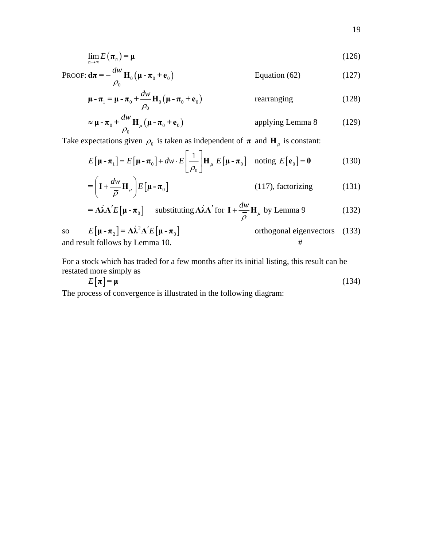$$
\lim_{n \to \infty} E(\boldsymbol{\pi}_n) = \boldsymbol{\mu} \tag{126}
$$

PROOF: 
$$
\mathbf{d}\boldsymbol{\pi} = -\frac{dw}{\rho_0} \mathbf{H}_0 \left( \boldsymbol{\mu} - \boldsymbol{\pi}_0 + \mathbf{e}_0 \right)
$$
 Equation (62) (127)

$$
\mathbf{\mu} - \boldsymbol{\pi}_1 = \mathbf{\mu} - \boldsymbol{\pi}_0 + \frac{dw}{\rho_0} \mathbf{H}_0 \left( \mathbf{\mu} - \boldsymbol{\pi}_0 + \mathbf{e}_0 \right)
$$
 rearranging (128)

$$
\approx \mathbf{\mu} - \mathbf{\pi}_0 + \frac{dw}{\rho_0} \mathbf{H}_{\mu} (\mathbf{\mu} - \mathbf{\pi}_0 + \mathbf{e}_0)
$$
 applying Lemma 8 (129)

<span id="page-18-1"></span><span id="page-18-0"></span>Take expectations given  $\rho_0$  is taken as independent of  $\pi$  and  $H_\mu$  is constant:

$$
E\left[\mathbf{\mu} - \mathbf{\pi}_1\right] = E\left[\mathbf{\mu} - \mathbf{\pi}_0\right] + dw \cdot E\left[\frac{1}{\rho_0}\right] \mathbf{H}_{\mu} E\left[\mathbf{\mu} - \mathbf{\pi}_0\right] \text{ noting } E\left[\mathbf{e}_0\right] = \mathbf{0}
$$
 (130)

$$
= \left( \mathbf{I} + \frac{dw}{\bar{\rho}} \mathbf{H}_{\mu} \right) E\left[ \mathbf{\mu} - \mathbf{\pi}_0 \right]
$$
 (117), factorizing (131)

$$
= \Lambda \lambda \Lambda' E[\mu - \pi_0] \quad \text{substituting } \Lambda \lambda \Lambda' \text{ for } I + \frac{dw}{\overline{\overline{\rho}}} H_\mu \text{ by Lemma 9} \tag{132}
$$

so  $E[\mu - \pi_2] = \Lambda \lambda^2 \Lambda' E[\mu - \pi_0]$  orthogonal eigenvectors (133) and result follows by Lemma 10. #

For a stock which has traded for a few months after its initial listing, this result can be restated more simply as

$$
E[\pi] = \mu \tag{134}
$$

The process of convergence is illustrated in the following diagram: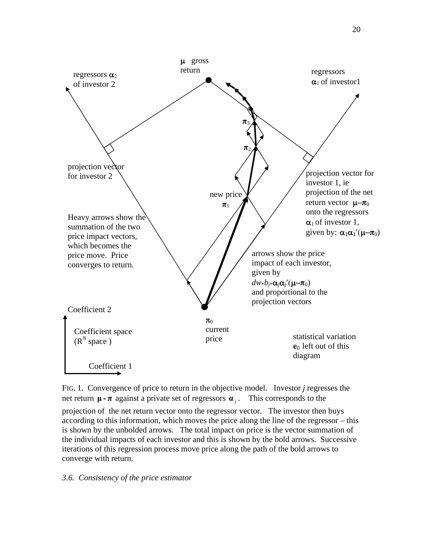

FIG. 1. Convergence of price to return in the objective model. Investor *j* regresses the net return  $\mu$  **-**  $\pi$  against a private set of regressors  $\alpha$  i. This corresponds to the

projection of the net return vector onto the regressor vector. The investor then buys according to this information, which moves the price along the line of the regressor – this is shown by the unbolded arrows. The total impact on price is the vector summation of the individual impacts of each investor and this is shown by the bold arrows. Successive iterations of this regression process move price along the path of the bold arrows to converge with return.

# *3.6. Consistency of the price estimator*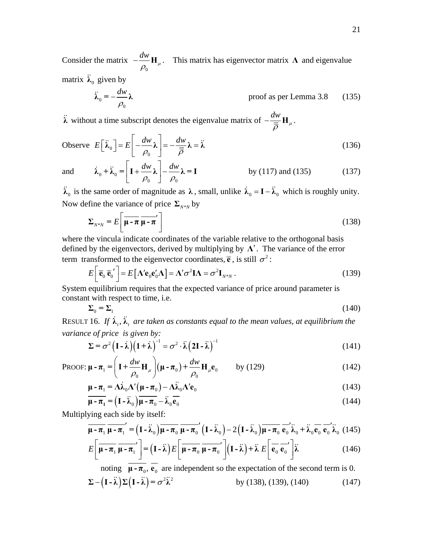Consider the matrix  $\overline{0}$  $-\frac{dw}{\rho_0}$ **H**  $_{\mu}$ . This matrix has eigenvector matrix **Λ** and eigenvalue matrix  $\ddot{\lambda}_0$  given by

$$
\ddot{\lambda}_0 = -\frac{dw}{\rho_0} \lambda \tag{135}
$$
 proof as per Lemma 3.8

<span id="page-20-0"></span>**λ** without a time subscript denotes the eigenvalue matrix of  $-\frac{dw}{\bar{\rho}}\mathbf{H}_{\mu}$ .

Observe 
$$
E\left[\ddot{\lambda}_0\right] = E\left[-\frac{dw}{\rho_0}\lambda\right] = -\frac{dw}{\overline{\rho}}\lambda = \ddot{\lambda}
$$
 (136)

and 
$$
\dot{\lambda}_0 + \ddot{\lambda}_0 = \left[ \mathbf{I} + \frac{dw}{\rho_0} \boldsymbol{\lambda} \right] - \frac{dw}{\rho_0} \boldsymbol{\lambda} = \mathbf{I}
$$
 by (117) and (135) (137)

<span id="page-20-1"></span> $\ddot{\lambda}_0$  is the same order of magnitude as  $\lambda$ , small, unlike  $\dot{\lambda}_0 = I - \ddot{\lambda}_0$  which is roughly unity. Now define the variance of price  $\Sigma_{N*N}$  by

$$
\Sigma_{N^*N} = E\left[\overline{\mu - \pi} \overline{\mu - \pi}'\right]
$$
 (138)

where the vincula indicate coordinates of the variable relative to the orthogonal basis defined by the eigenvectors, derived by multiplying by **Λ**′. The variance of the error term transformed to the eigenvector coordinates,  $\overline{e}$ , is still  $\sigma^2$ :

$$
E\left[\overline{\mathbf{e}}_0 \overline{\mathbf{e}}_0'\right] = E\left[\mathbf{\Lambda}^{\prime} \mathbf{e}_0 \mathbf{e}_0' \mathbf{\Lambda}\right] = \mathbf{\Lambda}^{\prime} \sigma^2 \mathbf{I} \mathbf{\Lambda} = \sigma^2 \mathbf{I}_{N^*N} \,. \tag{139}
$$

<span id="page-20-2"></span>System equilibrium requires that the expected variance of price around parameter is constant with respect to time, i.e.

$$
\Sigma_0 = \Sigma_1 \tag{140}
$$

<span id="page-20-3"></span>RESULT 16. If  $\dot{\lambda}_t$ ,  $\ddot{\lambda}_t$  are taken as constants equal to the mean values, at equilibrium the *variance of price is given by:* 

$$
\Sigma = \sigma^2 (I - \lambda) (1 + \lambda)^{-1} = \sigma^2 \cdot \lambda (2I - \lambda)^{-1}
$$
 (141)

<span id="page-20-5"></span>PROOF: 
$$
\mathbf{\mu} - \boldsymbol{\pi}_1 = \left( \mathbf{I} + \frac{dw}{\rho_0} \mathbf{H}_{\mu} \right) (\mathbf{\mu} - \boldsymbol{\pi}_0) + \frac{dw}{\rho_0} \mathbf{H}_{\mu} \mathbf{e}_0
$$
 by (129) (142)

$$
\mathbf{\mu} - \boldsymbol{\pi}_1 = \boldsymbol{\Lambda} \dot{\boldsymbol{\lambda}}_0 \boldsymbol{\Lambda}' (\mathbf{\mu} - \boldsymbol{\pi}_0) - \boldsymbol{\Lambda} \ddot{\boldsymbol{\lambda}}_0 \boldsymbol{\Lambda}' \mathbf{e}_0
$$
 (143)

$$
\overline{\mu - \pi_1} = (\mathbf{I} - \overline{\lambda}_0) \overline{\mu - \pi_0} - \overline{\lambda}_0 \overline{\mathbf{e}_0}
$$
 (144)

Multiplying each side by itself:

$$
\overline{\mu - \pi_1} \overline{\mu - \pi_1}' = (\mathbf{I} - \overline{\lambda}_0) \overline{\mu - \pi_0} \overline{\mu - \pi_0}' (\mathbf{I} - \overline{\lambda}_0) - 2 (\mathbf{I} - \overline{\lambda}_0) \overline{\mu - \pi_0} \overline{\mathbf{e}_0}' \overline{\lambda}_0 + \overline{\lambda}_0 \overline{\mathbf{e}_0} \overline{\mathbf{e}_0}' \overline{\lambda}_0
$$
(145)

$$
E\left[\overline{\mu - \pi_1} \overline{\mu - \pi_1}'\right] = \left(\mathbf{I} - \tilde{\lambda}\right) E\left[\overline{\mu - \pi_0} \overline{\mu - \pi_0}'\right] \left(\mathbf{I} - \tilde{\lambda}\right) + \tilde{\lambda} E\left[\overline{\mathbf{e}_0} \overline{\mathbf{e}_0}'\right] \tilde{\lambda}
$$
(146)

<span id="page-20-4"></span>noting  $\mu - \pi_0$ ,  $\mathbf{e}_0$  are independent so the expectation of the second term is 0.  $\Sigma - (I - \tilde{\lambda}) \Sigma (I - \tilde{\lambda}) = \sigma^2 \tilde{\lambda}^2$  by [\(138\),](#page-20-1) [\(139\),](#page-20-2) [\(140\)](#page-20-3) (147)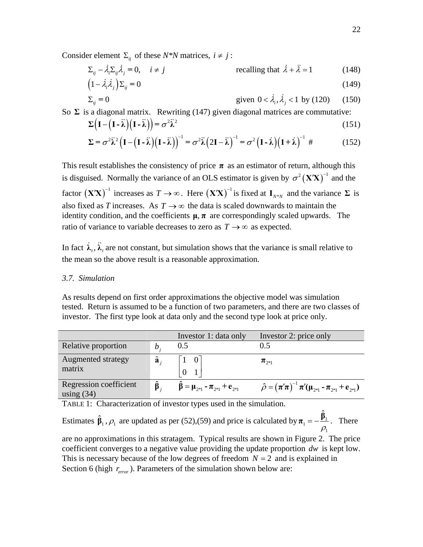Consider element  $\Sigma_{ii}$  of these *N\*N* matrices,  $i \neq j$ :

$$
\Sigma_{ij} - \dot{\lambda}_i \Sigma_{ij} \dot{\lambda}_j = 0, \quad i \neq j \qquad \text{recalling that } \dot{\lambda} + \ddot{\lambda} = 1 \qquad (148)
$$

$$
1 - \dot{\lambda}_i \dot{\lambda}_j \Sigma_{ij} = 0 \tag{149}
$$

$$
\Sigma_{ij} = 0 \t\t\t given \t0 < \dot{\lambda}_i, \dot{\lambda}_j < 1 \t\t by \t(120) \t(150)
$$

So  $\Sigma$  is a diagonal matrix. Rewriting [\(147\)](#page-20-4) given diagonal matrices are commutative:

$$
\Sigma\left(\mathbf{I} - \left(\mathbf{I} - \ddot{\lambda}\right)\left(\mathbf{I} - \ddot{\lambda}\right)\right) = \sigma^2 \ddot{\lambda}^2 \tag{151}
$$

$$
\Sigma = \sigma^2 \tilde{\lambda}^2 \left( \mathbf{I} - \left( \mathbf{I} - \tilde{\lambda} \right) \left( \mathbf{I} - \tilde{\lambda} \right) \right)^{-1} = \sigma^2 \tilde{\lambda} \left( 2\mathbf{I} - \tilde{\lambda} \right)^{-1} = \sigma^2 \left( \mathbf{I} - \tilde{\lambda} \right) \left( \mathbf{1} + \tilde{\lambda} \right)^{-1} \tag{152}
$$

This result establishes the consistency of price  $\pi$  as an estimator of return, although this is disguised. Normally the variance of an OLS estimator is given by  $\sigma^2 (XX)^{-1}$  and the factor  $(X'X)^{-1}$  increases as *T* → ∞. Here  $(X'X)^{-1}$  is fixed at  $I_{N*N}$  and the variance Σ is also fixed as *T* increases. As  $T \rightarrow \infty$  the data is scaled downwards to maintain the identity condition, and the coefficients  $\mu$ ,  $\pi$  are correspondingly scaled upwards. The ratio of variance to variable decreases to zero as  $T \rightarrow \infty$  as expected.

In fact  $\lambda_i$ ,  $\lambda_i$  are not constant, but simulation shows that the variance is small relative to the mean so the above result is a reasonable approximation.

### *3.7. Simulation*

As results depend on first order approximations the objective model was simulation tested. Return is assumed to be a function of two parameters, and there are two classes of investor. The first type look at data only and the second type look at price only.

|                                        |                      | Investor 1: data only                                    | Investor 2: price only                                                       |
|----------------------------------------|----------------------|----------------------------------------------------------|------------------------------------------------------------------------------|
| Relative proportion                    | $\mathfrak{b}$ .     | 0.5                                                      | (0.5)                                                                        |
| Augmented strategy<br>matrix           | $\tilde{\mathbf{a}}$ | $1 \quad 0 \mid$                                         | $\pi_{\gamma_{*1}}$                                                          |
| Regression coefficient<br>using $(34)$ |                      | $\hat{\beta} = \mu_{2^{*1}} - \pi_{2^{*1}} + e_{2^{*1}}$ | $\hat{\rho} = (\pi'\pi)^{-1} \pi'(\mu_{2^{*1}} - \pi_{2^{*1}} + e_{2^{*1}})$ |

TABLE 1: Characterization of investor types used in the simulation.

Estimates  $\hat{\beta}_1, \rho_1$  are updated as per [\(52\)](#page-11-6)[,\(59\)](#page-12-4) and price is calculated by  $\pi_1 = -\frac{\beta_1}{2}$ 1  $\pi_1 = -\frac{\hat{\beta}_1}{\rho_1}$ . There are no approximations in this stratagem. Typical results are shown in Figure 2. The price coefficient converges to a negative value providing the update proportion *dw* is kept low. This is necessary because of the low degrees of freedom  $N = 2$  and is explained in Section 6 (high  $r_{error}$ ). Parameters of the simulation shown below are: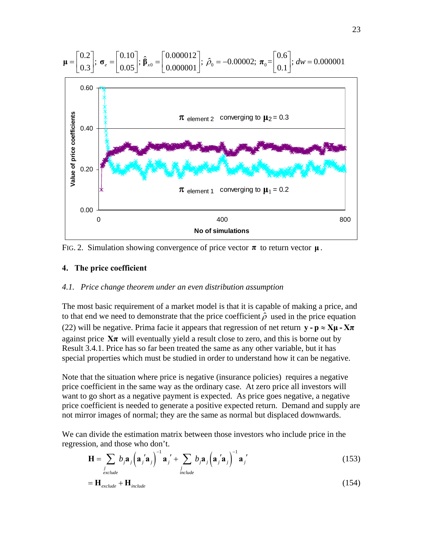

FIG. 2. Simulation showing convergence of price vector  $\pi$  to return vector  $\mu$ .

#### **4. The price coefficient**

#### *4.1. Price change theorem under an even distribution assumption*

The most basic requirement of a market model is that it is capable of making a price, and to that end we need to demonstrate that the price coefficient  $\hat{\rho}$  used in the price equation [\(22\)](#page-8-6) will be negative. Prima facie it appears that regression of net return  $y - p \approx X\mu - X\pi$ against price  $X\pi$  will eventually yield a result close to zero, and this is borne out by Result 3.4.1. Price has so far been treated the same as any other variable, but it has special properties which must be studied in order to understand how it can be negative.

Note that the situation where price is negative (insurance policies) requires a negative price coefficient in the same way as the ordinary case. At zero price all investors will want to go short as a negative payment is expected. As price goes negative, a negative price coefficient is needed to generate a positive expected return. Demand and supply are not mirror images of normal; they are the same as normal but displaced downwards.

We can divide the estimation matrix between those investors who include price in the regression, and those who don't.

$$
\mathbf{H} = \sum_{\substack{j\\ \text{exclude}}} b_j \mathbf{a}_j \left( \mathbf{a}_j' \mathbf{a}_j \right)^{-1} \mathbf{a}_j' + \sum_{\substack{j\\ \text{include}}} b_j \mathbf{a}_j \left( \mathbf{a}_j' \mathbf{a}_j \right)^{-1} \mathbf{a}_j' \tag{153}
$$

$$
=H_{\text{exclude}} + H_{\text{include}} \tag{154}
$$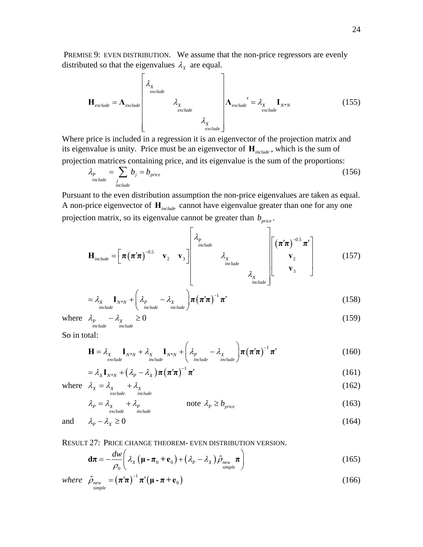PREMISE 9: EVEN DISTRIBUTION. We assume that the non-price regressors are evenly distributed so that the eigenvalues  $\lambda_x$  are equal.

$$
\mathbf{H}_{\text{exclude}} = \mathbf{\Lambda}_{\text{exclude}} \begin{bmatrix} \lambda_{X} \\ \lambda_{X} \\ \lambda_{X} \\ \lambda_{\text{exclude}} \end{bmatrix} \lambda_{\text{exclude}} \begin{bmatrix} \lambda_{X} \\ \lambda_{\text{exclude}} \end{bmatrix} \lambda_{\text{exclude}} \begin{bmatrix} \lambda_{X} \\ \lambda_{\text{exclude}} \end{bmatrix} \qquad (155)
$$

Where price is included in a regression it is an eigenvector of the projection matrix and its eigenvalue is unity. Price must be an eigenvector of **H***include* , which is the sum of projection matrices containing price, and its eigenvalue is the sum of the proportions:

$$
\lambda_p = \sum_{\substack{j \text{include}} \text{include}} b_j = b_{\text{price}} \tag{156}
$$

Pursuant to the even distribution assumption the non-price eigenvalues are taken as equal. A non-price eigenvector of **H***include* cannot have eigenvalue greater than one for any one projection matrix, so its eigenvalue cannot be greater than  $b_{price}$ .

$$
\mathbf{H}_{\text{include}} = \left[ \pi (\pi' \pi)^{-0.5} \mathbf{v}_2 \mathbf{v}_3 \right] \begin{bmatrix} \lambda_p \\ \lambda_p \\ \lambda_x \\ \text{include} \\ \lambda_x \\ \text{include} \end{bmatrix} \begin{bmatrix} (\pi' \pi)^{-0.5} \pi' \\ \mathbf{v}_2 \\ \mathbf{v}_3 \end{bmatrix}
$$
 (157)

$$
= \lambda_{X} \mathbf{I}_{N^*N} + \left( \lambda_{P} - \lambda_{X} \over \text{include } \right) \boldsymbol{\pi} \left( \boldsymbol{\pi}' \boldsymbol{\pi} \right)^{-1} \boldsymbol{\pi}' \tag{158}
$$

where 
$$
\lambda_p - \lambda_{\chi} \ge 0
$$
 (159)

So in total:

$$
\mathbf{H} = \lambda_{X} \mathbf{I}_{N^*N} + \lambda_{X} \mathbf{I}_{N^*N} + \left( \lambda_{P} - \lambda_{X} \mathbf{n}_{\text{include}} \right) \boldsymbol{\pi} \left( \boldsymbol{\pi}' \boldsymbol{\pi} \right)^{-1} \boldsymbol{\pi}' \tag{160}
$$

$$
= \lambda_X \mathbf{I}_{N^*N} + (\lambda_P - \lambda_X) \boldsymbol{\pi} (\boldsymbol{\pi}' \boldsymbol{\pi})^{-1} \boldsymbol{\pi}' \qquad (161)
$$

<span id="page-23-0"></span>where  $\lambda_X = \lambda_X + \lambda_X$ <br>exclude include  $\lambda_{\rm x} = \lambda_{\rm x} + \lambda_{\rm x}$  (162)

$$
\lambda_p = \lambda_{X} + \lambda_p \qquad \qquad \text{note} \quad \lambda_p \ge b_{price} \qquad (163)
$$

and 
$$
\lambda_p - \lambda_x \ge 0
$$
 (164)

### <span id="page-23-1"></span>RESULT 27: PRICE CHANGE THEOREM- EVEN DISTRIBUTION VERSION.

$$
\mathbf{d}\boldsymbol{\pi} = -\frac{dw}{\rho_0} \left( \lambda_X \left( \boldsymbol{\mu} - \boldsymbol{\pi}_0 + \mathbf{e}_0 \right) + \left( \lambda_P - \lambda_X \right) \hat{\rho}_{new} \boldsymbol{\pi} \right)
$$
(165)

where 
$$
\hat{\rho}_{\substack{n\text{ew}\text{simple}}} = (\pi'\pi)^{-1} \pi'(\mu - \pi + \mathbf{e}_0)
$$
 (166)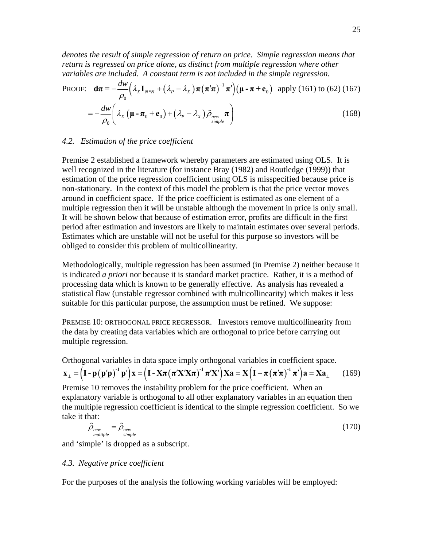*denotes the result of simple regression of return on price. Simple regression means that*  return is regressed on price alone, as distinct from multiple regression where other *variables are included. A constant term is not included in the simple regression.* 

PROOF: 
$$
\mathbf{d}\boldsymbol{\pi} = -\frac{dw}{\rho_0} \Big( \lambda_x \mathbf{I}_{N^*N} + (\lambda_p - \lambda_x) \boldsymbol{\pi} (\boldsymbol{\pi}' \boldsymbol{\pi})^{-1} \boldsymbol{\pi}' \Big) \Big( \boldsymbol{\mu} - \boldsymbol{\pi} + \mathbf{e}_0 \Big) \text{ apply (161) to (62) (167)}
$$

$$
= -\frac{dw}{\rho_0} \Big( \lambda_x \left( \boldsymbol{\mu} - \boldsymbol{\pi}_0 + \mathbf{e}_0 \right) + \left( \lambda_p - \lambda_x \right) \hat{\rho}_{new} \boldsymbol{\pi} \Big) \hspace{1cm} (168)
$$

#### *4.2. Estimation of the price coefficient*

Premise 2 established a framework whereby parameters are estimated using OLS. It is well recognized in the literature (for instance Bray (1982) and Routledge (1999)) that estimation of the price regression coefficient using OLS is misspecified because price is non-stationary. In the context of this model the problem is that the price vector moves around in coefficient space. If the price coefficient is estimated as one element of a multiple regression then it will be unstable although the movement in price is only small. It will be shown below that because of estimation error, profits are difficult in the first period after estimation and investors are likely to maintain estimates over several periods. Estimates which are unstable will not be useful for this purpose so investors will be obliged to consider this problem of multicollinearity.

Methodologically, multiple regression has been assumed (in Premise 2) neither because it is indicated *a priori* nor because it is standard market practice. Rather, it is a method of processing data which is known to be generally effective. As analysis has revealed a statistical flaw (unstable regressor combined with multicollinearity) which makes it less suitable for this particular purpose, the assumption must be refined. We suppose:

PREMISE 10: ORTHOGONAL PRICE REGRESSOR. Investors remove multicollinearity from the data by creating data variables which are orthogonal to price before carrying out multiple regression.

Orthogonal variables in data space imply orthogonal variables in coefficient space.

$$
\mathbf{x}_{\perp} = \left(\mathbf{I} - \mathbf{p}(\mathbf{p}'\mathbf{p})^{-1}\mathbf{p}'\right)\mathbf{x} = \left(\mathbf{I} - \mathbf{X}\boldsymbol{\pi}(\boldsymbol{\pi}'\mathbf{X}'\mathbf{X}\boldsymbol{\pi})^{-1}\boldsymbol{\pi}'\mathbf{X}'\right)\mathbf{X}\mathbf{a} = \mathbf{X}\left(\mathbf{I} - \boldsymbol{\pi}(\boldsymbol{\pi}'\boldsymbol{\pi})^{-1}\boldsymbol{\pi}'\right)\mathbf{a} = \mathbf{X}\mathbf{a}_{\perp}
$$
 (169)

Premise 10 removes the instability problem for the price coefficient. When an explanatory variable is orthogonal to all other explanatory variables in an equation then the multiple regression coefficient is identical to the simple regression coefficient. So we take it that:

$$
\hat{\rho}_{\text{new}} = \hat{\rho}_{\text{new}} \tag{170}
$$

and 'simple' is dropped as a subscript.

### *4.3. Negative price coefficient*

For the purposes of the analysis the following working variables will be employed: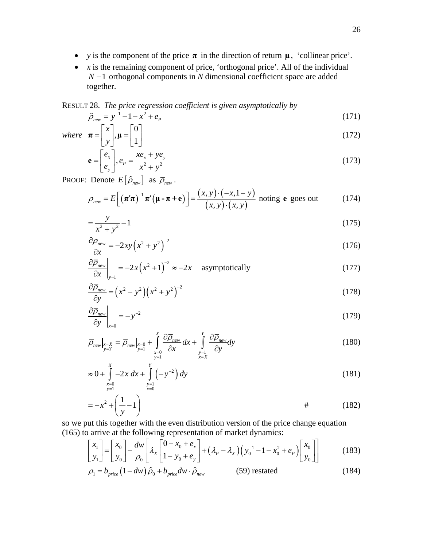- *y* is the component of the price  $\pi$  in the direction of return  $\mu$ , 'collinear price'.
- *x* is the remaining component of price, 'orthogonal price'. All of the individual *N* −1 orthogonal components in *N* dimensional coefficient space are added together.

<span id="page-25-0"></span>RESULT 28. *The price regression coefficient is given asymptotically by* 

$$
\hat{\rho}_{new} = y^{-1} - 1 - x^2 + e_p \tag{171}
$$

where 
$$
\boldsymbol{\pi} = \begin{bmatrix} x \\ y \end{bmatrix}, \boldsymbol{\mu} = \begin{bmatrix} 0 \\ 1 \end{bmatrix}
$$
 (172)

$$
\mathbf{e} = \begin{bmatrix} e_x \\ e_y \end{bmatrix}, e_p = \frac{xe_x + ye_y}{x^2 + y^2} \tag{173}
$$

**PROOF:** Denote  $E[\hat{\rho}_{new}]$  as  $\overline{\rho}_{new}$ .

$$
\overline{\rho}_{\text{new}} = E\bigg[\big(\pi'\pi\big)^{-1}\pi'\big(\mu - \pi + \mathbf{e}\big)\bigg] = \frac{(x, y) \cdot (-x, 1 - y)}{(x, y) \cdot (x, y)}
$$
noting **e** goes out (174)

$$
=\frac{y}{x^2 + y^2} - 1\tag{175}
$$

$$
\frac{\partial \overline{\rho}_{new}}{\partial x} = -2xy\left(x^2 + y^2\right)^{-2} \tag{176}
$$

$$
\frac{\partial \overline{\rho}_{new}}{\partial x}\Big|_{y=1} = -2x\left(x^2 + 1\right)^{-2} \approx -2x \quad \text{asymptotically}
$$
\n(177)

$$
\frac{\partial \overline{\rho}_{new}}{\partial y} = (x^2 - y^2)(x^2 + y^2)^{-2}
$$
\n(178)

$$
\left. \frac{\partial \overline{\rho}_{new}}{\partial y} \right|_{x=0} = -y^{-2} \tag{179}
$$

$$
\overline{\rho}_{new}|_{\substack{x=X \ y=Y}} = \overline{\rho}_{new}|_{\substack{x=0 \ y=1}} + \int_{x=0}^{X} \frac{\partial \overline{\rho}_{new}}{\partial x} dx + \int_{y=1}^{Y} \frac{\partial \overline{\rho}_{new}}{\partial y} dy
$$
\n(180)

$$
\approx 0 + \int_{\substack{x=0 \ y=1}}^{X} -2x \, dx + \int_{\substack{y=1 \ y=0}}^{Y} \left(-y^{-2}\right) dy \tag{181}
$$

$$
=-x^2+\left(\frac{1}{y}-1\right)
$$
\n
$$
\qquad \qquad \# \qquad (182)
$$

<span id="page-25-1"></span>so we put this together with the even distribution version of the price change equation [\(165\)](#page-23-1) to arrive at the following representation of market dynamics:

$$
\begin{bmatrix} x_1 \\ y_1 \end{bmatrix} = \begin{bmatrix} x_0 \\ y_0 \end{bmatrix} - \frac{dw}{\rho_0} \begin{bmatrix} \lambda_x \begin{bmatrix} 0 - x_0 + e_x \\ 1 - y_0 + e_y \end{bmatrix} + (\lambda_p - \lambda_x) \left( y_0^{-1} - 1 - x_0^2 + e_p \right) \begin{bmatrix} x_0 \\ y_0 \end{bmatrix} \end{bmatrix}
$$
(183)

$$
\rho_1 = b_{price} \left( 1 - dw \right) \hat{\rho}_0 + b_{price} dw \cdot \hat{\rho}_{new} \tag{184}
$$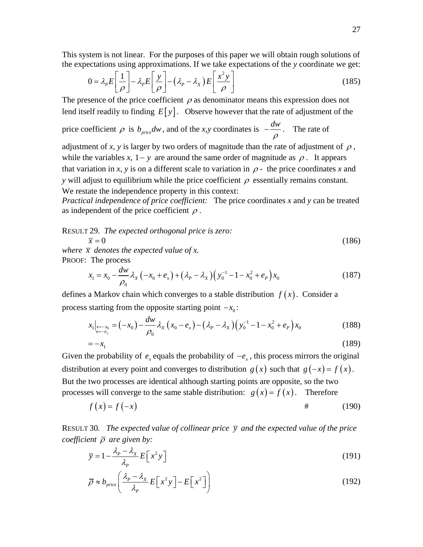<span id="page-26-0"></span>This system is not linear. For the purposes of this paper we will obtain rough solutions of the expectations using approximations. If we take expectations of the *y* coordinate we get:

$$
0 = \lambda_p E \left[ \frac{1}{\rho} \right] - \lambda_p E \left[ \frac{y}{\rho} \right] - \left( \lambda_p - \lambda_x \right) E \left[ \frac{x^2 y}{\rho} \right] \tag{185}
$$

The presence of the price coefficient  $\rho$  as denominator means this expression does not lend itself readily to finding  $E[y]$ . Observe however that the rate of adjustment of the

price coefficient  $\rho$  is  $b_{price}dw$ , and of the *x*, *y* coordinates is  $-\frac{dw}{\rho}$ . The rate of

adjustment of *x*, *y* is larger by two orders of magnitude than the rate of adjustment of  $\rho$ , while the variables *x*,  $1 - y$  are around the same order of magnitude as  $\rho$ . It appears that variation in *x*, *y* is on a different scale to variation in  $\rho$  - the price coordinates *x* and *y* will adjust to equilibrium while the price coefficient  $\rho$  essentially remains constant. We restate the independence property in this context:

*Practical independence of price coefficient:* The price coordinates *x* and *y* can be treated as independent of the price coefficient  $\rho$ .

RESULT 29. *The expected orthogonal price is zero:* 

$$
\overline{x} = 0\tag{186}
$$

<span id="page-26-2"></span>*where*  $\bar{x}$  *denotes the expected value of x.* PROOF:The process

$$
x_1 = x_0 - \frac{dw}{\rho_0} \lambda_x (-x_0 + e_x) + (\lambda_p - \lambda_x) (y_0^{-1} - 1 - x_0^2 + e_p) x_0
$$
 (187)

defines a Markov chain which converges to a stable distribution  $f(x)$ . Consider a process starting from the opposite starting point  $-x_0$ :

$$
x_{1}|_{\substack{x=-x_{0} \\ e=-e_{x}}} = (-x_{0}) - \frac{dw}{\rho_{0}} \lambda_{X} (x_{0} - e_{x}) - (\lambda_{P} - \lambda_{X}) (y_{0}^{-1} - 1 - x_{0}^{2} + e_{P}) x_{0}
$$
\n
$$
= -x_{1}
$$
\n(189)

Given the probability of  $e_x$  equals the probability of  $-e_x$ , this process mirrors the original distribution at every point and converges to distribution *g*(*x*) such that  $g(-x) = f(x)$ . But the two processes are identical although starting points are opposite, so the two processes will converge to the same stable distribution:  $g(x) = f(x)$ . Therefore

$$
f(x) = f(-x) \tag{190}
$$

<span id="page-26-1"></span>RESULT 30. The expected value of collinear price  $\bar{y}$  and the expected value of the price *coefficient* ρ *are given by:* 

$$
\overline{y} = 1 - \frac{\lambda_p - \lambda_x}{\lambda_p} E\left[x^2 y\right]
$$
 (191)

$$
\overline{\rho} \approx b_{price} \left( \frac{\lambda_p - \lambda_x}{\lambda_p} E\left[ x^2 y \right] - E\left[ x^2 \right] \right)
$$
 (192)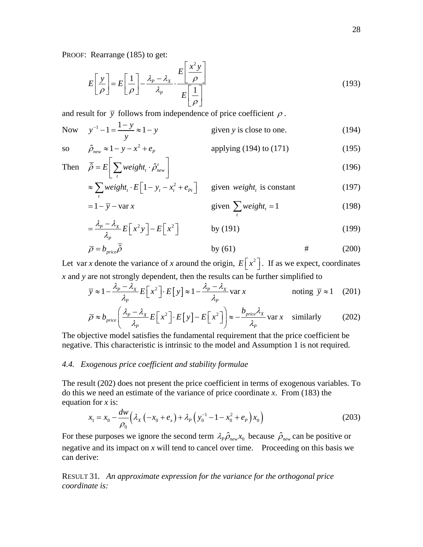PROOF: Rearrange [\(185\)](#page-26-0) to get:

$$
E\left[\frac{y}{\rho}\right] = E\left[\frac{1}{\rho}\right] - \frac{\lambda_p - \lambda_x}{\lambda_p} \cdot \frac{E\left[\frac{x^2 y}{\rho}\right]}{E\left[\frac{1}{\rho}\right]}
$$
(193)

and result for  $\bar{y}$  follows from independence of price coefficient  $\rho$ .

<span id="page-27-0"></span>Now 
$$
y^{-1} - 1 = \frac{1 - y}{y} \approx 1 - y
$$
 given y is close to one. (194)

$$
\overline{S}^0
$$

so 
$$
\hat{\rho}_{new} \approx 1 - y - x^2 + e_p
$$
 applying (194) to (171) (195)

Then 
$$
\overline{\hat{\rho}} = E \left[ \sum_{t} weight_t \cdot \hat{\rho}_{new}^t \right]
$$
 (196)

$$
\approx \sum_{t} weight_{t} \cdot E\left[1 - y_{t} - x_{t}^{2} + e_{Pt}\right] \qquad \text{given weight}_{t} \text{ is constant} \tag{197}
$$
\n
$$
= 1 - \overline{y} - \text{var } x \qquad \text{given } \sum_{t} weight_{t} = 1 \tag{198}
$$

$$
x \qquad \qquad \text{given } \sum_{t} weight_{t} = 1 \tag{198}
$$

$$
= \frac{\lambda_p - \lambda_x}{\lambda_p} E\left[x^2 y\right] - E\left[x^2\right] \qquad \qquad \text{by (191)}
$$
 (199)

$$
\overline{\rho} = b_{price} \overline{\hat{\rho}} \qquad \qquad \text{by (61)} \qquad \qquad # \qquad (200)
$$

<span id="page-27-4"></span><span id="page-27-3"></span>Let var *x* denote the variance of *x* around the origin,  $E[x^2]$ . If as we expect, coordinates *x* and *y* are not strongly dependent, then the results can be further simplified to

$$
\overline{y} \approx 1 - \frac{\lambda_p - \lambda_x}{\lambda_p} E\left[x^2\right] \cdot E\left[y\right] \approx 1 - \frac{\lambda_p - \lambda_x}{\lambda_p} \text{var } x \qquad \text{noting } \overline{y} \approx 1 \quad (201)
$$

$$
\overline{\rho} \approx b_{price} \left( \frac{\lambda_p - \lambda_x}{\lambda_p} E\left[ x^2 \right] \cdot E\left[ y \right] - E\left[ x^2 \right] \right) \approx -\frac{b_{price} \lambda_x}{\lambda_p} \text{var } x \quad \text{similary} \tag{202}
$$

<span id="page-27-1"></span>The objective model satisfies the fundamental requirement that the price coefficient be negative. This characteristic is intrinsic to the model and Assumption 1 is not required.

#### *4.4. Exogenous price coefficient and stability formulae*

The result [\(202\)](#page-27-1) does not present the price coefficient in terms of exogenous variables. To do this we need an estimate of the variance of price coordinate *x*. From [\(183\)](#page-25-1) the equation for *x* is:

$$
x_1 = x_0 - \frac{dw}{\rho_0} \left( \lambda_X \left( -x_0 + e_x \right) + \lambda_P \left( y_0^{-1} - 1 - x_0^2 + e_P \right) x_0 \right) \tag{203}
$$

<span id="page-27-2"></span>For these purposes we ignore the second term  $\lambda_P \hat{\rho}_{new} x_0$  because  $\hat{\rho}_{new}$  can be positive or negative and its impact on *x* will tend to cancel over time. Proceeding on this basis we can derive:

RESULT 31*. An approximate expression for the variance for the orthogonal price coordinate is:*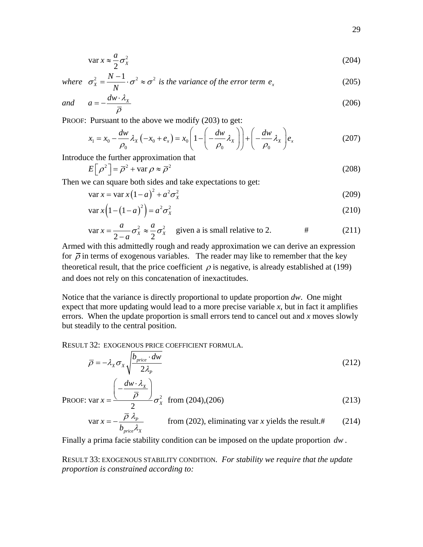$$
\operatorname{var} x \approx \frac{a}{2} \sigma_x^2 \tag{204}
$$

<span id="page-28-0"></span>where 
$$
\sigma_x^2 = \frac{N-1}{N} \cdot \sigma^2 \approx \sigma^2
$$
 is the variance of the error term  $e_x$  (205)

<span id="page-28-1"></span>and 
$$
a = -\frac{dw \cdot \lambda_x}{\overline{\rho}}
$$
 (206)

PROOF: Pursuant to the above we modify [\(203\)](#page-27-2) to get:

$$
x_1 = x_0 - \frac{dw}{\rho_0} \lambda_x \left( -x_0 + e_x \right) = x_0 \left( 1 - \left( -\frac{dw}{\rho_0} \lambda_x \right) \right) + \left( -\frac{dw}{\rho_0} \lambda_x \right) e_x \tag{207}
$$

Introduce the further approximation that

$$
E[\rho^2] = \overline{\rho}^2 + \text{var}\,\rho \approx \overline{\rho}^2 \tag{208}
$$

Then we can square both sides and take expectations to get:

$$
\operatorname{var} x = \operatorname{var} x \left( 1 - a \right)^2 + a^2 \sigma_x^2 \tag{209}
$$

$$
\operatorname{var} x \left( 1 - \left( 1 - a \right)^2 \right) = a^2 \sigma_x^2 \tag{210}
$$

$$
\text{var } x = \frac{a}{2-a} \sigma_x^2 \approx \frac{a}{2} \sigma_x^2 \quad \text{given a is small relative to 2.} \quad # \tag{211}
$$

Armed with this admittedly rough and ready approximation we can derive an expression for  $\bar{\rho}$  in terms of exogenous variables. The reader may like to remember that the key theoretical result, that the price coefficient  $\rho$  is negative, is already established at [\(199\)](#page-27-3) and does not rely on this concatenation of inexactitudes.

Notice that the variance is directly proportional to update proportion *dw*. One might expect that more updating would lead to a more precise variable  $x$ , but in fact it amplifies errors. When the update proportion is small errors tend to cancel out and *x* moves slowly but steadily to the central position.

<span id="page-28-2"></span>RESULT 32: EXOGENOUS PRICE COEFFICIENT FORMULA.

$$
\overline{\rho} = -\lambda_X \sigma_X \sqrt{\frac{b_{price} \cdot dw}{2\lambda_P}}
$$
\n(212)

PROOF: var 
$$
x = \frac{\left(-\frac{dw \cdot \lambda_x}{\overline{\rho}}\right)}{2} \sigma_x^2
$$
 from (204),(206) (213)

$$
\text{var } x = -\frac{\overline{\rho} \ \lambda_p}{b_{\text{price}} \lambda_x} \qquad \text{from (202), eliminating var } x \text{ yields the result.#} \tag{214}
$$

Finally a prima facie stability condition can be imposed on the update proportion *dw* .

RESULT 33: EXOGENOUS STABILITY CONDITION*. For stability we require that the update proportion is constrained according to:*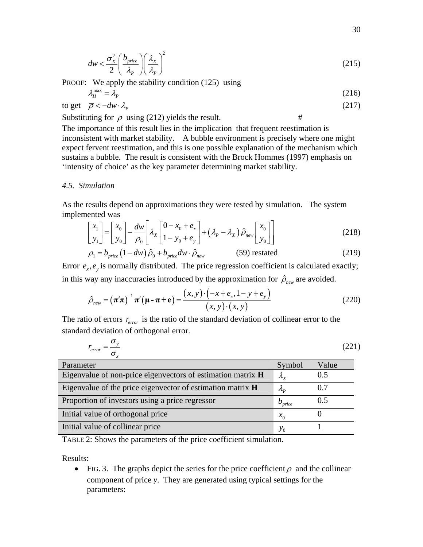$$
dw < \frac{\sigma_x^2}{2} \left( \frac{b_{price}}{\lambda_p} \right) \left( \frac{\lambda_x}{\lambda_p} \right)^2 \tag{215}
$$

<span id="page-29-0"></span>PROOF: We apply the stability condition [\(125\)](#page-17-0) using  $\lambda_n^{\text{max}} = \lambda_p$ 

$$
L_H^{\max} = \lambda_P \tag{216}
$$

to get 
$$
\bar{\rho} < -dw \cdot \lambda_p
$$
 (217)

Substituting for  $\bar{\rho}$  using [\(212\)](#page-28-2) yields the result. #

The importance of this result lies in the implication that frequent reestimation is inconsistent with market stability. A bubble environment is precisely where one might expect fervent reestimation, and this is one possible explanation of the mechanism which sustains a bubble. The result is consistent with the Brock Hommes (1997) emphasis on 'intensity of choice' as the key parameter determining market stability.

#### *4.5. Simulation*

As the results depend on approximations they were tested by simulation. The system implemented was

$$
\begin{bmatrix} x_1 \\ y_1 \end{bmatrix} = \begin{bmatrix} x_0 \\ y_0 \end{bmatrix} - \frac{dw}{\rho_0} \begin{bmatrix} \lambda_x \begin{bmatrix} 0 - x_0 + e_x \\ 1 - y_0 + e_y \end{bmatrix} + (\lambda_p - \lambda_x) \hat{\rho}_{new} \begin{bmatrix} x_0 \\ y_0 \end{bmatrix} \end{bmatrix}
$$
(218)

$$
\rho_1 = b_{price} \left( 1 - dw \right) \hat{\rho}_0 + b_{price} dw \cdot \hat{\rho}_{new} \tag{59} \tag{219}
$$

Error  $e_x$ ,  $e_y$  is normally distributed. The price regression coefficient is calculated exactly; in this way any inaccuracies introduced by the approximation for  $\hat{\rho}_{\text{new}}$  are avoided.

$$
\hat{\rho}_{\text{new}} = (\boldsymbol{\pi}'\boldsymbol{\pi})^{-1}\boldsymbol{\pi}'(\boldsymbol{\mu} - \boldsymbol{\pi} + \mathbf{e}) = \frac{(x, y) \cdot (-x + e_x, 1 - y + e_y)}{(x, y) \cdot (x, y)}
$$
(220)

The ratio of errors  $r_{error}$  is the ratio of the standard deviation of collinear error to the standard deviation of orthogonal error.

$$
r_{error} = \frac{\sigma_y}{\sigma_x} \tag{221}
$$

<span id="page-29-1"></span>

| Parameter                                                   | Symbol                | Value |
|-------------------------------------------------------------|-----------------------|-------|
| Eigenvalue of non-price eigenvectors of estimation matrix H | $\lambda_{\rm v}$     | 0.5   |
| Eigenvalue of the price eigenvector of estimation matrix H  | $\mathcal{A}_{\bm p}$ | 0.7   |
| Proportion of investors using a price regressor             | $b_{price}$           | 0.5   |
| Initial value of orthogonal price                           | $x_{0}$               |       |
| Initial value of collinear price                            | $y_{0}$               |       |

TABLE 2: Shows the parameters of the price coefficient simulation.

Results:

• FIG. 3. The graphs depict the series for the price coefficient  $\rho$  and the collinear component of price *y*. They are generated using typical settings for the parameters: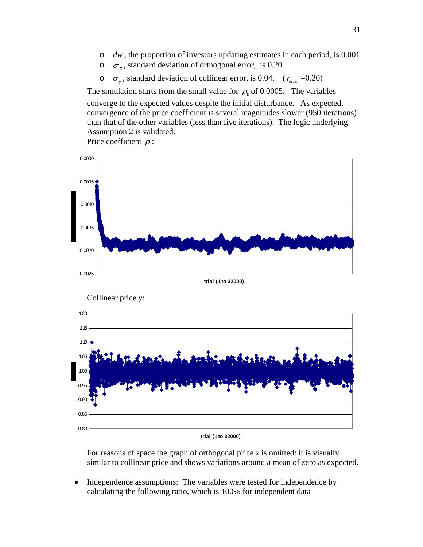- o *dw* , the proportion of investors updating estimates in each period, is 0.001
- o <sup>σ</sup> *<sup>x</sup>* , standard deviation of orthogonal error, is 0.20
- $\sigma_{v}$ , standard deviation of collinear error, is 0.04. ( $r_{error}$  =0.20)

The simulation starts from the small value for  $\rho_0$  of 0.0005. The variables converge to the expected values despite the initial disturbance. As expected, convergence of the price coefficient is several magnitudes slower (950 iterations) than that of the other variables (less than five iterations). The logic underlying Assumption 2 is validated.

Price coefficient  $\rho$  :



For reasons of space the graph of orthogonal price *x* is omitted: it is visually similar to collinear price and shows variations around a mean of zero as expected.

• Independence assumptions: The variables were tested for independence by calculating the following ratio, which is 100% for independent data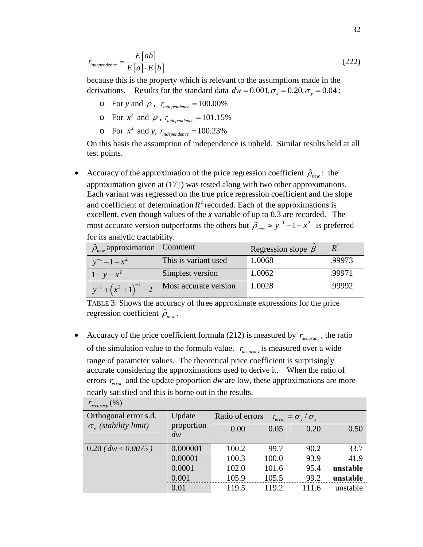$$
r_{independence} = \frac{E\big[ab\big]}{E\big[a\big]\cdot E\big[b\big]}
$$
\n(222)

because this is the property which is relevant to the assumptions made in the derivations. Results for the standard data  $dw = 0.001, \sigma_x = 0.20, \sigma_y = 0.04$ :

- $\circ$  For *y* and  $\rho$ ,  $r_{independence} = 100.00\%$
- $\circ$  For  $x^2$  and  $\rho$ ,  $r_{independence} = 101.15\%$
- $\circ$  For  $x^2$  and *y*,  $r_{independence} = 100.23\%$

On this basis the assumption of independence is upheld. Similar results held at all test points.

• Accuracy of the approximation of the price regression coefficient  $\hat{\rho}_{new}$ : the approximation given at [\(171\)](#page-25-0) was tested along with two other approximations. Each variant was regressed on the true price regression coefficient and the slope and coefficient of determination  $R^2$  recorded. Each of the approximations is excellent, even though values of the *x* variable of up to 0.3 are recorded. The most accurate version outperforms the others but  $\hat{\rho}_{new} \approx y^{-1} - 1 - x^2$  is preferred

for its analytic tractability.

| $\hat{\rho}_{\text{new}}$ approximation Comment |                       | Regression slope $\hat{\beta}$ |        |
|-------------------------------------------------|-----------------------|--------------------------------|--------|
| $y^{-1} - 1 - x^2$                              | This is variant used  | 1.0068                         | .99973 |
| $1 - y - x^2$                                   | Simplest version      | 1.0062                         | .99971 |
| $y^{-1} + (x^2 + 1)^{-1} - 2$                   | Most accurate version | 1.0028                         | .99992 |

TABLE 3: Shows the accuracy of three approximate expressions for the price regression coefficient  $\hat{\rho}_{new}$ .

• Accuracy of the price coefficient formula [\(212\)](#page-28-2) is measured by  $r_{\text{accuracy}}$ , the ratio of the simulation value to the formula value.  $r_{accuracy}$  is measured over a wide range of parameter values. The theoretical price coefficient is surprisingly accurate considering the approximations used to derive it. When the ratio of errors  $r_{error}$  and the update proportion  $dw$  are low, these approximations are more nearly satisfied and this is borne out in the results.

| $(\%)$<br>$r_{accuracy}$       |                                                                    |       |       |       |          |
|--------------------------------|--------------------------------------------------------------------|-------|-------|-------|----------|
| Orthogonal error s.d.          | Update<br>Ratio of errors<br>$r_{error} = \sigma_{y} / \sigma_{x}$ |       |       |       |          |
| $\sigma_{r}$ (stability limit) | proportion<br>dw                                                   | 0.00  | 0.05  | 0.20  | 0.50     |
|                                |                                                                    |       |       |       |          |
| $0.20$ (dw < 0.0075)           | 0.000001                                                           | 100.2 | 99.7  | 90.2  | 33.7     |
|                                | 0.00001                                                            | 100.3 | 100.0 | 93.9  | 41.9     |
|                                | 0.0001                                                             | 102.0 | 101.6 | 95.4  | unstable |
|                                | 0.001                                                              | 105.9 | 105.5 | 99.2  | unstable |
|                                | 0.01                                                               | 119.5 | 119.2 | 111.6 | unstable |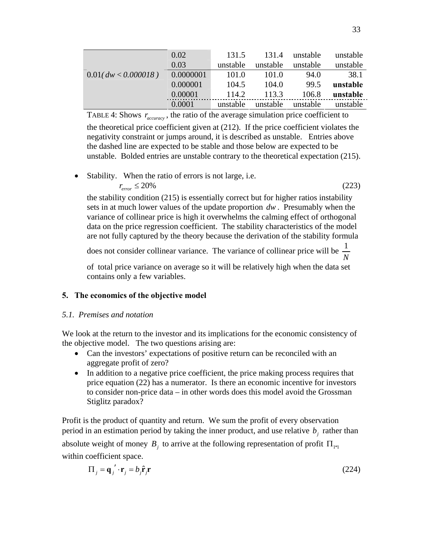|                        | 0.02      | 131.5    | 131.4    | unstable | unstable |
|------------------------|-----------|----------|----------|----------|----------|
|                        | 0.03      | unstable | unstable | unstable | unstable |
| $0.01$ (dw < 0.000018) | 0.0000001 | 101.0    | 101.0    | 94.0     | 38.1     |
|                        | 0.000001  | 104.5    | 104.0    | 99.5     | unstable |
|                        | 0.00001   | 114.2    | 113.3    | 106.8    | unstable |
|                        | 0.0001    | unstable | unstable | unstable | unstable |

TABLE 4: Shows  $r_{accuracy}$ , the ratio of the average simulation price coefficient to the theoretical price coefficient given at [\(212\).](#page-28-2) If the price coefficient violates the negativity constraint or jumps around, it is described as unstable. Entries above the dashed line are expected to be stable and those below are expected to be unstable. Bolded entries are unstable contrary to the theoretical expectation [\(215\)](#page-29-0).

<span id="page-32-0"></span>• Stability. When the ratio of errors is not large, i.e.

$$
r_{error} \le 20\% \tag{223}
$$

the stability condition [\(215\)](#page-29-0) is essentially correct but for higher ratios instability sets in at much lower values of the update proportion *dw* . Presumably when the variance of collinear price is high it overwhelms the calming effect of orthogonal data on the price regression coefficient. The stability characteristics of the model are not fully captured by the theory because the derivation of the stability formula

does not consider collinear variance. The variance of collinear price will be  $\frac{1}{1}$ *N*

of total price variance on average so it will be relatively high when the data set contains only a few variables.

# **5. The economics of the objective model**

# *5.1. Premises and notation*

We look at the return to the investor and its implications for the economic consistency of the objective model. The two questions arising are:

- Can the investors' expectations of positive return can be reconciled with an aggregate profit of zero?
- In addition to a negative price coefficient, the price making process requires that price equation [\(22\)](#page-8-6) has a numerator. Is there an economic incentive for investors to consider non-price data – in other words does this model avoid the Grossman Stiglitz paradox?

Profit is the product of quantity and return. We sum the profit of every observation period in an estimation period by taking the inner product, and use relative  $b_i$  rather than absolute weight of money  $B_i$  to arrive at the following representation of profit  $\Pi_{1*1}$ within coefficient space.

$$
\Pi_j = \mathbf{q}_j' \cdot \mathbf{r}_j = b_j \hat{\mathbf{r}}_j \mathbf{r}
$$
 (224)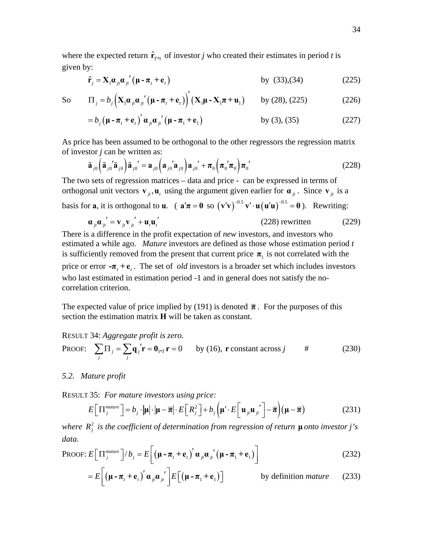<span id="page-33-0"></span>where the expected return  $\hat{\mathbf{r}}_{T^{*1}}$  of investor *j* who created their estimates in period *t* is given by:

$$
\hat{\mathbf{r}}_j = \mathbf{X}_1 \boldsymbol{\alpha}_{jt} \boldsymbol{\alpha}_{jt}' \left( \boldsymbol{\mu} - \boldsymbol{\pi}_t + \mathbf{e}_t \right) \tag{225}
$$
 by (33),(34)

So 
$$
\Pi_j = b_j \left( \mathbf{X}_1 \boldsymbol{\alpha}_{ji} \boldsymbol{\alpha}_{ji} \left( \boldsymbol{\mu} - \boldsymbol{\pi}_t + \mathbf{e}_t \right) \right) \left( \mathbf{X}_1 \boldsymbol{\mu} - \mathbf{X}_1 \boldsymbol{\pi} + \mathbf{u}_1 \right)
$$
 by (28), (225) (226)

$$
= b_j \left(\boldsymbol{\mu} - \boldsymbol{\pi}_t + \mathbf{e}_t\right)' \boldsymbol{\alpha}_{jt} \boldsymbol{\alpha}_{jt}' \left(\boldsymbol{\mu} - \boldsymbol{\pi}_1 + \mathbf{e}_1\right) \qquad \qquad \text{by (3), (35)} \tag{227}
$$

<span id="page-33-1"></span>As price has been assumed to be orthogonal to the other regressors the regression matrix of investor *j* can be written as:

$$
\tilde{\mathbf{a}}_{j0} \left( \tilde{\mathbf{a}}_{j0} \tilde{\mathbf{a}}_{j0} \right) \tilde{\mathbf{a}}_{j0}^{\prime} = \mathbf{a}_{j0} \left( \mathbf{a}_{j0} \mathbf{a}_{j0} \right) \mathbf{a}_{j0}^{\prime} + \pi_0 \left( \pi_0 \mathbf{\dot{\pi}}_0 \right) \pi_0^{\prime} \tag{228}
$$

The two sets of regression matrices – data and price - can be expressed in terms of orthogonal unit vectors  $\mathbf{v}_i$ ,  $\mathbf{u}_t$  using the argument given earlier for  $\mathbf{a}_{it}$ . Since  $\mathbf{v}_i$  is a

basis for **a**, it is orthogonal to **u**. (  $\mathbf{a}'\pi = \mathbf{0}$  so  $(\mathbf{v}'\mathbf{v})^{-0.5} \mathbf{v}' \cdot \mathbf{u}(\mathbf{u}'\mathbf{u})^{-0.5} = \mathbf{0}$ ). Rewriting:

$$
\mathbf{a}_{ji}\mathbf{a}_{ji}' = \mathbf{v}_{ji}\mathbf{v}_{ji}' + \mathbf{u}_i\mathbf{u}_i'
$$
 (228) rewritten (229)

There is a difference in the profit expectation of *new* investors, and investors who estimated a while ago. *Mature* investors are defined as those whose estimation period *t*  is sufficiently removed from the present that current price  $\pi_1$  is not correlated with the price or error  $-\pi$ ,  $+\mathbf{e}$ . The set of *old* investors is a broader set which includes investors who last estimated in estimation period -1 and in general does not satisfy the nocorrelation criterion.

The expected value of price implied by [\(191\)](#page-26-1) is denoted  $\bar{\pi}$ . For the purposes of this section the estimation matrix **H** will be taken as constant.

RESULT 34: *Aggregate profit is zero.* 

<span id="page-33-3"></span>PROOF: 
$$
\sum_{j} \Pi_{j} = \sum_{j} \mathbf{q}_{j}' \mathbf{r} = \mathbf{0}_{1 \times T} \mathbf{r} = 0 \quad \text{by (16), } \mathbf{r} \text{ constant across } j \qquad # \tag{230}
$$

### *5.2. Mature profit*

<span id="page-33-2"></span>RESULT 35: *For mature investors using price:*

$$
E\left[\Pi_j^{matter}\right] = b_j \cdot |\mu| \cdot |\mu - \overline{\pi}| \cdot E\left[R_j^2\right] + b_j \left(\mu' \cdot E\left[\mathbf{u}_{j} \mathbf{u}_{j'}\right] - \overline{\pi}\right) (\mu - \overline{\pi}) \tag{231}
$$

*where*  $R_j^2$  *is the coefficient of determination from regression of return*  $\mu$  *onto investor j's data.* 

PROOF: 
$$
E\left[\Pi_j^{matter}\right]/b_j = E\left[\left(\mu - \pi_t + \mathbf{e}_t\right)' \alpha_{ji} \alpha_{ji}' \left(\mu - \pi_1 + \mathbf{e}_1\right)\right]
$$
 (232)

$$
=E\bigg[\big(\mathbf{\mu}-\boldsymbol{\pi}_{t}+\mathbf{e}_{t}\big)^{'}\mathbf{\alpha}_{j}\mathbf{\alpha}_{j}^{'}\bigg]E\big[\big(\mathbf{\mu}-\boldsymbol{\pi}_{1}+\mathbf{e}_{1}\big)\bigg] \qquad \qquad \text{by definition mature}\qquad (233)
$$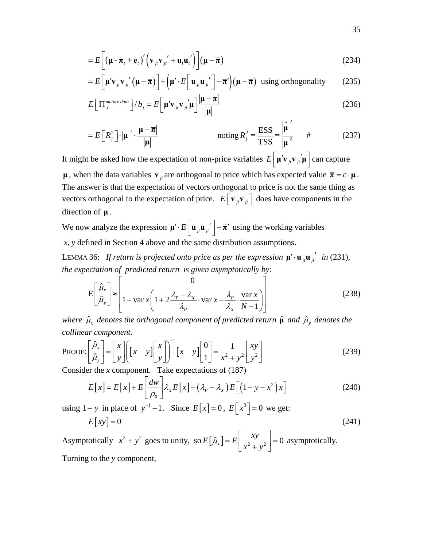$$
=E\bigg[\big(\mathbf{\mu}-\boldsymbol{\pi}_{t}+\mathbf{e}_{t}\big)'\big(\mathbf{v}_{j t}\mathbf{v}_{j t}'+\mathbf{u}_{t}\mathbf{u}_{t}'\big)\bigg](\mathbf{\mu}-\overline{\boldsymbol{\pi}})
$$
\n(234)

$$
=E\bigg[\mu' \mathbf{v}_{ji} \mathbf{v}_{ji}'\big(\mu-\overline{\boldsymbol{\pi}}\big)\bigg] + \bigg(\mu' \cdot E\bigg[\mathbf{u}_{ji} \mathbf{u}_{ji}'\bigg] - \overline{\boldsymbol{\pi}}'\bigg)\big(\mu-\overline{\boldsymbol{\pi}}\big) \text{ using orthogonality} \qquad (235)
$$

$$
E\left[\Pi_j^{matter\ data}\right]/b_j = E\left[\mu' \mathbf{v}_{j} \mathbf{v}_{j} \mathbf{u}_{j} \mathbf{u}_{j} \frac{|\mu - \overline{\pi}|}{|\mu|}\right]
$$
(236)

$$
= E\left[R_j^2\right] \cdot \left|\mu\right|^2 \cdot \frac{\left|\mu - \overline{\pi}\right|}{\left|\mu\right|} \qquad \text{noting } R_j^2 = \frac{\text{ESS}}{\text{TSS}} = \frac{\left|\hat{\mu}\right|^2}{\left|\mu\right|^2} \qquad \text{#} \tag{237}
$$

It might be asked how the expectation of non-price variables  $E\left[\mu' \mathbf{v}_{j} \mathbf{v}_{j} \cdot \mu'\right]$  can capture **μ**, when the data variables  $\mathbf{v}_i$  are orthogonal to price which has expected value  $\overline{\mathbf{\pi}} = c \cdot \mathbf{\mu}$ . The answer is that the expectation of vectors orthogonal to price is not the same thing as vectors orthogonal to the expectation of price.  $E[\mathbf{v}_{j}|\mathbf{v}_{j}]\)$  does have components in the direction of **μ** .

We now analyze the expression  $\boldsymbol{\mu}' \cdot E\left[\boldsymbol{u}_{j t} \boldsymbol{u}_{j t}\right] - \overline{\boldsymbol{\pi}}'$  using the working variables *x*, *y* defined in Section 4 above and the same distribution assumptions.

<span id="page-34-0"></span>LEMMA 36: *If return is projected onto price as per the expression*  $\mu' \cdot \mathbf{u}_{\mu} \mathbf{u}_{i}^{'}$  *in* [\(231\)](#page-33-2)*, the expectation of predicted return is given asymptotically by:* 

$$
E\left[\hat{\mu}_x\atop \hat{\mu}_y\right] \approx \left[1 - \text{var } x \left(1 + 2\frac{\lambda_p - \lambda_x}{\lambda_p} \cdot \text{var } x - \frac{\lambda_p}{\lambda_x} \cdot \frac{\text{var } x}{N-1}\right)\right]
$$
(238)

*where*  $\hat{\mu}_x$  *denotes the orthogonal component of predicted return*  $\hat{\mu}$  *and*  $\hat{\mu}_y$  *denotes the collinear component.* 

PROOF: 
$$
\begin{bmatrix} \hat{\mu}_x \\ \hat{\mu}_y \end{bmatrix} = \begin{bmatrix} x \\ y \end{bmatrix} \begin{bmatrix} x & y \end{bmatrix} \begin{bmatrix} x \\ y \end{bmatrix}^{-1} \begin{bmatrix} x & y \end{bmatrix} \begin{bmatrix} 0 \\ 1 \end{bmatrix} = \frac{1}{x^2 + y^2} \begin{bmatrix} xy \\ y^2 \end{bmatrix}
$$
 (239)  
Consider the x component. Take expectations of (187)

Consider the *x* component. Take expectations of [\(187\)](#page-26-2)

$$
E[x] = E[x] + E\left[\frac{dw}{\rho_0}\right] \lambda_x E[x] + (\lambda_p - \lambda_x) E\left[\left(1 - y - x^2\right)x\right]
$$
(240)

using  $1 - y$  in place of  $y^{-1} - 1$ . Since  $E[x] = 0$ ,  $E[x^3] = 0$  we get:

$$
E\big[xy\big]=0\tag{241}
$$

Asymptotically  $x^2 + y^2$  goes to unity, so  $E[\hat{\mu}_x] = E\left[\frac{xy}{x^2 + y^2}\right] = 0$  $\mu_{x}$ ] =  $E\left[\frac{1}{x^{2}+y}\right]$  $= E\left[\frac{xy}{x^2 + y^2}\right] = 0$  asymptotically. Turning to the *y* component,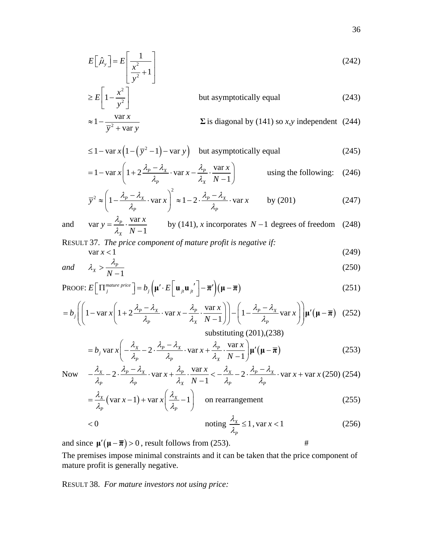$$
E\left[\hat{\mu}_y\right] = E\left[\frac{1}{\frac{x^2}{y^2} + 1}\right]
$$
\n(242)

$$
\geq E\left[1 - \frac{x^2}{y^2}\right]
$$
 but asymptotically equal (243)  

$$
\approx 1 - \frac{\text{var } x}{\overline{y}^2 + \text{var } y}
$$
  $\Sigma$  is diagonal by (141) so *x*,*y* independent (244)

$$
\leq 1 - \text{var } x \left( 1 - \left( \overline{y}^2 - 1 \right) - \text{var } y \right) \quad \text{but asymptotically equal} \tag{245}
$$

$$
= 1 - \text{var } x \left( 1 + 2 \frac{\lambda_p - \lambda_x}{\lambda_p} \cdot \text{var } x - \frac{\lambda_p}{\lambda_x} \cdot \frac{\text{var } x}{N - 1} \right) \qquad \text{using the following:} \quad (246)
$$

$$
\overline{y}^2 \approx \left(1 - \frac{\lambda_p - \lambda_x}{\lambda_p} \cdot \text{var } x\right)^2 \approx 1 - 2 \cdot \frac{\lambda_p - \lambda_x}{\lambda_p} \cdot \text{var } x \qquad \text{by (201)}
$$
 (247)

and var 
$$
y = \frac{\lambda_p}{\lambda_x} \cdot \frac{\text{var } x}{N-1}
$$
 by (141), *x* incorporates *N* – 1 degrees of freedom (248)

RESULT 37. *The price component of mature profit is negative if:* 

$$
\text{var } x < 1 \tag{249}
$$

<span id="page-35-0"></span>and 
$$
\lambda_x > \frac{\lambda_p}{N-1}
$$
 (250)

PROOF: 
$$
E\left[\Pi_j^{matter\ price}\right] = b_j\left(\mu' \cdot E\left[\mathbf{u}_{j\mu} \mathbf{u}_{j\mu'}\right] - \overline{\boldsymbol{\pi}}'\right)\left(\mu - \overline{\boldsymbol{\pi}}\right)
$$
 (251)

$$
= b_j \left( \left( 1 - \text{var } x \left( 1 + 2 \frac{\lambda_p - \lambda_x}{\lambda_p} \cdot \text{var } x - \frac{\lambda_p}{\lambda_x} \cdot \frac{\text{var } x}{N - 1} \right) \right) - \left( 1 - \frac{\lambda_p - \lambda_x}{\lambda_p} \text{var } x \right) \right) \mu' \left( \mu - \overline{\pi} \right) (252)
$$
\nsubstituting (201),(238)

$$
= b_j \operatorname{var} x \left( -\frac{\lambda_x}{\lambda_p} - 2 \cdot \frac{\lambda_p - \lambda_x}{\lambda_p} \cdot \operatorname{var} x + \frac{\lambda_p}{\lambda_x} \cdot \frac{\operatorname{var} x}{N - 1} \right) \mu'(\mu - \overline{\pi})
$$
(253)

<span id="page-35-1"></span>Now 
$$
-\frac{\lambda_x}{\lambda_p} - 2 \cdot \frac{\lambda_p - \lambda_x}{\lambda_p} \cdot \text{var } x + \frac{\lambda_p}{\lambda_x} \cdot \frac{\text{var } x}{N-1} < -\frac{\lambda_x}{\lambda_p} - 2 \cdot \frac{\lambda_p - \lambda_x}{\lambda_p} \cdot \text{var } x + \text{var } x \text{ (250) (254)}
$$

$$
= \frac{\lambda_x}{\lambda_p} \left( \text{var } x - 1 \right) + \text{var } x \left( \frac{\lambda_x}{\lambda_p} - 1 \right) \quad \text{on rearrangement} \tag{255}
$$

$$
\langle 0 \rangle < 0 \qquad \text{noting } \frac{\lambda_x}{\lambda_p} \le 1, \text{var } x < 1 \tag{256}
$$

and since  $\mu'(\mu - \overline{\pi}) > 0$ , result follows from [\(253\).](#page-35-1) #

The premises impose minimal constraints and it can be taken that the price component of mature profit is generally negative.

RESULT 38. *For mature investors not using price:*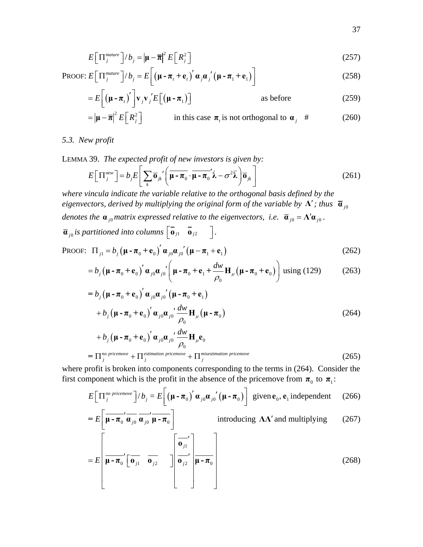$$
E\left[\Pi_j^{\text{matter}}\right]/b_j = \left|\mu - \overline{\pi}\right|^2 E\left[R_j^2\right]
$$
\n(257)

PROOF: 
$$
E\left[\Pi_j^{matter}\right]/b_j = E\left[\left(\mathbf{\mu} - \boldsymbol{\pi}_t + \mathbf{e}_t\right)' \boldsymbol{\alpha}_j \boldsymbol{\alpha}_j' \left(\mathbf{\mu} - \boldsymbol{\pi}_1 + \mathbf{e}_1\right)\right]
$$
 (258)

$$
=E\bigg[\big(\mu - \pi_{t}\big)'\bigg]\mathbf{v}_{j}\mathbf{v}_{j}'E\big[\big(\mu - \pi_{1}\big)\big]\hspace{1cm}\text{as before}\hspace{1cm}\text{(259)}
$$

$$
= |\mathbf{\mu} - \overline{\mathbf{\pi}}|^2 E\left[R_j^2\right]
$$
 in this case  $\mathbf{\pi}_t$  is not orthogonal to  $\mathbf{\alpha}_j$  # (260)

*5.3. New profit* 

LEMMA 39. *The expected profit of new investors is given by:* 

$$
E\left[\Pi_j^{new}\right] = b_j E\left[\sum_k \overline{\mathbf{o}}_{jk} \left(\overline{\mathbf{\mu} - \overline{\mathbf{\mu}}_0} \cdot \overline{\mathbf{\mu} - \overline{\mathbf{\mu}}_0}' \hat{\lambda} - \sigma^2 \hat{\lambda}\right) \overline{\mathbf{o}}_{jk}\right]
$$
(261)

*where vincula indicate the variable relative to the orthogonal basis defined by the eigenvectors, derived by multiplying the original form of the variable by*  $\Lambda'$ *; thus*  $\bar{a}_{j0}$ *denotes the*  $\mathbf{a}_{j0}$  *matrix expressed relative to the eigenvectors, i.e.*  $\overline{\mathbf{a}}_{j0} = \Lambda' \mathbf{a}_{j0}$ .  $\overline{\mathbf{a}}_{j0}$  *is partitioned into columns*  $\begin{bmatrix} \overline{\mathbf{a}}_{j1} & \overline{\mathbf{a}}_{j2} \end{bmatrix}$ .

<span id="page-36-0"></span>PROOF: 
$$
\Pi_{j1} = b_j \left( \boldsymbol{\mu} - \boldsymbol{\pi}_0 + \mathbf{e}_0 \right)^{\prime} \boldsymbol{\alpha}_{j0} \boldsymbol{\alpha}_{j0}^{\prime} \left( \boldsymbol{\mu} - \boldsymbol{\pi}_1 + \mathbf{e}_1 \right)
$$
 (262)

$$
=b_j\left(\boldsymbol{\mu}\cdot\boldsymbol{\pi}_0+\mathbf{e}_0\right)'\boldsymbol{\alpha}_{j0}\boldsymbol{\alpha}_{j0'}'\left(\boldsymbol{\mu}\cdot\boldsymbol{\pi}_0+\mathbf{e}_1+\frac{d\boldsymbol{w}}{\rho_0}\mathbf{H}_{\mu}\left(\boldsymbol{\mu}\cdot\boldsymbol{\pi}_0+\mathbf{e}_0\right)\right)\text{using (129)}\tag{263}
$$

$$
= b_j (\mathbf{\mu} - \mathbf{\pi}_0 + \mathbf{e}_0)' \alpha_{j0} \alpha_{j0}' (\mathbf{\mu} - \mathbf{\pi}_0 + \mathbf{e}_1)
$$
  
+  $b_j (\mathbf{\mu} - \mathbf{\pi}_0 + \mathbf{e}_0)' \alpha_{j0} \alpha_{j0}' \frac{d w}{\rho_0} \mathbf{H}_{\mu} (\mathbf{\mu} - \mathbf{\pi}_0)$   
+  $b_j (\mathbf{\mu} - \mathbf{\pi}_0 + \mathbf{e}_0)' \alpha_{j0} \alpha_{j0}' \frac{d w}{\rho_0} \mathbf{H}_{\mu} \mathbf{e}_0$  (264)

$$
+ b_j \left(\mathbf{\mu} - \mathbf{\pi}_0 + \mathbf{e}_0\right)' \mathbf{\alpha}_{j0} \mathbf{\alpha}_{j0}' \frac{dW}{\rho_0} \mathbf{H}_{\mu} \mathbf{e}_0
$$
  
=  $\Pi_j^{no \text{ pricemove}} + \Pi_j^{estimation \text{ pricemove}} + \Pi_j^{misestimation \text{ pricemove}}$  (265)

<span id="page-36-1"></span>where profit is broken into components corresponding to the terms in [\(264\)](#page-36-0). Consider the first component which is the profit in the absence of the pricemove from  $\pi_0$  to  $\pi_1$ :

$$
E\left[\Pi_j^{no\,\text{ pricemove}}\right]/b_j = E\left[\left(\mathbf{\mu} - \boldsymbol{\pi}_0\right)' \boldsymbol{\alpha}_{j0} \boldsymbol{\alpha}_{j0}' \left(\mathbf{\mu} - \boldsymbol{\pi}_0\right)\right] \text{ given } \mathbf{e}_0, \mathbf{e}_1 \text{ independent} \qquad (266)
$$

$$
= E\left[\overline{\mu - \pi_0}' \overline{\alpha_{j0}} \overline{\alpha_{j0}}' \overline{\mu - \pi_0}\right]
$$
introducing  $\Lambda \Lambda'$  and multiplying (267)  

$$
= E\left[\overline{\mu - \pi_0}' \left[\overline{\mathbf{0}_{j1}} \overline{\mathbf{0}_{j2}} \right] \overline{\mathbf{0}_{j2}'} \right] \overline{\mathbf{0}_{j2}}' \left[\overline{\mu - \pi_0}\right]
$$
 (268)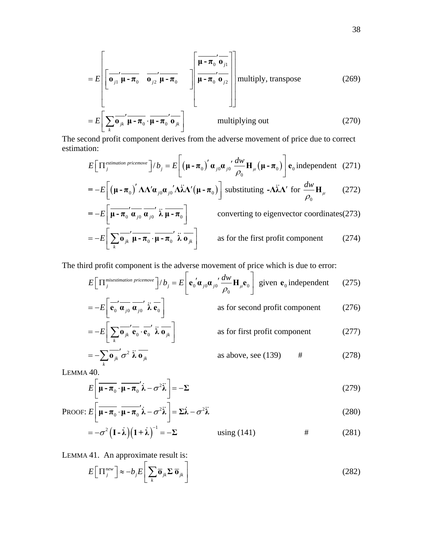$$
= E\left[\overline{\mathbf{0}_{j1}}' \overline{\mathbf{\mu}} - \overline{\mathbf{\pi}}_0 \quad \overline{\mathbf{0}_{j2}}' \overline{\mathbf{\mu}} - \overline{\mathbf{\pi}}_0 \quad \overline{\mathbf{0}_{j2}}' \overline{\mathbf{\mu}} - \overline{\mathbf{\pi}}_0 \quad \overline{\mathbf{0}_{j2}}'\right] \overline{\mathbf{\mu}} - \overline{\mathbf{\pi}}_0' \overline{\mathbf{0}_{j2}}\right] \text{multiply, transpose} \qquad (269)
$$
  

$$
= E\left[\sum_k \overline{\mathbf{0}_{jk}}' \overline{\mathbf{\mu}} - \overline{\mathbf{\pi}}_0 \cdot \overline{\mathbf{\mu}} - \overline{\mathbf{\pi}}_0' \overline{\mathbf{0}_{jk}}\right] \qquad \text{multiplying out} \qquad (270)
$$

<span id="page-37-1"></span>The second profit component derives from the adverse movement of price due to correct estimation:

$$
E\Big[\Pi_j^{\text{estimation pricemove}}\Big]/b_j = E\Big[\Big(\mu - \pi_0\Big)' \alpha_{j0} \alpha_{j0}' \frac{dw}{\rho_0} H_{\mu}\Big(\mu - \pi_0\Big)\Big] e_0 \text{ independent} \quad (271)
$$

$$
= -E\left[\left(\boldsymbol{\mu} - \boldsymbol{\pi}_0\right)' \boldsymbol{\Lambda} \boldsymbol{\Lambda}' \boldsymbol{\alpha}_{j0} \boldsymbol{\alpha}_{j0}' \boldsymbol{\Lambda} \ddot{\boldsymbol{\lambda}} \boldsymbol{\Lambda}' (\boldsymbol{\mu} - \boldsymbol{\pi}_0)\right] \text{ substituting } -\boldsymbol{\Lambda} \ddot{\boldsymbol{\lambda}} \boldsymbol{\Lambda}' \text{ for } \frac{d\boldsymbol{w}}{\rho_0} \mathbf{H}_{\mu} \qquad (272)
$$

$$
= -E\left[\overline{\mu - \pi_0}' \overline{\alpha_{j0}}' \overline{\alpha_{j0}}' \overline{\lambda} \overline{\mu - \pi_0}\right]
$$
converting to eigenvector coordinates (273)  

$$
= -E\left[\sum_k \overline{\mathbf{o}_{jk}}' \overline{\mu - \pi_0}' \overline{\lambda} \overline{\mathbf{o}_{jk}}\right]
$$
as for the first profit component (274)

The third profit component is the adverse movement of price which is due to error:

$$
E\left[\Pi_j^{\text{misestimation pricemove}}\right]/b_j = E\left[\mathbf{e}_0'\mathbf{a}_{j0}\mathbf{a}_{j0'}\frac{dw}{\rho_0}\mathbf{H}_{\mu}\mathbf{e}_0\right] \text{ given } \mathbf{e}_0 \text{ independent} \qquad (275)
$$

$$
= -E\left[\overrightarrow{\mathbf{e}_0}'\overrightarrow{\mathbf{a}_{j0}}'\overrightarrow{\mathbf{a}_{j0}}'\overrightarrow{\mathbf{k}}\overrightarrow{\mathbf{e}_0}\right]
$$
 as for second profit component (276)

$$
= -E\left[\sum_{k} \overrightarrow{\mathbf{0}_{jk}}' \overrightarrow{\mathbf{e}_{0}} \cdot \overrightarrow{\mathbf{e}_{0}}' \overrightarrow{\lambda} \overrightarrow{\mathbf{0}_{jk}}\right]
$$
 as for first profit component (277)  

$$
\sum_{k} \overrightarrow{\mathbf{0}_{jk}}' \overrightarrow{\mathbf{e}_{0}}' \overrightarrow{\lambda} \overrightarrow{\mathbf{0}_{jk}}
$$

$$
= -\sum_{k} \overline{\mathbf{0}_{jk}}' \sigma^2 \ddot{\lambda} \overline{\mathbf{0}_{jk}}
$$
 as above, see (139) # (278)

<span id="page-37-0"></span>LEMMA 40.

$$
E\left[\overline{\mu - \pi_0} \cdot \overline{\mu - \pi_0}' \lambda - \sigma^2 \lambda\right] = -\Sigma
$$
 (279)

PROOF: 
$$
E\left[\overline{\mu - \pi_0} \cdot \overline{\mu - \pi_0}' \lambda - \sigma^2 \lambda\right] = \Sigma \lambda - \sigma^2 \lambda
$$
 (280)

$$
=-\sigma^2\left(I-\lambda\right)\left(I+\lambda\right)^{-1}=-\Sigma
$$
 using (141) # (281)

<span id="page-37-2"></span>LEMMA 41. An approximate result is:

$$
E\left[\Pi_j^{new}\right] \approx -b_j E\left[\sum_k \overline{\mathbf{o}}_{jk} \Sigma \overline{\mathbf{o}}_{jk}\right]
$$
 (282)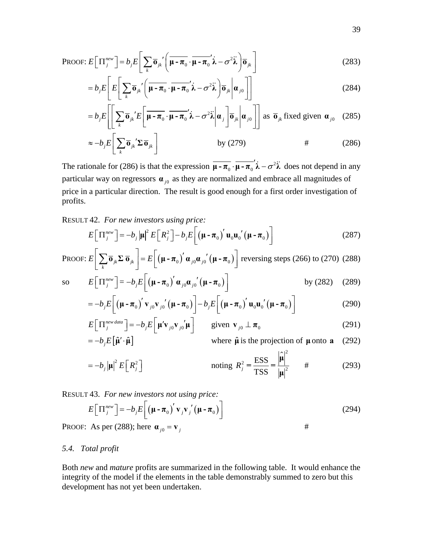PROOF: 
$$
E\left[\Pi_j^{new}\right] = b_j E\left[\sum_k \overline{\mathbf{o}}_{jk}' \left(\overline{\mathbf{\mu} - \pi_0} \cdot \overline{\mathbf{\mu} - \pi_0}' \hat{\lambda} - \sigma^2 \hat{\lambda}\right) \overline{\mathbf{o}}_{jk}\right]
$$
 (283)

$$
=b_j E\left[E\left[\sum_{k} \overline{\mathbf{0}}_{jk} \left(\overline{\mathbf{\mu} - \boldsymbol{\pi}_0} \cdot \overline{\mathbf{\mu} - \boldsymbol{\pi}_0} \mathbf{\hat{\lambda}} - \sigma^2 \mathbf{\hat{\lambda}}\right) \overline{\mathbf{0}}_{jk} \middle| \mathbf{\alpha}_{j0}\right]\right]
$$
(284)

$$
= b_j E\left[\left[\sum_k \overline{\mathbf{o}}_{jk}^{\dagger} E\left[\overline{\mathbf{\mu} - \boldsymbol{\pi}_0} \cdot \overline{\mathbf{\mu} - \boldsymbol{\pi}_0}' \hat{\boldsymbol{\lambda}} - \sigma^2 \hat{\boldsymbol{\lambda}} \right] \mathbf{a}_j \right] \overline{\mathbf{o}}_{jk} \right] \mathbf{a}_j \overline{\mathbf{o}}_{jk} \text{ fixed given } \mathbf{a}_{j0} \quad (285)
$$

$$
\approx -b_j E \left[ \sum_k \overline{\mathbf{0}}_{jk}^{\dagger} \Sigma \overline{\mathbf{0}}_{jk} \right]
$$
 by (279) # (286)

<span id="page-38-0"></span>The rationale for [\(286\)](#page-38-0) is that the expression  $\mu - \pi_0 \cdot \mu - \pi_0' \lambda - \sigma^2 \lambda$  does not depend in any particular way on regressors  $\mathbf{a}_{j0}$  as they are normalized and embrace all magnitudes of price in a particular direction. The result is good enough for a first order investigation of profits.

RESULT 42. *For new investors using price:*

$$
E\left[\Pi_j^{new}\right] = -b_j \left|\mu\right|^2 E\left[R_j^2\right] - b_j E\left[\left(\mu - \pi_0\right)' \mathbf{u}_0 \mathbf{u}_0' \left(\mu - \pi_0\right)\right]
$$
(287)

<span id="page-38-1"></span>PROOF: 
$$
E\left[\sum_{k} \overline{\mathbf{o}}_{jk} \Sigma \overline{\mathbf{o}}_{jk}\right] = E\left[\left(\mathbf{\mu} - \mathbf{\pi}_0\right)' \mathbf{\alpha}_{j0} \mathbf{\alpha}_{j0}' \left(\mathbf{\mu} - \mathbf{\pi}_0\right)\right]
$$
 reversing steps (266) to (270) (288)

so 
$$
E\left[\Pi_j^{new}\right] = -b_j E\left[\left(\mu - \pi_0\right)' \alpha_{j0} \alpha_{j0}' \left(\mu - \pi_0\right)\right]
$$
 by (282) (289)

$$
= -b_j E\bigg[\big(\mathbf{\mu} - \boldsymbol{\pi}_0\big)' \mathbf{v}_{j0} \mathbf{v}_{j0}' \big(\mathbf{\mu} - \boldsymbol{\pi}_0\big)\bigg] - b_j E\bigg[\big(\mathbf{\mu} - \boldsymbol{\pi}_0\big)' \mathbf{u}_0 \mathbf{u}_0' \big(\mathbf{\mu} - \boldsymbol{\pi}_0\big)\bigg]
$$
(290)

$$
E\left[\Pi_j^{new data}\right] = -b_j E\left[\mu' \mathbf{v}_{j0} \mathbf{v}_{j0}' \mu\right] \qquad \text{given } \mathbf{v}_{j0} \perp \boldsymbol{\pi}_0 \tag{291}
$$

$$
= -b_j E[\hat{\mathbf{\mu}}' \cdot \hat{\mathbf{\mu}}]
$$
 where  $\hat{\mathbf{\mu}}$  is the projection of  $\mathbf{\mu}$  onto **a** (292)  

$$
= -b_j |\mathbf{\mu}|^2 E\left[ R_j^2 \right] \qquad \text{noting } R_j^2 = \frac{\text{ESS}}{\text{TSS}} = \frac{|\mathbf{\mu}|}{|\mathbf{\mu}|^2} \qquad \text{#} \tag{293}
$$

RESULT 43. *For new investors not using price:*

$$
E\left[\Pi_j^{new}\right] = -b_j E\left[\left(\mu - \pi_0\right)' \mathbf{v}_j \mathbf{v}_j' \left(\mu - \pi_0\right)\right]
$$
\n(294)

**PROOF:** As per [\(288\);](#page-38-1) here  $\mathbf{a}_{j0} = \mathbf{v}_j$  #

# *5.4. Total profit*

Both *new* and *mature* profits are summarized in the following table. It would enhance the integrity of the model if the elements in the table demonstrably summed to zero but this development has not yet been undertaken.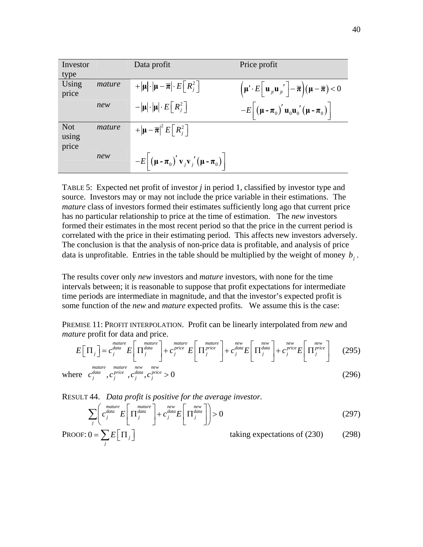| Investor                     |        | Data profit                                                                                                                                | Price profit                                                                                                                                                                                                       |
|------------------------------|--------|--------------------------------------------------------------------------------------------------------------------------------------------|--------------------------------------------------------------------------------------------------------------------------------------------------------------------------------------------------------------------|
| type                         |        |                                                                                                                                            |                                                                                                                                                                                                                    |
| Using<br>price               | mature | $+ \mu \cdot \mu-\overline{\pi} \cdot E\left[R_i^2\right]$                                                                                 | $\left(\boldsymbol{\mu}'\cdot E\right \left.\boldsymbol{\mathrm{u}}_{j\prime}\boldsymbol{\mathrm{u}}_{j\prime}\right -\overline{\boldsymbol{\pi}}\right)(\boldsymbol{\mathrm{\mu}}-\overline{\boldsymbol{\pi}})<0$ |
|                              | new    | $- \mu \cdot \mu \cdot E\left[R_i^2\right]$                                                                                                | $-E\left[\left(\mu-\pi_0\right)'\mathbf{u}_0\mathbf{u}_0'\left(\mu-\pi_0\right)\right]$                                                                                                                            |
| <b>Not</b><br>using<br>price | mature | $+ \mu-\overline{\pi} ^2 E\left[R_i^2\right]$                                                                                              |                                                                                                                                                                                                                    |
|                              | new    | $-E\left[\left(\mathbf{\mu}-\mathbf{\pi}_0\right)^{\prime}\mathbf{v}_j\mathbf{v}_j\right] \left(\mathbf{\mu}-\mathbf{\pi}_0\right)\right]$ |                                                                                                                                                                                                                    |

TABLE 5: Expected net profit of investor *j* in period 1, classified by investor type and source. Investors may or may not include the price variable in their estimations. The *mature* class of investors formed their estimates sufficiently long ago that current price has no particular relationship to price at the time of estimation. The *new* investors formed their estimates in the most recent period so that the price in the current period is correlated with the price in their estimating period. This affects new investors adversely. The conclusion is that the analysis of non-price data is profitable, and analysis of price data is unprofitable. Entries in the table should be multiplied by the weight of money  $b_i$ .

The results cover only *new* investors and *mature* investors, with none for the time intervals between; it is reasonable to suppose that profit expectations for intermediate time periods are intermediate in magnitude, and that the investor's expected profit is some function of the *new* and *mature* expected profits. We assume this is the case:

<span id="page-39-0"></span>PREMISE 11: PROFIT INTERPOLATION. Profit can be linearly interpolated from *new* and *mature* profit for data and price.

$$
E\left[\Pi_j\right] = c_j^{\text{matter}} E\left[\Pi_j^{\text{matter}}\right] + c_j^{\text{price}} E\left[\Pi_j^{\text{price}}\right] + c_j^{\text{areve}} \left[ \Pi_j^{\text{preve}}\right] + c_j^{\text{new}} E\left[\Pi_j^{\text{new}}\right] + c_j^{\text{preve}} E\left[\Pi_j^{\text{preve}}\right] \tag{295}
$$

where 
$$
c_j^{\text{data}}
$$
,  $c_j^{\text{price}}$ ,  $c_j^{\text{data}}$ ,  $c_j^{\text{price}} > 0$  (296)

<span id="page-39-1"></span>RESULT 44. *Data profit is positive for the average investor.* 

$$
\sum_{j} \left( c_j^{\text{matrix}} E \left[ \Pi_j^{\text{data}} \right] + c_j^{\text{new}} E \left[ \Pi_j^{\text{data}} \right] \right) > 0 \tag{297}
$$

PROOF: 
$$
0 = \sum_{j} E\left[\Pi_{j}\right]
$$
 taking expectations of (230) (298)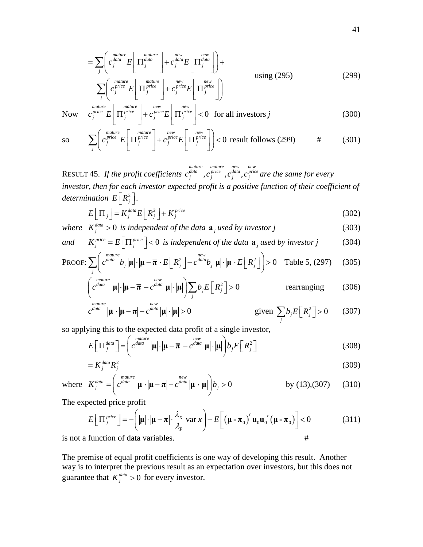$$
= \sum_{j} \left( c_j^{\text{matter}} E\left[ \Pi_j^{\text{atur}} \right] + c_j^{\text{new}} E\left[ \Pi_j^{\text{new}} \right] \right) + c_j^{\text{new}} E\left[ \Pi_j^{\text{data}} \right] + c_j^{\text{new}} E\left[ \Pi_j^{\text{data}} \right] \right) + \text{using (295)}
$$
\n
$$
\sum_{j} \left( c_j^{\text{price}} E\left[ \Pi_j^{\text{price}} \right] + c_j^{\text{price}} E\left[ \Pi_j^{\text{price}} \right] \right) \tag{299}
$$

<span id="page-40-0"></span>Now 
$$
c_j^{matter} \left[\Pi_j^{price}\right] + c_j^{price} \left[\Pi_j^{price}\right] < 0
$$
 for all investors j (300)

so 
$$
\sum_{j} \left( c_j^{picture} E\left[\Pi_j^{price}\right] + c_j^{price} E\left[\Pi_j^{price}\right] \right) < 0 \text{ result follows (299)} \qquad \# \qquad (301)
$$

RESULT 45. If the profit coefficients  $c_i^{data}$ ,  $c_i^{price}$ ,  $c_i^{data}$ , *mature mature new new*<br> $c_j^{data}$ ,  $c_j^{price}$ ,  $c_j^{data}$ ,  $c_j^{price}$  are the same for every *investor, then for each investor expected profit is a positive function of their coefficient of determination*  $E\left[R_j^2\right]$ .

$$
E\left[\Pi_j\right] = K_j^{data} E\left[R_j^2\right] + K_j^{price}
$$
\n(302)

<span id="page-40-2"></span>where 
$$
K_j^{\text{data}} > 0
$$
 is independent of the data  $\mathbf{a}_j$  used by investor j (303)

and 
$$
K_j^{price} = E\left[\Pi_j^{price}\right] < 0
$$
 is independent of the data  $\mathbf{a}_j$  used by investor j (304)

PROOF: 
$$
\sum_{j} \left( c^{data} b_{j} |\mathbf{\mu}| \cdot |\mathbf{\mu} - \overline{\mathbf{\pi}}| \cdot E\left[R_{j}^{2}\right] - c^{data} b_{j} |\mathbf{\mu}| \cdot |\mathbf{\mu}| \cdot E\left[R_{j}^{2}\right] \right) > 0 \text{ Table 5, (297)} (305)
$$

$$
\left( c^{\frac{matter}{data}} |\mathbf{\mu}| \cdot |\mathbf{\mu} - \overline{\mathbf{\pi}}| - c^{\frac{new}{data}} |\mathbf{\mu}| \cdot |\mathbf{\mu}| \right) \sum_{j} b_{j} E\left[ R_{j}^{2} \right] > 0 \qquad \text{rearranging} \qquad (306)
$$

$$
c^{\text{matter}} | \mathbf{\mu} | \cdot | \mathbf{\mu} - \overline{\boldsymbol{\pi}} | - c^{\text{data}} | \mathbf{\mu} | \cdot | \mathbf{\mu} | > 0 \qquad \text{given } \sum_{j} b_{j} E\left[ R_{j}^{2} \right] > 0 \qquad (307)
$$

<span id="page-40-1"></span>so applying this to the expected data profit of a single investor,

$$
E\left[\Pi_j^{data}\right] = \left(c^{data}\left|\mu\right|\cdot\left|\mu - \overline{\pi}\right| - c^{data}\left|\mu\right|\cdot\left|\mu\right|\right)b_jE\left[R_j^2\right]
$$
\n(308)

$$
=K_j^{data}R_j^2\tag{309}
$$

where 
$$
K_j^{data} = \left( c^{data} | \mathbf{\mu} | \cdot | \mathbf{\mu} - \overline{\mathbf{\pi}} | - c^{data} | \mathbf{\mu} | \cdot | \mathbf{\mu} | \right) b_j > 0
$$
 by (13),(307) (310)

The expected price profit

$$
E\left[\Pi_j^{price}\right] = -\left(|\mu| \cdot |\mu - \overline{\pi}| \cdot \frac{\lambda_x}{\lambda_p} \text{var } x\right) - E\left[\left(\mu - \pi_0\right)' \mathbf{u}_0 \mathbf{u}_0' \left(\mu - \pi_0\right)\right] < 0 \tag{311}
$$

is not a function of data variables. #

The premise of equal profit coefficients is one way of developing this result. Another way is to interpret the previous result as an expectation over investors, but this does not guarantee that  $K_j^{data} > 0$  for every investor.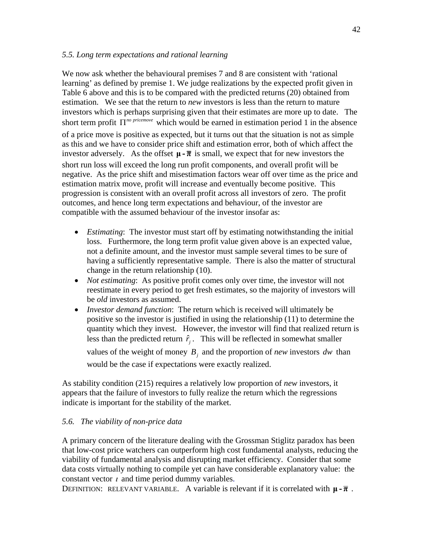### *5.5. Long term expectations and rational learning*

We now ask whether the behavioural premises 7 and 8 are consistent with 'rational learning' as defined by premise 1. We judge realizations by the expected profit given in Table 6 above and this is to be compared with the predicted returns [\(20\)](#page-8-1) obtained from estimation. We see that the return to *new* investors is less than the return to mature investors which is perhaps surprising given that their estimates are more up to date. The short term profit  $\Pi^{no\, price move}$  which would be earned in estimation period 1 in the absence of a price move is positive as expected, but it turns out that the situation is not as simple as this and we have to consider price shift and estimation error, both of which affect the investor adversely. As the offset  $\mu$  -  $\bar{\pi}$  is small, we expect that for new investors the short run loss will exceed the long run profit components, and overall profit will be negative. As the price shift and misestimation factors wear off over time as the price and estimation matrix move, profit will increase and eventually become positive. This progression is consistent with an overall profit across all investors of zero. The profit outcomes, and hence long term expectations and behaviour, of the investor are compatible with the assumed behaviour of the investor insofar as:

- *Estimating*: The investor must start off by estimating notwithstanding the initial loss. Furthermore, the long term profit value given above is an expected value, not a definite amount, and the investor must sample several times to be sure of having a sufficiently representative sample. There is also the matter of structural change in the return relationship [\(10\)](#page-6-0).
- *Not estimating*: As positive profit comes only over time, the investor will not reestimate in every period to get fresh estimates, so the majority of investors will be *old* investors as assumed.
- *Investor demand function*: The return which is received will ultimately be positive so the investor is justified in using the relationship [\(11\)](#page-7-0) to determine the quantity which they invest. However, the investor will find that realized return is less than the predicted return  $\hat{r}_j$ . This will be reflected in somewhat smaller values of the weight of money  $B_i$  and the proportion of *new* investors  $dw$  than would be the case if expectations were exactly realized.

As stability condition [\(215\)](#page-29-0) requires a relatively low proportion of *new* investors, it appears that the failure of investors to fully realize the return which the regressions indicate is important for the stability of the market.

# *5.6. The viability of non-price data*

A primary concern of the literature dealing with the Grossman Stiglitz paradox has been that low-cost price watchers can outperform high cost fundamental analysts, reducing the viability of fundamental analysis and disrupting market efficiency. Consider that some data costs virtually nothing to compile yet can have considerable explanatory value: the constant vector  $\iota$  and time period dummy variables.

DEFINITION: RELEVANT VARIABLE. A variable is relevant if it is correlated with  $\mu$ - $\bar{\pi}$ .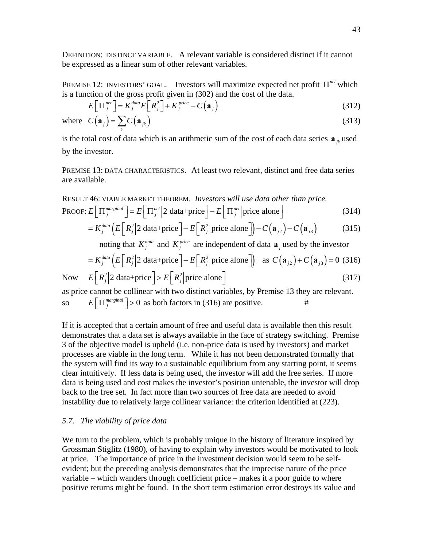DEFINITION: DISTINCT VARIABLE. A relevant variable is considered distinct if it cannot be expressed as a linear sum of other relevant variables.

PREMISE 12: INVESTORS' GOAL. Investors will maximize expected net profit  $\Pi^{net}$  which is a function of the gross profit given in [\(302\)](#page-40-2) and the cost of the data.

$$
E\left[\Pi_j^{net}\right] = K_j^{data} E\left[R_j^2\right] + K_j^{price} - C\left(\mathbf{a}_j\right)
$$
\n(312)

where 
$$
C(\mathbf{a}_j) = \sum_k C(\mathbf{a}_{jk})
$$
 (313)

is the total cost of data which is an arithmetic sum of the cost of each data series  $\mathbf{a}_{ik}$  used by the investor.

PREMISE 13: DATA CHARACTERISTICS. At least two relevant, distinct and free data series are available.

RESULT 46: VTABLE MARKET THEOREM. *Investors will use data other than price.*

\nPROOF: 
$$
E\left[\Pi_j^{marginal}\right] = E\left[\Pi_j^{net}\middle|2\text{ data}+\text{price}\right] - E\left[\Pi_j^{net}\middle| \text{price alone}\right]
$$

\n
$$
= E\left[\Pi_j^{marginal}\right] = \left[\Pi_j^{net}\middle|2\text{ data}+\text{price}\right] - E\left[\Pi_j^{net}\middle| \text{price alone}\right]
$$

\n
$$
= E\left[\Pi_j^{atal}\left(E\middle|2\right|2\text{ data}) - E\middle|2\middle| \text{micro along}\right] - C\left(\Omega_1\right) - C\left(\Omega_2\right)
$$

\n(315)

$$
=K_j^{data} \left( E\left[R_j^2\middle|2\text{ data}+price\right]-E\left[R_j^2\middle|price\text{ alone}\right]\right)-C\left(\mathbf{a}_{j2}\right)-C\left(\mathbf{a}_{j3}\right) \tag{315}
$$

noting that  $K_j^{data}$  and  $K_j^{price}$  are independent of data  $\mathbf{a}_j$  used by the investor

$$
= K_j^{data} \left( E\left[R_j^2\middle|2\text{ data} + \text{price}\right] - E\left[R_j^2\middle| \text{price alone}\right] \right) \text{ as } C\left(\mathbf{a}_{j2}\right) + C\left(\mathbf{a}_{j3}\right) = 0 \tag{316}
$$
  

$$
E\left[R_j^2\middle|2\text{ data} + \text{price}\right] > E\left[R_j^2\middle| \text{price alone}\right]
$$

<span id="page-42-0"></span>Now  $E\left|\mathbb{R}_{i}^{2}\right|$  2 data+price  $\left|E\left|\mathbb{R}_{i}^{2}\right|\right|$  price alone  $\left|E\left|\mathbb{R}_{i}^{2}\right|$  (317) as price cannot be collinear with two distinct variables, by Premise 13 they are relevant.

so  $E\left[\prod_{i=1}^{marginal}\right] > 0$  as both factors in [\(316\)](#page-42-0) are positive. #

If it is accepted that a certain amount of free and useful data is available then this result demonstrates that a data set is always available in the face of strategy switching. Premise 3 of the objective model is upheld (i.e. non-price data is used by investors) and market processes are viable in the long term. While it has not been demonstrated formally that the system will find its way to a sustainable equilibrium from any starting point, it seems clear intuitively. If less data is being used, the investor will add the free series. If more data is being used and cost makes the investor's position untenable, the investor will drop back to the free set. In fact more than two sources of free data are needed to avoid instability due to relatively large collinear variance: the criterion identified at [\(223\).](#page-32-0)

### *5.7. The viability of price data*

We turn to the problem, which is probably unique in the history of literature inspired by Grossman Stiglitz (1980), of having to explain why investors would be motivated to look at price. The importance of price in the investment decision would seem to be selfevident; but the preceding analysis demonstrates that the imprecise nature of the price variable – which wanders through coefficient price – makes it a poor guide to where positive returns might be found. In the short term estimation error destroys its value and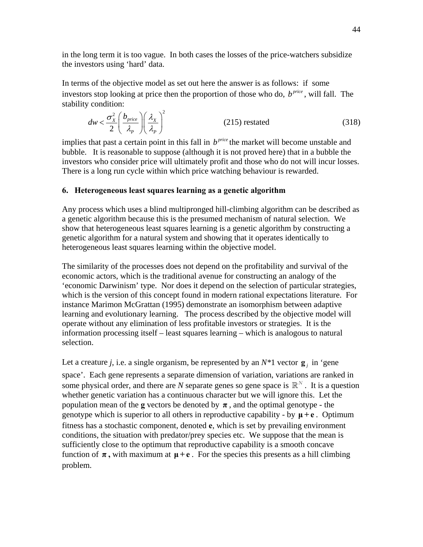in the long term it is too vague. In both cases the losses of the price-watchers subsidize the investors using 'hard' data.

In terms of the objective model as set out here the answer is as follows: if some investors stop looking at price then the proportion of those who do,  $b^{price}$ , will fall. The stability condition:

$$
dw < \frac{\sigma_x^2}{2} \left( \frac{b_{price}}{\lambda_p} \right) \left( \frac{\lambda_x}{\lambda_p} \right)^2
$$
 (215) restated (318)

implies that past a certain point in this fall in  $b^{price}$  the market will become unstable and bubble. It is reasonable to suppose (although it is not proved here) that in a bubble the investors who consider price will ultimately profit and those who do not will incur losses. There is a long run cycle within which price watching behaviour is rewarded.

# **6. Heterogeneous least squares learning as a genetic algorithm**

Any process which uses a blind multipronged hill-climbing algorithm can be described as a genetic algorithm because this is the presumed mechanism of natural selection. We show that heterogeneous least squares learning is a genetic algorithm by constructing a genetic algorithm for a natural system and showing that it operates identically to heterogeneous least squares learning within the objective model.

The similarity of the processes does not depend on the profitability and survival of the economic actors, which is the traditional avenue for constructing an analogy of the 'economic Darwinism' type. Nor does it depend on the selection of particular strategies, which is the version of this concept found in modern rational expectations literature. For instance Marimon McGrattan (1995) demonstrate an isomorphism between adaptive learning and evolutionary learning. The process described by the objective model will operate without any elimination of less profitable investors or strategies. It is the information processing itself – least squares learning – which is analogous to natural selection.

Let a creature *j*, i.e. a single organism, be represented by an  $N^*1$  vector  $g_i$  in 'gene space'. Each gene represents a separate dimension of variation, variations are ranked in some physical order, and there are *N* separate genes so gene space is  $\mathbb{R}^N$ . It is a question whether genetic variation has a continuous character but we will ignore this. Let the population mean of the **g** vectors be denoted by  $\pi$ , and the optimal genotype - the genotype which is superior to all others in reproductive capability - by **μ + e** . Optimum fitness has a stochastic component, denoted **e**, which is set by prevailing environment conditions, the situation with predator/prey species etc. We suppose that the mean is sufficiently close to the optimum that reproductive capability is a smooth concave function of  $\pi$ , with maximum at  $\mu + e$ . For the species this presents as a hill climbing problem.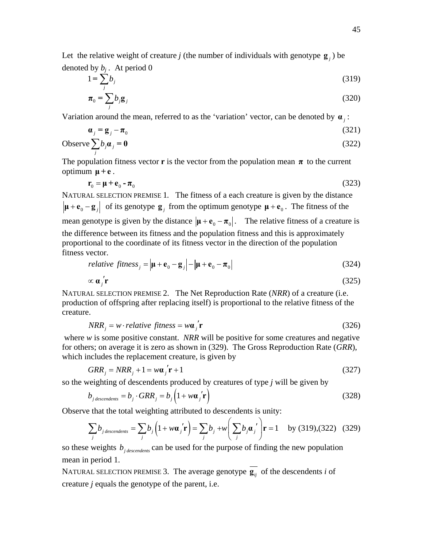Let the relative weight of creature *j* (the number of individuals with genotype  $g_i$ ) be denoted by  $b_i$ . At period 0

<span id="page-44-1"></span>
$$
1 = \sum_{j} b_j \tag{319}
$$

$$
\boldsymbol{\pi}_0 = \sum_j b_j \mathbf{g}_j \tag{320}
$$

<span id="page-44-3"></span>Variation around the mean, referred to as the 'variation' vector, can be denoted by **α** *<sup>j</sup>* :

$$
\mathbf{a}_j = \mathbf{g}_j - \mathbf{\pi}_0 \tag{321}
$$

<span id="page-44-2"></span>Observe 
$$
\sum_{j} b_j \mathbf{a}_j = \mathbf{0}
$$
 (322)

The population fitness vector **r** is the vector from the population mean  $\pi$  to the current optimum  $\mu + e$ .

$$
\mathbf{r}_0 = \mathbf{\mu} + \mathbf{e}_0 - \mathbf{\pi}_0 \tag{323}
$$

<span id="page-44-5"></span>NATURAL SELECTION PREMISE 1*.* The fitness of a each creature is given by the distance  $|\mathbf{\mu} + \mathbf{e}_0 - \mathbf{g}_i|$  of its genotype  $\mathbf{g}_i$  from the optimum genotype  $\mathbf{\mu} + \mathbf{e}_0$ . The fitness of the mean genotype is given by the distance  $|\mathbf{\mu} + \mathbf{e}_0 - \mathbf{\pi}_0|$ . The relative fitness of a creature is the difference between its fitness and the population fitness and this is approximately proportional to the coordinate of its fitness vector in the direction of the population fitness vector.

relative fitness<sub>j</sub> = 
$$
|\mathbf{\mu} + \mathbf{e}_0 - \mathbf{g}_j| - |\mathbf{\mu} + \mathbf{e}_0 - \mathbf{\pi}_0|
$$
 (324)  
\n $\propto \mathbf{\alpha}_j' \mathbf{r}$  (325)

NATURAL SELECTION PREMISE 2. The Net Reproduction Rate (*NRR*) of a creature (i.e. production of offspring after replacing itself) is proportional to the relative fitness of the creature.

$$
NRR_j = w \cdot relative \ fitness = w\mathbf{a}_j' \mathbf{r}
$$
 (326)

where *w* is some positive constant. *NRR* will be positive for some creatures and negative for others; on average it is zero as shown in [\(329\).](#page-44-0) The Gross Reproduction Rate (*GRR*), which includes the replacement creature, is given by

$$
GRR_j = NRR_j + 1 = w\mathbf{a}_j \mathbf{r} + 1 \tag{327}
$$

<span id="page-44-4"></span>so the weighting of descendents produced by creatures of type *j* will be given by

$$
b_{j\text{ descendents}} = b_j \cdot GRR_j = b_j \left(1 + w\mathbf{a}_j' \mathbf{r}\right)
$$
\n(328)

<span id="page-44-0"></span>Observe that the total weighting attributed to descendents is unity:

$$
\sum_{j} b_{j\,descendents} = \sum_{j} b_{j} \left( 1 + w \boldsymbol{\alpha}_{j}^{\prime} \mathbf{r} \right) = \sum_{j} b_{j} + w \left( \sum_{j} b_{j} \boldsymbol{\alpha}_{j}^{\prime} \right) \mathbf{r} = 1 \text{ by (319),(322) (329)}
$$

so these weights  $b_{i, descendent}$  can be used for the purpose of finding the new population mean in period 1.

NATURAL SELECTION PREMISE 3. The average genotype  $\overline{g_{ii}}$  of the descendents *i* of creature *j* equals the genotype of the parent, i.e.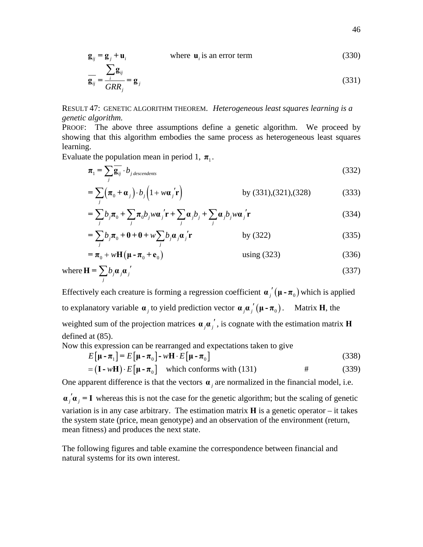$$
\mathbf{g}_{ij} = \mathbf{g}_j + \mathbf{u}_i \qquad \text{where } \mathbf{u}_i \text{ is an error term} \tag{330}
$$

$$
\overline{\mathbf{g}}_{ij} = \frac{\sum_{i} \mathbf{g}_{ij}}{GRR_j} = \mathbf{g}_{j}
$$
(331)

<span id="page-45-0"></span>RESULT 47: GENETIC ALGORITHM THEOREM. *Heterogeneous least squares learning is a genetic algorithm.* 

PROOF: The above three assumptions define a genetic algorithm. We proceed by showing that this algorithm embodies the same process as heterogeneous least squares learning.

Evaluate the population mean in period 1,  $\pi$ <sub>1</sub>.

$$
\boldsymbol{\pi}_1 = \sum_j \overline{\mathbf{g}_{ij}} \cdot b_{j \text{ descendents}} \tag{332}
$$

$$
= \sum_{j} \left( \boldsymbol{\pi}_{0} + \boldsymbol{\alpha}_{j} \right) \cdot b_{j} \left( 1 + w \boldsymbol{\alpha}_{j}^{\prime} \mathbf{r} \right) \qquad \qquad \text{by (331),(321),(328)} \qquad (333)
$$

$$
= \sum_{j} b_{j} \boldsymbol{\pi}_{0} + \sum_{j} \boldsymbol{\pi}_{0} b_{j} w \boldsymbol{\alpha}_{j}^{\prime} \mathbf{r} + \sum_{j} \boldsymbol{\alpha}_{j} b_{j} + \sum_{j} \boldsymbol{\alpha}_{j} b_{j} w \boldsymbol{\alpha}_{j}^{\prime} \mathbf{r}
$$
(334)

$$
= \sum_{j} b_{j} \boldsymbol{\pi}_{0} + \mathbf{0} + \mathbf{0} + w \sum_{j} b_{j} \boldsymbol{\alpha}_{j} \boldsymbol{\alpha}_{j}^{\'} \mathbf{r}
$$
 by (322) (335)

$$
= \boldsymbol{\pi}_0 + w \mathbf{H} (\boldsymbol{\mu} - \boldsymbol{\pi}_0 + \mathbf{e}_0)
$$
 using (323) (336)

where 
$$
\mathbf{H} = \sum_{j} b_{j} \boldsymbol{\alpha}_{j} \boldsymbol{\alpha}_{j}' \tag{337}
$$

Effectively each creature is forming a regression coefficient  $\alpha$ ,  $(\mu - \pi_0)$  which is applied to explanatory variable  $\alpha$ , to yield prediction vector  $\alpha$ ,  $\alpha$ ,  $\mu - \pi$ <sub>0</sub>). Matrix **H**, the weighted sum of the projection matrices  $\boldsymbol{\alpha}$   $\boldsymbol{\alpha}$ <sup>'</sup>, is cognate with the estimation matrix **H** defined at [\(85\).](#page-14-0)

Now this expression can be rearranged and expectations taken to give

$$
E[\mathbf{\mu} - \mathbf{\pi}_1] = E[\mathbf{\mu} - \mathbf{\pi}_0] - w\mathbf{H} \cdot E[\mathbf{\mu} - \mathbf{\pi}_0]
$$
(338)  
=  $(\mathbf{I} - w\mathbf{H}) \cdot E[\mathbf{\mu} - \mathbf{\pi}_0]$  which conforms with (131)

One apparent difference is that the vectors  $\boldsymbol{\alpha}_i$  are normalized in the financial model, i.e.

 $\mathbf{a}_i' \mathbf{a}_i = \mathbf{I}$  whereas this is not the case for the genetic algorithm; but the scaling of genetic variation is in any case arbitrary. The estimation matrix **H** is a genetic operator – it takes the system state (price, mean genotype) and an observation of the environment (return, mean fitness) and produces the next state.

The following figures and table examine the correspondence between financial and natural systems for its own interest.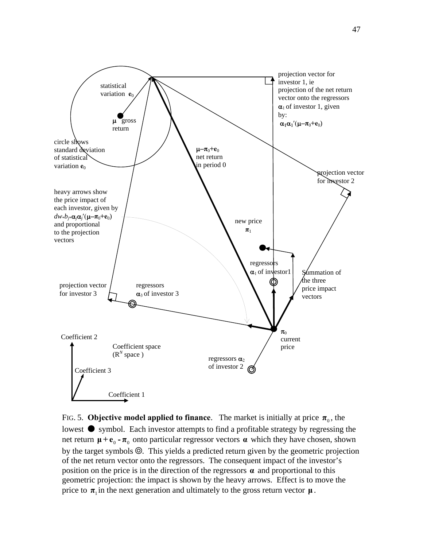

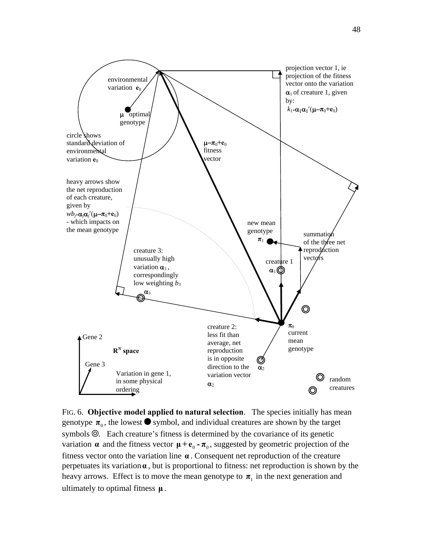

FIG. 6. **Objective model applied to natural selection**. The species initially has mean genotype  $\pi_0$ , the lowest  $\bullet$  symbol, and individual creatures are shown by the target symbols  $\odot$ . Each creature's fitness is determined by the covariance of its genetic variation  $\alpha$  and the fitness vector  $\mu + e_0 - \pi_0$ , suggested by geometric projection of the fitness vector onto the variation line **α** . Consequent net reproduction of the creature perpetuates its variation**α** , but is proportional to fitness: net reproduction is shown by the heavy arrows. Effect is to move the mean genotype to  $\pi_1$  in the next generation and ultimately to optimal fitness **μ** .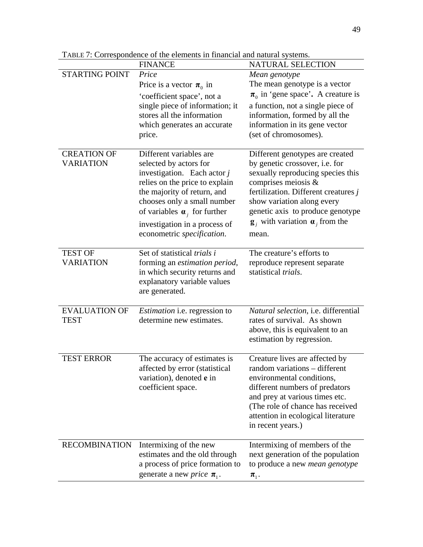|                                        | <b>FINANCE</b>                                                                                                                                                                                                                                                                                        | NATURAL SELECTION                                                                                                                                                                                                                                                                                           |
|----------------------------------------|-------------------------------------------------------------------------------------------------------------------------------------------------------------------------------------------------------------------------------------------------------------------------------------------------------|-------------------------------------------------------------------------------------------------------------------------------------------------------------------------------------------------------------------------------------------------------------------------------------------------------------|
| <b>STARTING POINT</b>                  | Price<br>Price is a vector $\pi_0$ in<br>'coefficient space', not a<br>single piece of information; it<br>stores all the information<br>which generates an accurate<br>price.                                                                                                                         | Mean genotype<br>The mean genotype is a vector<br>$\pi_0$ in 'gene space'. A creature is<br>a function, not a single piece of<br>information, formed by all the<br>information in its gene vector<br>(set of chromosomes).                                                                                  |
| <b>CREATION OF</b><br><b>VARIATION</b> | Different variables are<br>selected by actors for<br>investigation. Each actor $j$<br>relies on the price to explain<br>the majority of return, and<br>chooses only a small number<br>of variables $\boldsymbol{\alpha}_i$ for further<br>investigation in a process of<br>econometric specification. | Different genotypes are created<br>by genetic crossover, i.e. for<br>sexually reproducing species this<br>comprises meiosis &<br>fertilization. Different creatures $j$<br>show variation along every<br>genetic axis to produce genotype<br>$\mathbf{g}_i$ with variation $\mathbf{a}_i$ from the<br>mean. |
| <b>TEST OF</b><br><b>VARIATION</b>     | Set of statistical trials i<br>forming an estimation period,<br>in which security returns and<br>explanatory variable values<br>are generated.                                                                                                                                                        | The creature's efforts to<br>reproduce represent separate<br>statistical trials.                                                                                                                                                                                                                            |
| <b>EVALUATION OF</b><br><b>TEST</b>    | <i>Estimation</i> i.e. regression to<br>determine new estimates.                                                                                                                                                                                                                                      | Natural selection, i.e. differential<br>rates of survival. As shown<br>above, this is equivalent to an<br>estimation by regression.                                                                                                                                                                         |
| <b>TEST ERROR</b>                      | The accuracy of estimates is<br>affected by error (statistical<br>variation), denoted e in<br>coefficient space.                                                                                                                                                                                      | Creature lives are affected by<br>random variations - different<br>environmental conditions,<br>different numbers of predators<br>and prey at various times etc.<br>(The role of chance has received<br>attention in ecological literature<br>in recent years.)                                             |
| <b>RECOMBINATION</b>                   | Intermixing of the new<br>estimates and the old through<br>a process of price formation to<br>generate a new <i>price</i> $\pi_1$ .                                                                                                                                                                   | Intermixing of members of the<br>next generation of the population<br>to produce a new <i>mean genotype</i><br>$\pi_{1}$ .                                                                                                                                                                                  |

TABLE 7: Correspondence of the elements in financial and natural systems.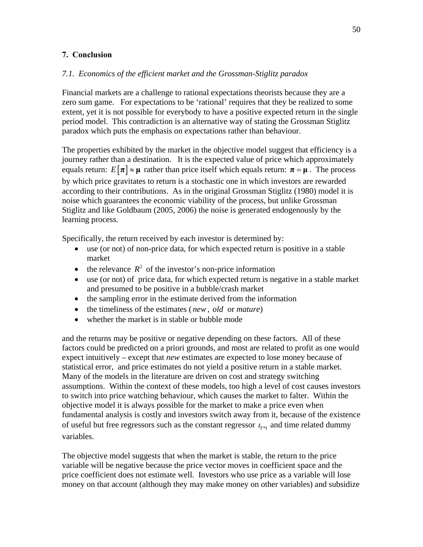# **7. Conclusion**

# *7.1. Economics of the efficient market and the Grossman-Stiglitz paradox*

Financial markets are a challenge to rational expectations theorists because they are a zero sum game. For expectations to be 'rational' requires that they be realized to some extent, yet it is not possible for everybody to have a positive expected return in the single period model. This contradiction is an alternative way of stating the Grossman Stiglitz paradox which puts the emphasis on expectations rather than behaviour.

The properties exhibited by the market in the objective model suggest that efficiency is a journey rather than a destination. It is the expected value of price which approximately equals return:  $E[\pi] \approx \mu$  rather than price itself which equals return:  $\pi = \mu$ . The process by which price gravitates to return is a stochastic one in which investors are rewarded according to their contributions. As in the original Grossman Stiglitz (1980) model it is noise which guarantees the economic viability of the process, but unlike Grossman Stiglitz and like Goldbaum (2005, 2006) the noise is generated endogenously by the learning process.

Specifically, the return received by each investor is determined by:

- use (or not) of non-price data, for which expected return is positive in a stable market
- the relevance  $R^2$  of the investor's non-price information
- use (or not) of price data, for which expected return is negative in a stable market and presumed to be positive in a bubble/crash market
- the sampling error in the estimate derived from the information
- the timeliness of the estimates ( *new*, *old* or *mature*)
- whether the market is in stable or bubble mode

and the returns may be positive or negative depending on these factors. All of these factors could be predicted on a priori grounds, and most are related to profit as one would expect intuitively – except that *new* estimates are expected to lose money because of statistical error, and price estimates do not yield a positive return in a stable market. Many of the models in the literature are driven on cost and strategy switching assumptions. Within the context of these models, too high a level of cost causes investors to switch into price watching behaviour, which causes the market to falter. Within the objective model it is always possible for the market to make a price even when fundamental analysis is costly and investors switch away from it, because of the existence of useful but free regressors such as the constant regressor  $t_{\tau*1}$  and time related dummy variables.

The objective model suggests that when the market is stable, the return to the price variable will be negative because the price vector moves in coefficient space and the price coefficient does not estimate well. Investors who use price as a variable will lose money on that account (although they may make money on other variables) and subsidize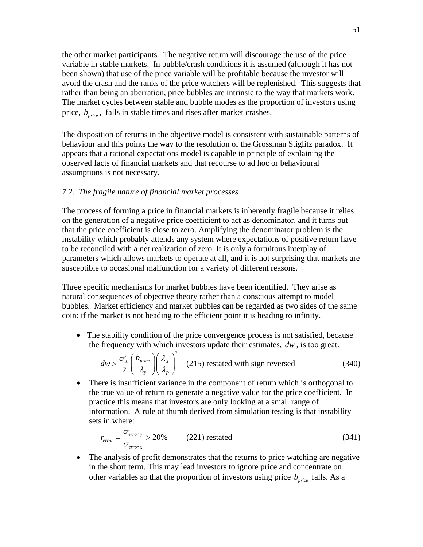the other market participants. The negative return will discourage the use of the price variable in stable markets. In bubble/crash conditions it is assumed (although it has not been shown) that use of the price variable will be profitable because the investor will avoid the crash and the ranks of the price watchers will be replenished. This suggests that rather than being an aberration, price bubbles are intrinsic to the way that markets work. The market cycles between stable and bubble modes as the proportion of investors using price,  $b_{\text{price}}$ , falls in stable times and rises after market crashes.

The disposition of returns in the objective model is consistent with sustainable patterns of behaviour and this points the way to the resolution of the Grossman Stiglitz paradox. It appears that a rational expectations model is capable in principle of explaining the observed facts of financial markets and that recourse to ad hoc or behavioural assumptions is not necessary.

### *7.2. The fragile nature of financial market processes*

The process of forming a price in financial markets is inherently fragile because it relies on the generation of a negative price coefficient to act as denominator, and it turns out that the price coefficient is close to zero. Amplifying the denominator problem is the instability which probably attends any system where expectations of positive return have to be reconciled with a net realization of zero. It is only a fortuitous interplay of parameters which allows markets to operate at all, and it is not surprising that markets are susceptible to occasional malfunction for a variety of different reasons.

Three specific mechanisms for market bubbles have been identified. They arise as natural consequences of objective theory rather than a conscious attempt to model bubbles. Market efficiency and market bubbles can be regarded as two sides of the same coin: if the market is not heading to the efficient point it is heading to infinity.

<span id="page-50-0"></span>• The stability condition of the price convergence process is not satisfied, because the frequency with which investors update their estimates, *dw* , is too great.

$$
dw > \frac{\sigma_x^2}{2} \left(\frac{b_{price}}{\lambda_P}\right) \left(\frac{\lambda_x}{\lambda_P}\right)^2
$$
 (215) restated with sign reversed (340)

• There is insufficient variance in the component of return which is orthogonal to the true value of return to generate a negative value for the price coefficient. In practice this means that investors are only looking at a small range of information. A rule of thumb derived from simulation testing is that instability sets in where:

$$
r_{error} = \frac{\sigma_{error y}}{\sigma_{error x}} > 20\%
$$
 (221) restated (341)

The analysis of profit demonstrates that the returns to price watching are negative in the short term. This may lead investors to ignore price and concentrate on other variables so that the proportion of investors using price  $b_{price}$  falls. As a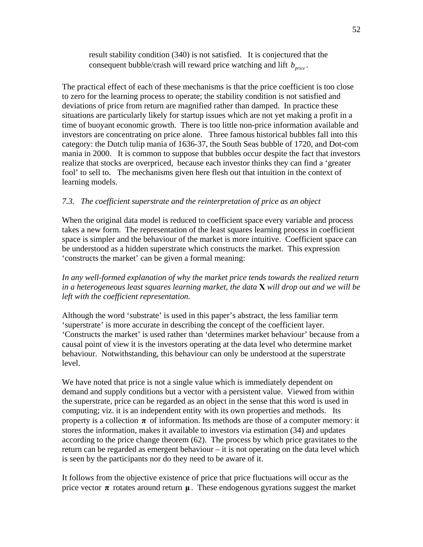result stability condition [\(340\)](#page-50-0) is not satisfied. It is conjectured that the consequent bubble/crash will reward price watching and lift  $b_{\text{price}}$ .

The practical effect of each of these mechanisms is that the price coefficient is too close to zero for the learning process to operate; the stability condition is not satisfied and deviations of price from return are magnified rather than damped. In practice these situations are particularly likely for startup issues which are not yet making a profit in a time of buoyant economic growth. There is too little non-price information available and investors are concentrating on price alone. Three famous historical bubbles fall into this category: the Dutch tulip mania of 1636-37, the South Seas bubble of 1720, and Dot-com mania in 2000. It is common to suppose that bubbles occur despite the fact that investors realize that stocks are overpriced, because each investor thinks they can find a 'greater fool' to sell to. The mechanisms given here flesh out that intuition in the context of learning models.

# *7.3. The coefficient superstrate and the reinterpretation of price as an object*

When the original data model is reduced to coefficient space every variable and process takes a new form. The representation of the least squares learning process in coefficient space is simpler and the behaviour of the market is more intuitive. Coefficient space can be understood as a hidden superstrate which constructs the market. This expression 'constructs the market' can be given a formal meaning:

*In any well-formed explanation of why the market price tends towards the realized return in a heterogeneous least squares learning market, the data* **X** *will drop out and we will be left with the coefficient representation.* 

Although the word 'substrate' is used in this paper's abstract, the less familiar term 'superstrate' is more accurate in describing the concept of the coefficient layer. 'Constructs the market' is used rather than 'determines market behaviour' because from a causal point of view it is the investors operating at the data level who determine market behaviour. Notwithstanding, this behaviour can only be understood at the superstrate level.

We have noted that price is not a single value which is immediately dependent on demand and supply conditions but a vector with a persistent value. Viewed from within the superstrate, price can be regarded as an object in the sense that this word is used in computing; viz. it is an independent entity with its own properties and methods. Its property is a collection  $\pi$  of information. Its methods are those of a computer memory: it stores the information, makes it available to investors via estimation [\(34\)](#page-10-4) and updates according to the price change theorem [\(62\)](#page-12-3). The process by which price gravitates to the return can be regarded as emergent behaviour – it is not operating on the data level which is seen by the participants nor do they need to be aware of it.

It follows from the objective existence of price that price fluctuations will occur as the price vector  $\pi$  rotates around return  $\mu$ . These endogenous gyrations suggest the market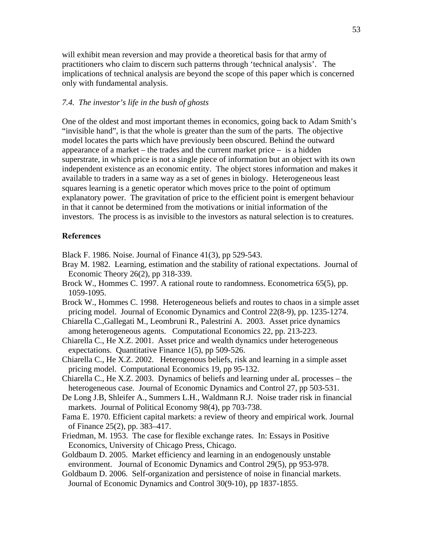will exhibit mean reversion and may provide a theoretical basis for that army of practitioners who claim to discern such patterns through 'technical analysis'. The implications of technical analysis are beyond the scope of this paper which is concerned only with fundamental analysis.

### *7.4. The investor's life in the bush of ghosts*

One of the oldest and most important themes in economics, going back to Adam Smith's "invisible hand", is that the whole is greater than the sum of the parts. The objective model locates the parts which have previously been obscured. Behind the outward appearance of a market – the trades and the current market price – is a hidden superstrate, in which price is not a single piece of information but an object with its own independent existence as an economic entity. The object stores information and makes it available to traders in a same way as a set of genes in biology. Heterogeneous least squares learning is a genetic operator which moves price to the point of optimum explanatory power. The gravitation of price to the efficient point is emergent behaviour in that it cannot be determined from the motivations or initial information of the investors. The process is as invisible to the investors as natural selection is to creatures.

### **References**

Black F. 1986. Noise. Journal of Finance 41(3), pp 529-543.

- Bray M. 1982. Learning, estimation and the stability of rational expectations. Journal of Economic Theory 26(2), pp 318-339.
- Brock W., Hommes C. 1997. A rational route to randomness. Econometrica 65(5), pp. 1059-1095.
- Brock W., Hommes C. 1998. Heterogeneous beliefs and routes to chaos in a simple asset pricing model. Journal of Economic Dynamics and Control 22(8-9), pp. 1235-1274.
- Chiarella C.,Gallegati M., Leombruni R., Palestrini A. 2003. Asset price dynamics among heterogeneous agents. Computational Economics 22, pp. 213-223.
- Chiarella C., He X.Z. 2001. Asset price and wealth dynamics under heterogeneous expectations. Quantitative Finance 1(5), pp 509-526.
- Chiarella C., He X.Z. 2002. Heterogenous beliefs, risk and learning in a simple asset pricing model. Computational Economics 19, pp 95-132.
- Chiarella C., He X.Z. 2003. Dynamics of beliefs and learning under aL processes the heterogeneous case. Journal of Economic Dynamics and Control 27, pp 503-531.
- De Long J.B, Shleifer A., Summers L.H., Waldmann R.J. Noise trader risk in financial markets. Journal of Political Economy 98(4), pp 703-738.
- Fama E. 1970. Efficient capital markets: a review of theory and empirical work. Journal of Finance 25(2), pp. 383–417.
- Friedman, M. 1953. The case for flexible exchange rates. In: Essays in Positive Economics, University of Chicago Press, Chicago.
- Goldbaum D. 2005. Market efficiency and learning in an endogenously unstable environment. Journal of Economic Dynamics and Control 29(5), pp 953-978.
- Goldbaum D. 2006. Self-organization and persistence of noise in financial markets. Journal of Economic Dynamics and Control 30(9-10), pp 1837-1855.